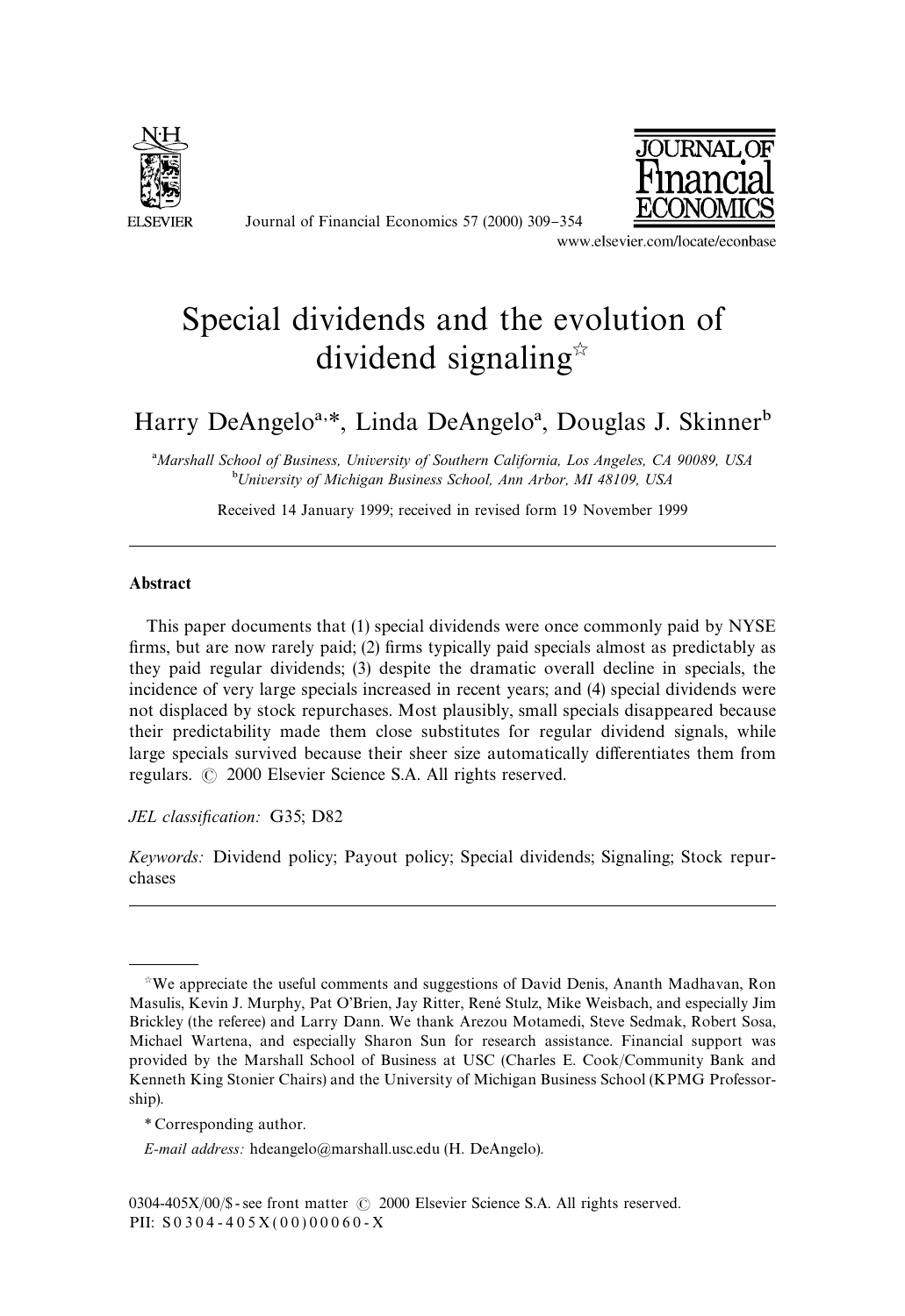

Journal of Financial Economics 57 (2000) 309-354



www.elsevier.com/locate/econbase

# Special dividends and the evolution of dividend signaling $\vec{r}$

# Harry DeAngelo<sup>a,\*</sup>, Linda DeAngelo<sup>a</sup>, Douglas J. Skinner<sup>b</sup>

!*Marshall School of Business, University of Southern California, Los Angeles, CA 90089, USA* "*University of Michigan Business School, Ann Arbor, MI 48109, USA*

Received 14 January 1999; received in revised form 19 November 1999

## Abstract

This paper documents that (1) special dividends were once commonly paid by NYSE firms, but are now rarely paid; (2) firms typically paid specials almost as predictably as they paid regular dividends; (3) despite the dramatic overall decline in specials, the incidence of very large specials increased in recent years; and (4) special dividends were not displaced by stock repurchases. Most plausibly, small specials disappeared because their predictability made them close substitutes for regular dividend signals, while large specials survived because their sheer size automatically differentiates them from regulars.  $\odot$  2000 Elsevier Science S.A. All rights reserved.

*JEL classification:* G35; D82

*Keywords:* Dividend policy; Payout policy; Special dividends; Signaling; Stock repurchases

 $*$ We appreciate the useful comments and suggestions of David Denis, Ananth Madhavan, Ron Masulis, Kevin J. Murphy, Pat O'Brien, Jay Ritter, René Stulz, Mike Weisbach, and especially Jim Brickley (the referee) and Larry Dann. We thank Arezou Motamedi, Steve Sedmak, Robert Sosa, Michael Wartena, and especially Sharon Sun for research assistance. Financial support was provided by the Marshall School of Business at USC (Charles E. Cook/Community Bank and Kenneth King Stonier Chairs) and the University of Michigan Business School (KPMG Professorship).

*<sup>\*</sup>* Corresponding author.

*E-mail address:* hdeangelo@marshall.usc.edu (H. DeAngelo).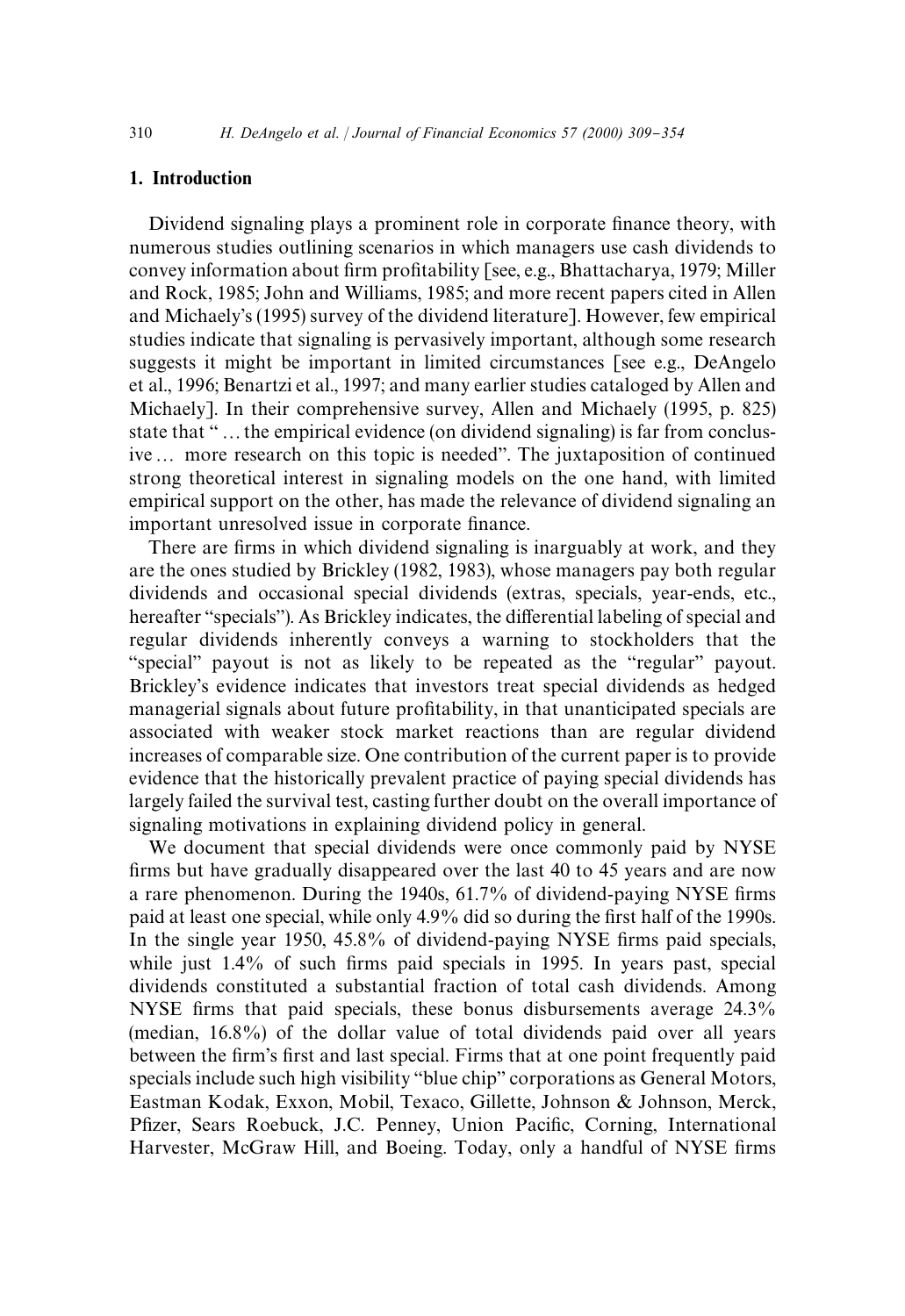# 1. Introduction

Dividend signaling plays a prominent role in corporate finance theory, with numerous studies outlining scenarios in which managers use cash dividends to convey information about firm profitability [see, e.g., Bhattacharya, 1979; Miller and Rock, 1985; John and Williams, 1985; and more recent papers cited in Allen and Michaely's (1995) survey of the dividend literature]. However, few empirical studies indicate that signaling is pervasively important, although some research suggests it might be important in limited circumstances [see e.g., DeAngelo et al., 1996; Benartzi et al., 1997; and many earlier studies cataloged by Allen and Michaely]. In their comprehensive survey, Allen and Michaely (1995, p. 825) state that "... the empirical evidence (on dividend signaling) is far from conclusive... more research on this topic is needed". The juxtaposition of continued strong theoretical interest in signaling models on the one hand, with limited empirical support on the other, has made the relevance of dividend signaling an important unresolved issue in corporate finance.

There are firms in which dividend signaling is inarguably at work, and they are the ones studied by Brickley (1982, 1983), whose managers pay both regular dividends and occasional special dividends (extras, specials, year-ends, etc., hereafter "specials"). As Brickley indicates, the differential labeling of special and regular dividends inherently conveys a warning to stockholders that the "special" payout is not as likely to be repeated as the "regular" payout. Brickley's evidence indicates that investors treat special dividends as hedged managerial signals about future profitability, in that unanticipated specials are associated with weaker stock market reactions than are regular dividend increases of comparable size. One contribution of the current paper is to provide evidence that the historically prevalent practice of paying special dividends has largely failed the survival test, casting further doubt on the overall importance of signaling motivations in explaining dividend policy in general.

We document that special dividends were once commonly paid by NYSE firms but have gradually disappeared over the last 40 to 45 years and are now a rare phenomenon. During the 1940s, 61.7% of dividend-paying NYSE firms paid at least one special, while only 4.9% did so during the first half of the 1990s. In the single year 1950, 45.8% of dividend-paying NYSE firms paid specials, while just  $1.4\%$  of such firms paid specials in 1995. In years past, special dividends constituted a substantial fraction of total cash dividends. Among NYSE firms that paid specials, these bonus disbursements average 24.3% (median, 16.8%) of the dollar value of total dividends paid over all years between the firm's first and last special. Firms that at one point frequently paid specials include such high visibility "blue chip" corporations as General Motors, Eastman Kodak, Exxon, Mobil, Texaco, Gillette, Johnson & Johnson, Merck, Pfizer, Sears Roebuck, J.C. Penney, Union Pacific, Corning, International Harvester, McGraw Hill, and Boeing. Today, only a handful of NYSE firms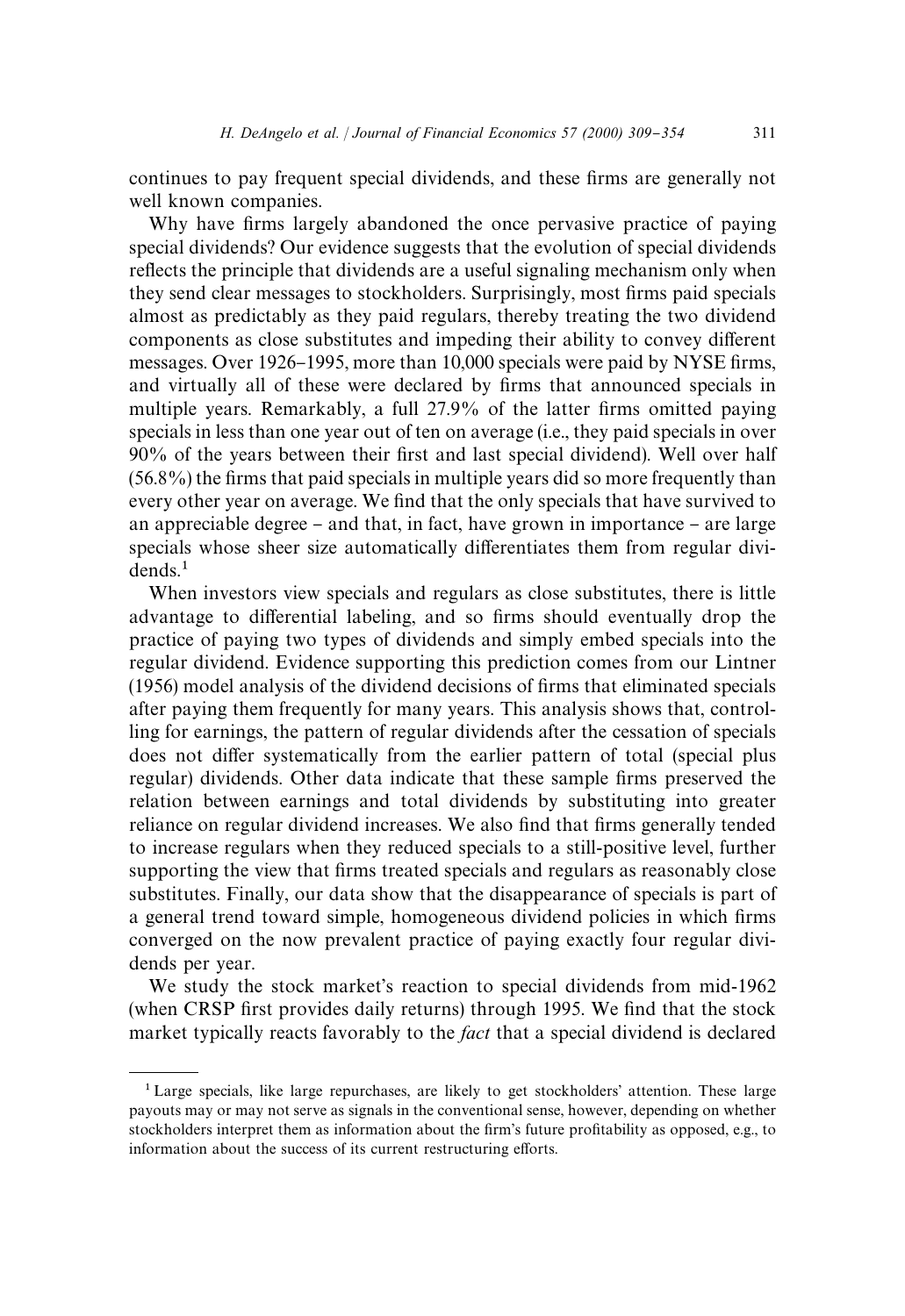continues to pay frequent special dividends, and these firms are generally not well known companies.

Why have firms largely abandoned the once pervasive practice of paying special dividends? Our evidence suggests that the evolution of special dividends reflects the principle that dividends are a useful signaling mechanism only when they send clear messages to stockholders. Surprisingly, most firms paid specials almost as predictably as they paid regulars, thereby treating the two dividend components as close substitutes and impeding their ability to convey different messages. Over 1926–1995, more than 10,000 specials were paid by NYSE firms, and virtually all of these were declared by firms that announced specials in multiple years. Remarkably, a full 27.9% of the latter firms omitted paying specials in less than one year out of ten on average (i.e., they paid specials in over 90% of the years between their first and last special dividend). Well over half  $(56.8\%)$  the firms that paid specials in multiple years did so more frequently than every other year on average. We find that the only specials that have survived to an appreciable degree  $-$  and that, in fact, have grown in importance  $-$  are large specials whose sheer size automatically differentiates them from regular divi $dends.<sup>1</sup>$ 

When investors view specials and regulars as close substitutes, there is little advantage to differential labeling, and so firms should eventually drop the practice of paying two types of dividends and simply embed specials into the regular dividend. Evidence supporting this prediction comes from our Lintner (1956) model analysis of the dividend decisions of firms that eliminated specials after paying them frequently for many years. This analysis shows that, controlling for earnings, the pattern of regular dividends after the cessation of specials does not differ systematically from the earlier pattern of total (special plus regular) dividends. Other data indicate that these sample firms preserved the relation between earnings and total dividends by substituting into greater reliance on regular dividend increases. We also find that firms generally tended to increase regulars when they reduced specials to a still-positive level, further supporting the view that firms treated specials and regulars as reasonably close substitutes. Finally, our data show that the disappearance of specials is part of a general trend toward simple, homogeneous dividend policies in which firms converged on the now prevalent practice of paying exactly four regular dividends per year.

We study the stock market's reaction to special dividends from mid-1962 (when CRSP first provides daily returns) through 1995. We find that the stock market typically reacts favorably to the *fact* that a special dividend is declared

<sup>&</sup>lt;sup>1</sup> Large specials, like large repurchases, are likely to get stockholders' attention. These large payouts may or may not serve as signals in the conventional sense, however, depending on whether stockholders interpret them as information about the firm's future profitability as opposed, e.g., to information about the success of its current restructuring efforts.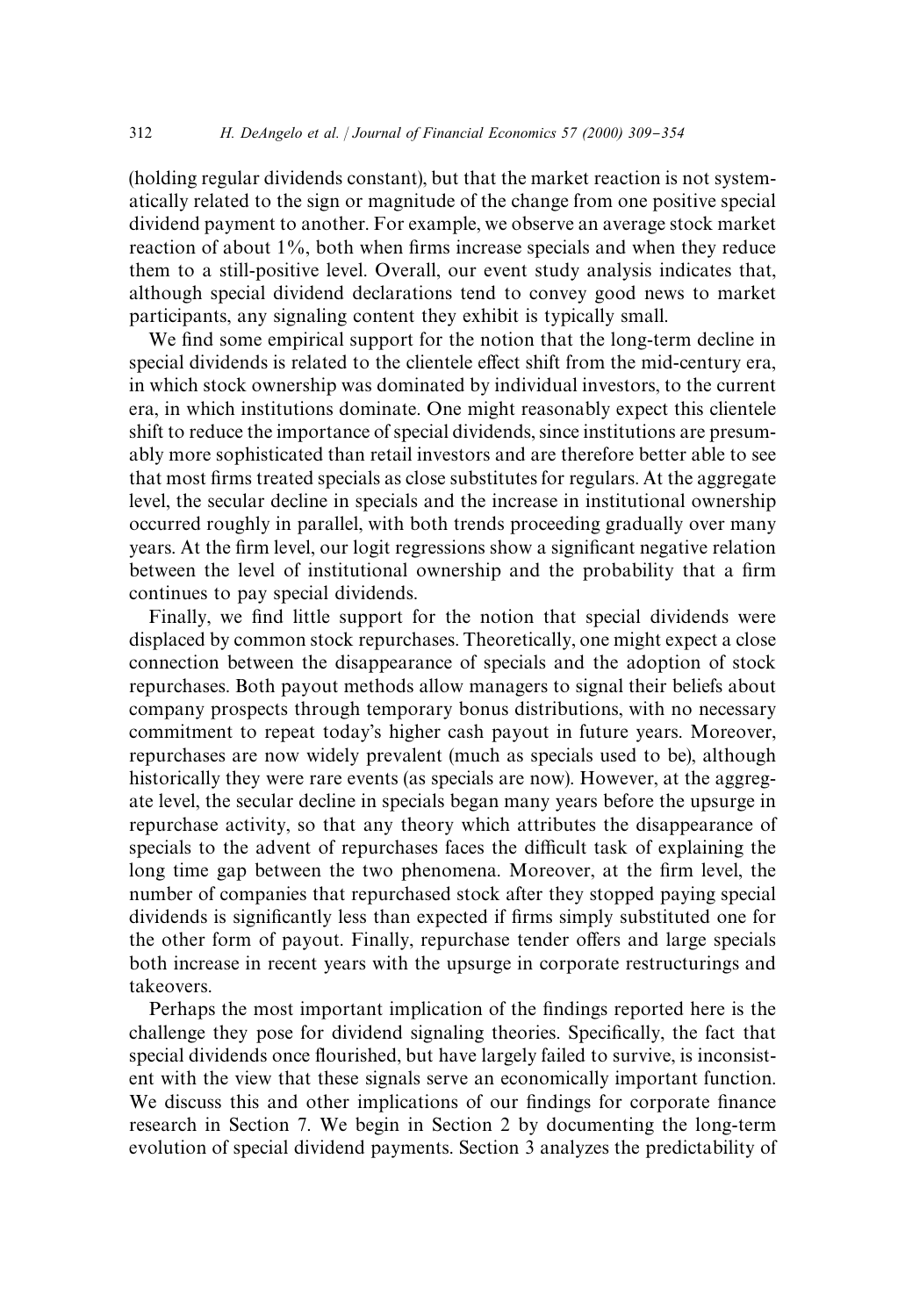(holding regular dividends constant), but that the market reaction is not systematically related to the sign or magnitude of the change from one positive special dividend payment to another. For example, we observe an average stock market reaction of about 1%, both when firms increase specials and when they reduce them to a still-positive level. Overall, our event study analysis indicates that, although special dividend declarations tend to convey good news to market participants, any signaling content they exhibit is typically small.

We find some empirical support for the notion that the long-term decline in special dividends is related to the clientele effect shift from the mid-century era, in which stock ownership was dominated by individual investors, to the current era, in which institutions dominate. One might reasonably expect this clientele shift to reduce the importance of special dividends, since institutions are presumably more sophisticated than retail investors and are therefore better able to see that most firms treated specials as close substitutes for regulars. At the aggregate level, the secular decline in specials and the increase in institutional ownership occurred roughly in parallel, with both trends proceeding gradually over many years. At the firm level, our logit regressions show a significant negative relation between the level of institutional ownership and the probability that a firm continues to pay special dividends.

Finally, we find little support for the notion that special dividends were displaced by common stock repurchases. Theoretically, one might expect a close connection between the disappearance of specials and the adoption of stock repurchases. Both payout methods allow managers to signal their beliefs about company prospects through temporary bonus distributions, with no necessary commitment to repeat today's higher cash payout in future years. Moreover, repurchases are now widely prevalent (much as specials used to be), although historically they were rare events (as specials are now). However, at the aggregate level, the secular decline in specials began many years before the upsurge in repurchase activity, so that any theory which attributes the disappearance of specials to the advent of repurchases faces the difficult task of explaining the long time gap between the two phenomena. Moreover, at the firm level, the number of companies that repurchased stock after they stopped paying special dividends is significantly less than expected if firms simply substituted one for the other form of payout. Finally, repurchase tender offers and large specials both increase in recent years with the upsurge in corporate restructurings and takeovers.

Perhaps the most important implication of the findings reported here is the challenge they pose for dividend signaling theories. Specifically, the fact that special dividends once flourished, but have largely failed to survive, is inconsistent with the view that these signals serve an economically important function. We discuss this and other implications of our findings for corporate finance research in Section 7. We begin in Section 2 by documenting the long-term evolution of special dividend payments. Section 3 analyzes the predictability of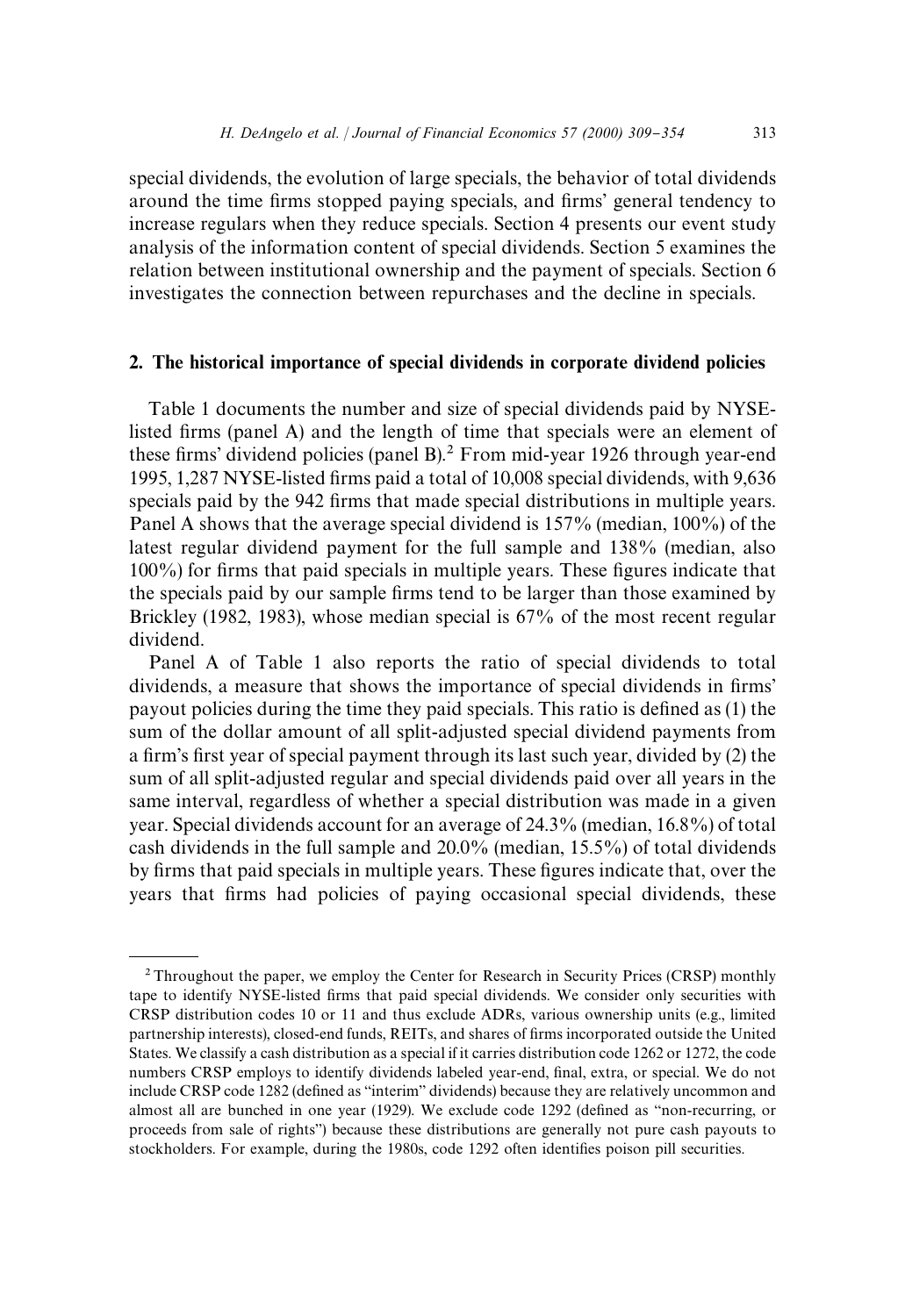special dividends, the evolution of large specials, the behavior of total dividends around the time firms stopped paying specials, and firms' general tendency to increase regulars when they reduce specials. Section 4 presents our event study analysis of the information content of special dividends. Section 5 examines the relation between institutional ownership and the payment of specials. Section 6 investigates the connection between repurchases and the decline in specials.

# 2. The historical importance of special dividends in corporate dividend policies

Table 1 documents the number and size of special dividends paid by NYSElisted firms (panel A) and the length of time that specials were an element of these firms' dividend policies (panel B).<sup>2</sup> From mid-year 1926 through year-end 1995, 1,287 NYSE-listed firms paid a total of 10,008 special dividends, with 9,636 specials paid by the 942 firms that made special distributions in multiple years. Panel A shows that the average special dividend is 157% (median, 100%) of the latest regular dividend payment for the full sample and 138% (median, also  $100\%$ ) for firms that paid specials in multiple years. These figures indicate that the specials paid by our sample firms tend to be larger than those examined by Brickley (1982, 1983), whose median special is 67% of the most recent regular dividend.

Panel A of Table 1 also reports the ratio of special dividends to total dividends, a measure that shows the importance of special dividends in firms' payout policies during the time they paid specials. This ratio is defined as (1) the sum of the dollar amount of all split-adjusted special dividend payments from a firm's first year of special payment through its last such year, divided by (2) the sum of all split-adjusted regular and special dividends paid over all years in the same interval, regardless of whether a special distribution was made in a given year. Special dividends account for an average of 24.3% (median, 16.8%) of total cash dividends in the full sample and 20.0% (median, 15.5%) of total dividends by firms that paid specials in multiple years. These figures indicate that, over the years that firms had policies of paying occasional special dividends, these

<sup>&</sup>lt;sup>2</sup> Throughout the paper, we employ the Center for Research in Security Prices (CRSP) monthly tape to identify NYSE-listed firms that paid special dividends. We consider only securities with CRSP distribution codes 10 or 11 and thus exclude ADRs, various ownership units (e.g., limited partnership interests), closed-end funds, REITs, and shares of firms incorporated outside the United States. We classify a cash distribution as a special if it carries distribution code 1262 or 1272, the code numbers CRSP employs to identify dividends labeled year-end, final, extra, or special. We do not include CRSP code 1282 (defined as "interim" dividends) because they are relatively uncommon and almost all are bunched in one year (1929). We exclude code 1292 (defined as "non-recurring, or proceeds from sale of rights") because these distributions are generally not pure cash payouts to stockholders. For example, during the 1980s, code 1292 often identifies poison pill securities.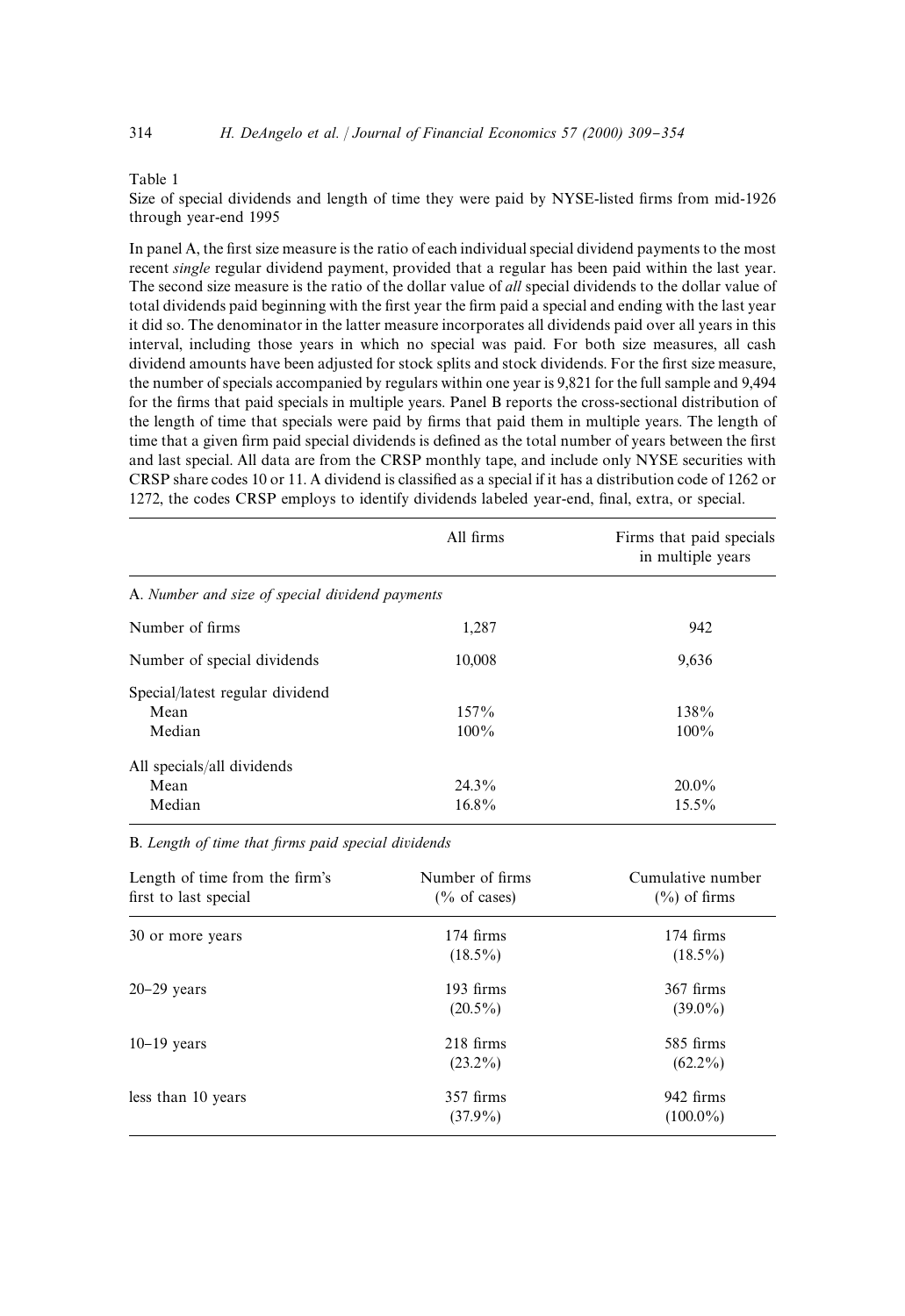#### Table 1

Size of special dividends and length of time they were paid by NYSE-listed firms from mid-1926 through year-end 1995

In panel A, the first size measure is the ratio of each individual special dividend payments to the most recent *single* regular dividend payment, provided that a regular has been paid within the last year. The second size measure is the ratio of the dollar value of *all* special dividends to the dollar value of total dividends paid beginning with the first year the firm paid a special and ending with the last year it did so. The denominator in the latter measure incorporates all dividends paid over all years in this interval, including those years in which no special was paid. For both size measures, all cash dividend amounts have been adjusted for stock splits and stock dividends. For the first size measure, the number of specials accompanied by regulars within one year is 9,821 for the full sample and 9,494 for the firms that paid specials in multiple years. Panel B reports the cross-sectional distribution of the length of time that specials were paid by firms that paid them in multiple years. The length of time that a given firm paid special dividends is defined as the total number of years between the first and last special. All data are from the CRSP monthly tape, and include only NYSE securities with CRSP share codes 10 or 11. A dividend is classified as a special if it has a distribution code of 1262 or 1272, the codes CRSP employs to identify dividends labeled year-end, final, extra, or special.

| All firms                                       | Firms that paid specials<br>in multiple years |
|-------------------------------------------------|-----------------------------------------------|
| A. Number and size of special dividend payments |                                               |
| 1,287                                           | 942                                           |
| 10,008                                          | 9,636                                         |
|                                                 |                                               |
| 157%                                            | 138%                                          |
| $100\%$                                         | $100\%$                                       |
|                                                 |                                               |
| $24.3\%$                                        | $20.0\%$                                      |
| $16.8\%$                                        | $15.5\%$                                      |
|                                                 |                                               |

B. Length of time that firms paid special dividends

| Length of time from the firm's<br>first to last special | Number of firms<br>$\frac{6}{6}$ of cases) | Cumulative number<br>$(\%)$ of firms |
|---------------------------------------------------------|--------------------------------------------|--------------------------------------|
| 30 or more years                                        | $174$ firms<br>$(18.5\%)$                  | $174$ firms<br>$(18.5\%)$            |
| $20-29$ years                                           | 193 firms<br>$(20.5\%)$                    | $367$ firms<br>$(39.0\%)$            |
| $10-19$ years                                           | $218$ firms<br>$(23.2\%)$                  | 585 firms<br>$(62.2\%)$              |
| less than 10 years                                      | $357$ firms<br>$(37.9\%)$                  | 942 firms<br>$(100.0\%)$             |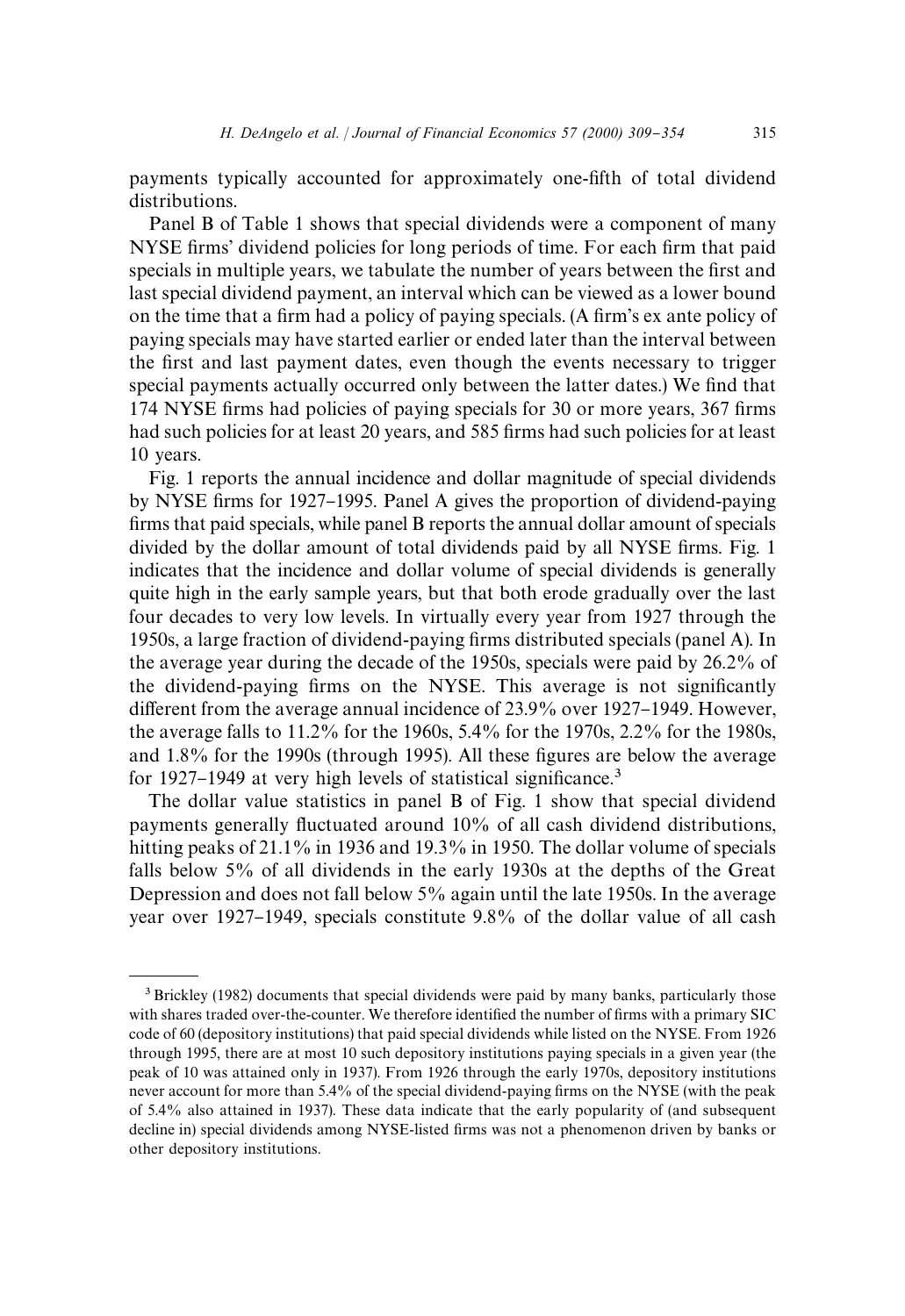payments typically accounted for approximately one-fifth of total dividend distributions.

Panel B of Table 1 shows that special dividends were a component of many NYSE firms' dividend policies for long periods of time. For each firm that paid specials in multiple years, we tabulate the number of years between the first and last special dividend payment, an interval which can be viewed as a lower bound on the time that a firm had a policy of paying specials. (A firm's ex ante policy of paying specials may have started earlier or ended later than the interval between the first and last payment dates, even though the events necessary to trigger special payments actually occurred only between the latter dates.) We find that 174 NYSE firms had policies of paying specials for 30 or more years, 367 firms had such policies for at least 20 years, and 585 firms had such policies for at least 10 years.

Fig. 1 reports the annual incidence and dollar magnitude of special dividends by NYSE firms for 1927–1995. Panel A gives the proportion of dividend-paying firms that paid specials, while panel B reports the annual dollar amount of specials divided by the dollar amount of total dividends paid by all NYSE firms. Fig. 1 indicates that the incidence and dollar volume of special dividends is generally quite high in the early sample years, but that both erode gradually over the last four decades to very low levels. In virtually every year from 1927 through the 1950s, a large fraction of dividend-paying firms distributed specials (panel A). In the average year during the decade of the 1950s, specials were paid by 26.2% of the dividend-paying firms on the NYSE. This average is not significantly different from the average annual incidence of  $23.9\%$  over  $1927-1949$ . However, the average falls to 11.2% for the 1960s, 5.4% for the 1970s, 2.2% for the 1980s, and 1.8% for the 1990s (through 1995). All these figures are below the average for 1927–1949 at very high levels of statistical significance.<sup>3</sup>

The dollar value statistics in panel B of Fig. 1 show that special dividend payments generally fluctuated around 10% of all cash dividend distributions, hitting peaks of 21.1% in 1936 and 19.3% in 1950. The dollar volume of specials falls below 5% of all dividends in the early 1930s at the depths of the Great Depression and does not fall below 5% again until the late 1950s. In the average year over 1927–1949, specials constitute 9.8% of the dollar value of all cash

<sup>&</sup>lt;sup>3</sup> Brickley (1982) documents that special dividends were paid by many banks, particularly those with shares traded over-the-counter. We therefore identified the number of firms with a primary SIC code of 60 (depository institutions) that paid special dividends while listed on the NYSE. From 1926 through 1995, there are at most 10 such depository institutions paying specials in a given year (the peak of 10 was attained only in 1937). From 1926 through the early 1970s, depository institutions never account for more than 5.4% of the special dividend-paying firms on the NYSE (with the peak of 5.4% also attained in 1937). These data indicate that the early popularity of (and subsequent decline in) special dividends among NYSE-listed firms was not a phenomenon driven by banks or other depository institutions.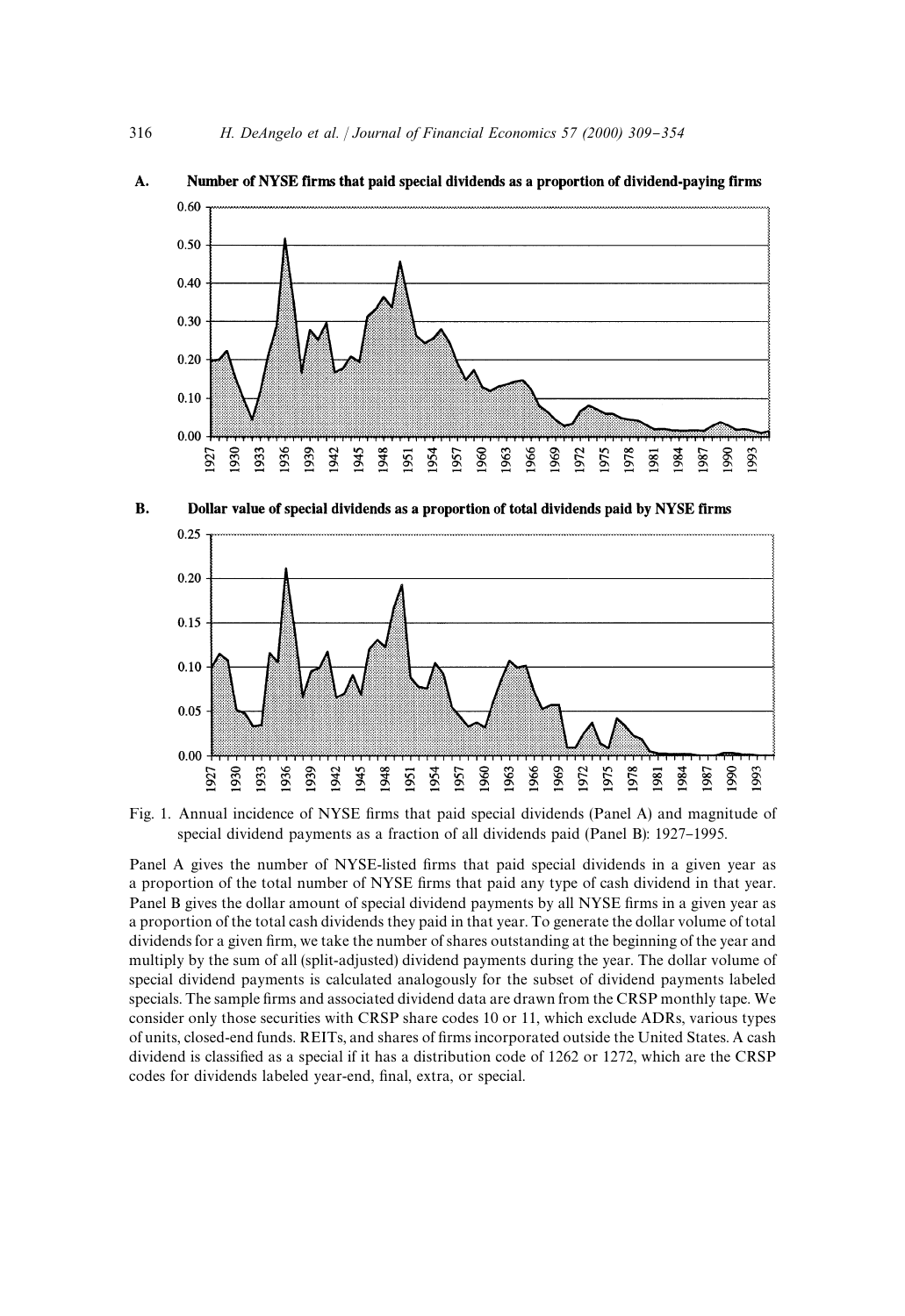

#### A. Number of NYSE firms that paid special dividends as a proportion of dividend-paying firms

**B.** Dollar value of special dividends as a proportion of total dividends paid by NYSE firms



Fig. 1. Annual incidence of NYSE firms that paid special dividends (Panel A) and magnitude of special dividend payments as a fraction of all dividends paid (Panel B): 1927–1995.

Panel A gives the number of NYSE-listed firms that paid special dividends in a given year as a proportion of the total number of NYSE firms that paid any type of cash dividend in that year. Panel B gives the dollar amount of special dividend payments by all NYSE firms in a given year as a proportion of the total cash dividends they paid in that year. To generate the dollar volume of total dividends for a given firm, we take the number of shares outstanding at the beginning of the year and multiply by the sum of all (split-adjusted) dividend payments during the year. The dollar volume of special dividend payments is calculated analogously for the subset of dividend payments labeled specials. The sample firms and associated dividend data are drawn from the CRSP monthly tape. We consider only those securities with CRSP share codes 10 or 11, which exclude ADRs, various types of units, closed-end funds. REITs, and shares of firms incorporated outside the United States. A cash dividend is classified as a special if it has a distribution code of 1262 or 1272, which are the CRSP codes for dividends labeled year-end, final, extra, or special.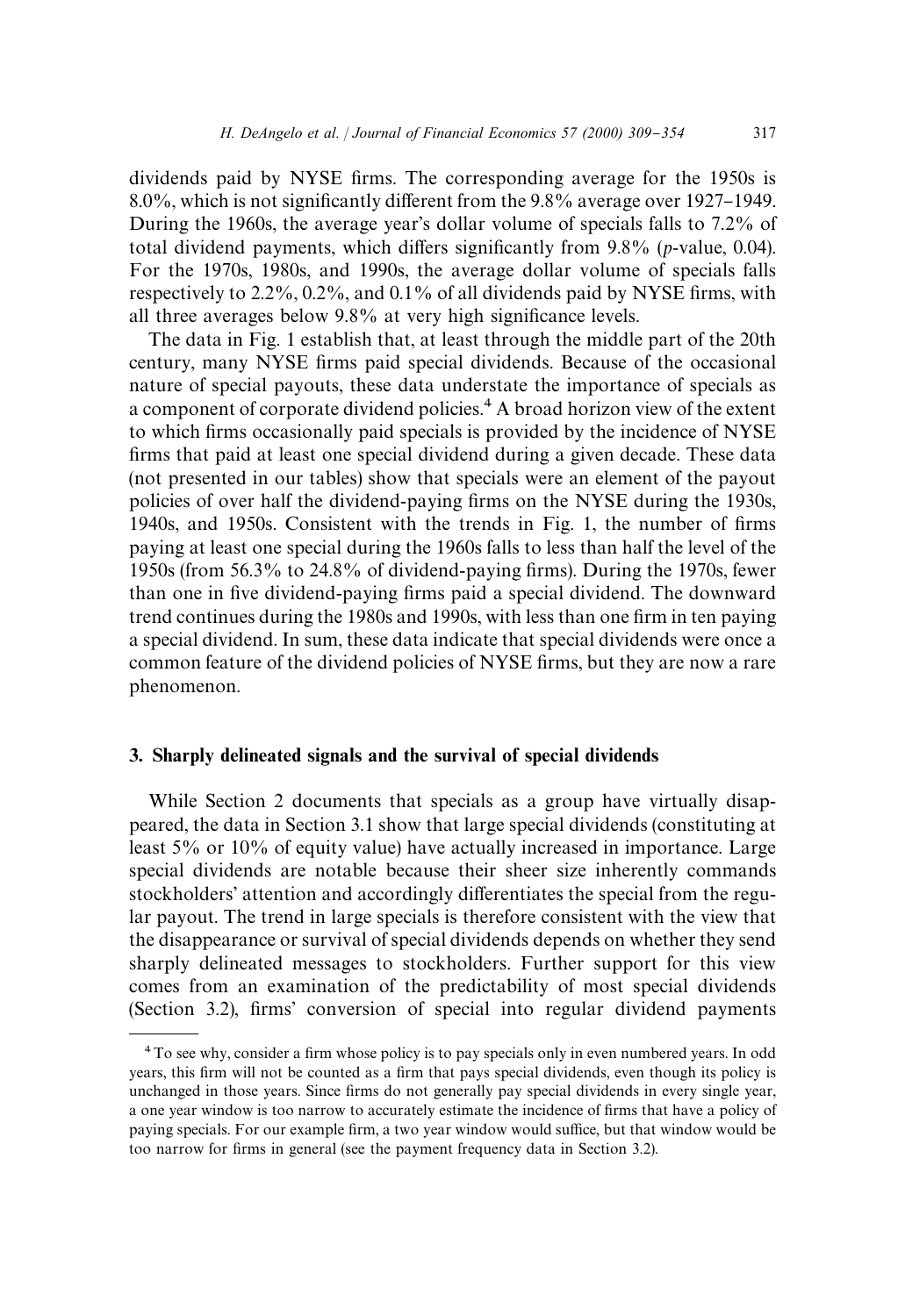dividends paid by NYSE firms. The corresponding average for the 1950s is 8.0%, which is not significantly different from the 9.8% average over 1927–1949. During the 1960s, the average year's dollar volume of specials falls to 7.2% of total dividend payments, which differs significantly from  $9.8\%$  ( $p$ -value, 0.04). For the 1970s, 1980s, and 1990s, the average dollar volume of specials falls respectively to  $2.2\%$ ,  $0.2\%$ , and  $0.1\%$  of all dividends paid by NYSE firms, with all three averages below  $9.8\%$  at very high significance levels.

The data in Fig. 1 establish that, at least through the middle part of the 20th century, many NYSE firms paid special dividends. Because of the occasional nature of special payouts, these data understate the importance of specials as a component of corporate dividend policies.<sup>4</sup> A broad horizon view of the extent to which firms occasionally paid specials is provided by the incidence of NYSE firms that paid at least one special dividend during a given decade. These data (not presented in our tables) show that specials were an element of the payout policies of over half the dividend-paying firms on the NYSE during the 1930s, 1940s, and 1950s. Consistent with the trends in Fig. 1, the number of firms paying at least one special during the 1960s falls to less than half the level of the 1950s (from  $56.3\%$  to  $24.8\%$  of dividend-paying firms). During the 1970s, fewer than one in five dividend-paying firms paid a special dividend. The downward trend continues during the 1980s and 1990s, with less than one firm in ten paying a special dividend. In sum, these data indicate that special dividends were once a common feature of the dividend policies of NYSE firms, but they are now a rare phenomenon.

# 3. Sharply delineated signals and the survival of special dividends

While Section 2 documents that specials as a group have virtually disappeared, the data in Section 3.1 show that large special dividends (constituting at least 5% or 10% of equity value) have actually increased in importance. Large special dividends are notable because their sheer size inherently commands stockholders' attention and accordingly differentiates the special from the regular payout. The trend in large specials is therefore consistent with the view that the disappearance or survival of special dividends depends on whether they send sharply delineated messages to stockholders. Further support for this view comes from an examination of the predictability of most special dividends (Section 3.2), firms' conversion of special into regular dividend payments

<sup>&</sup>lt;sup>4</sup> To see why, consider a firm whose policy is to pay specials only in even numbered years. In odd years, this firm will not be counted as a firm that pays special dividends, even though its policy is unchanged in those years. Since firms do not generally pay special dividends in every single year, a one year window is too narrow to accurately estimate the incidence of firms that have a policy of paying specials. For our example firm, a two year window would suffice, but that window would be too narrow for firms in general (see the payment frequency data in Section 3.2).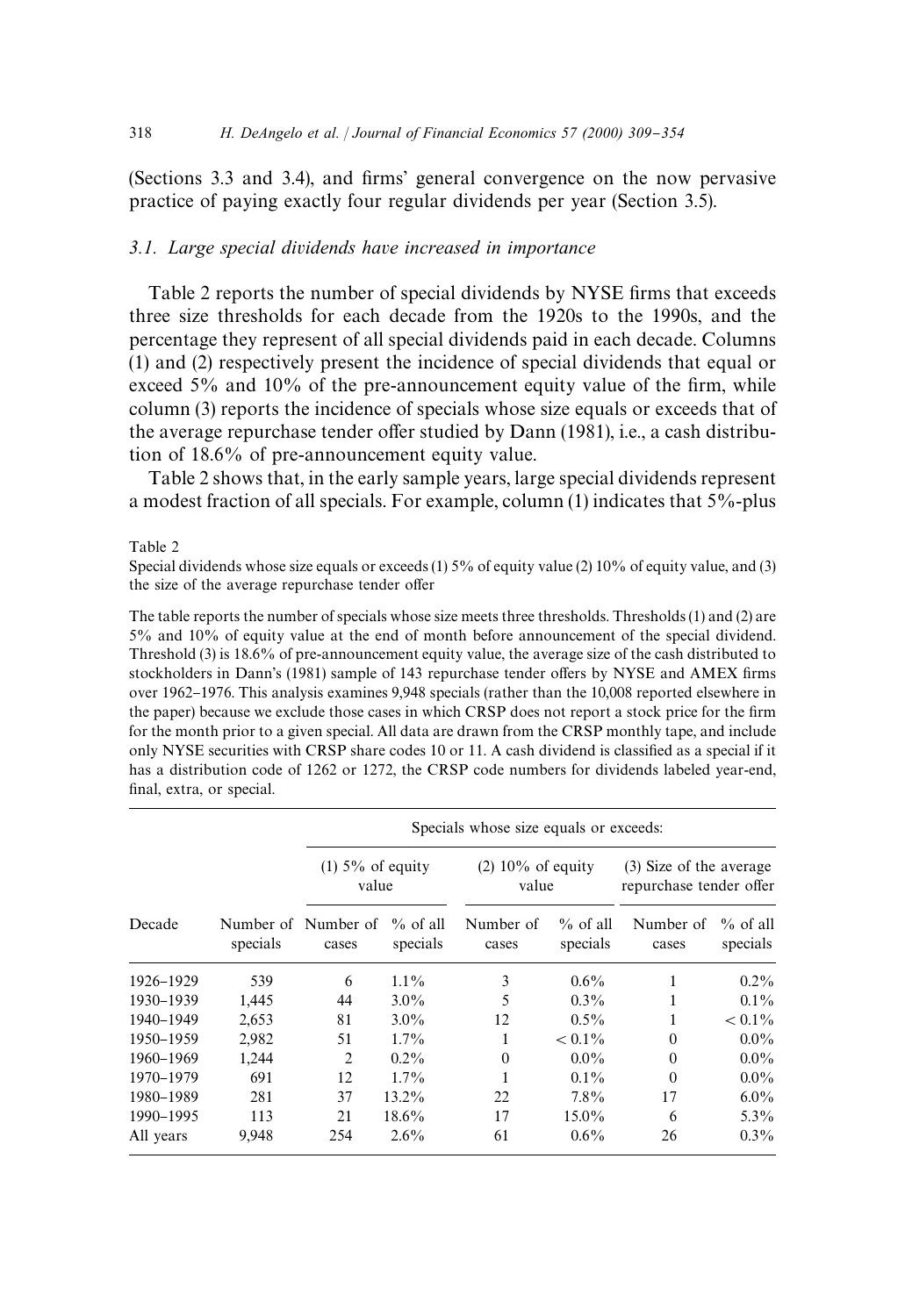(Sections 3.3 and 3.4), and firms' general convergence on the now pervasive practice of paying exactly four regular dividends per year (Section 3.5).

## *3.1. Large special dividends have increased in importance*

Table 2 reports the number of special dividends by NYSE firms that exceeds three size thresholds for each decade from the 1920s to the 1990s, and the percentage they represent of all special dividends paid in each decade. Columns (1) and (2) respectively present the incidence of special dividends that equal or exceed  $5\%$  and  $10\%$  of the pre-announcement equity value of the firm, while column (3) reports the incidence of specials whose size equals or exceeds that of the average repurchase tender offer studied by Dann (1981), i.e., a cash distribution of 18.6% of pre-announcement equity value.

Table 2 shows that, in the early sample years, large special dividends represent a modest fraction of all specials. For example, column (1) indicates that 5%-plus

Table 2

Special dividends whose size equals or exceeds (1) 5% of equity value (2) 10% of equity value, and (3) the size of the average repurchase tender offer

The table reports the number of specials whose size meets three thresholds. Thresholds (1) and (2) are 5% and 10% of equity value at the end of month before announcement of the special dividend. Threshold (3) is 18.6% of pre-announcement equity value, the average size of the cash distributed to stockholders in Dann's (1981) sample of 143 repurchase tender offers by NYSE and AMEX firms over 1962-1976. This analysis examines 9,948 specials (rather than the 10,008 reported elsewhere in the paper) because we exclude those cases in which CRSP does not report a stock price for the firm for the month prior to a given special. All data are drawn from the CRSP monthly tape, and include only NYSE securities with CRSP share codes 10 or 11. A cash dividend is classified as a special if it has a distribution code of 1262 or 1272, the CRSP code numbers for dividends labeled year-end, final, extra, or special.

|           |          |                              | Specials whose size equals or exceeds: |                              |                         |                                                    |                         |  |
|-----------|----------|------------------------------|----------------------------------------|------------------------------|-------------------------|----------------------------------------------------|-------------------------|--|
|           |          | $(1)$ 5% of equity<br>value  |                                        | $(2)$ 10% of equity<br>value |                         | (3) Size of the average<br>repurchase tender offer |                         |  |
| Decade    | specials | Number of Number of<br>cases | $\%$ of all<br>specials                | Number of<br>cases           | $\%$ of all<br>specials | Number of<br>cases                                 | $\%$ of all<br>specials |  |
| 1926-1929 | 539      | 6                            | $1.1\%$                                | 3                            | $0.6\%$                 |                                                    | $0.2\%$                 |  |
| 1930-1939 | 1,445    | 44                           | $3.0\%$                                | 5                            | $0.3\%$                 |                                                    | $0.1\%$                 |  |
| 1940-1949 | 2,653    | 81                           | $3.0\%$                                | 12                           | $0.5\%$                 |                                                    | $< 0.1\%$               |  |
| 1950-1959 | 2,982    | 51                           | $1.7\%$                                | 1                            | $< 0.1\%$               | $\Omega$                                           | $0.0\%$                 |  |
| 1960-1969 | 1,244    | 2                            | $0.2\%$                                | $\Omega$                     | $0.0\%$                 | $\Omega$                                           | $0.0\%$                 |  |
| 1970-1979 | 691      | 12                           | $1.7\%$                                |                              | $0.1\%$                 | $\theta$                                           | $0.0\%$                 |  |
| 1980-1989 | 281      | 37                           | $13.2\%$                               | 22                           | $7.8\%$                 | 17                                                 | $6.0\%$                 |  |
| 1990-1995 | 113      | 21                           | $18.6\%$                               | 17                           | 15.0%                   | 6                                                  | $5.3\%$                 |  |
| All years | 9,948    | 254                          | $2.6\%$                                | 61                           | $0.6\%$                 | 26                                                 | $0.3\%$                 |  |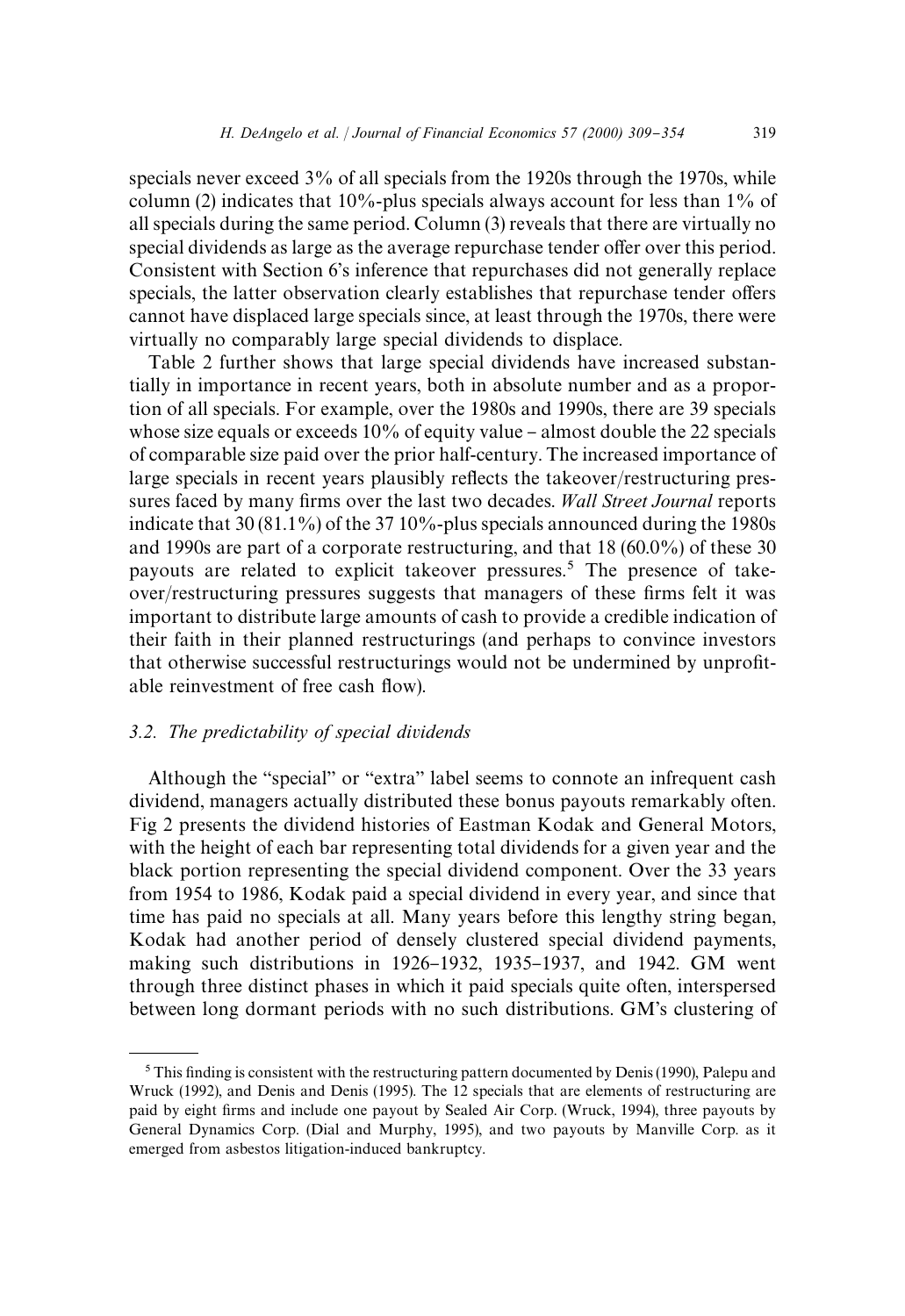specials never exceed 3% of all specials from the 1920s through the 1970s, while column (2) indicates that  $10\%$ -plus specials always account for less than  $1\%$  of all specials during the same period. Column (3) reveals that there are virtually no special dividends as large as the average repurchase tender offer over this period. Consistent with Section 6's inference that repurchases did not generally replace specials, the latter observation clearly establishes that repurchase tender offers cannot have displaced large specials since, at least through the 1970s, there were virtually no comparably large special dividends to displace.

Table 2 further shows that large special dividends have increased substantially in importance in recent years, both in absolute number and as a proportion of all specials. For example, over the 1980s and 1990s, there are 39 specials whose size equals or exceeds  $10\%$  of equity value – almost double the 22 specials of comparable size paid over the prior half-century. The increased importance of large specials in recent years plausibly reflects the takeover/restructuring pressures faced by many firms over the last two decades. *Wall Street Journal* reports indicate that 30 (81.1%) of the 37 10%-plus specials announced during the 1980s and 1990s are part of a corporate restructuring, and that 18 (60.0%) of these 30 payouts are related to explicit takeover pressures.<sup>5</sup> The presence of takeover/restructuring pressures suggests that managers of these firms felt it was important to distribute large amounts of cash to provide a credible indication of their faith in their planned restructurings (and perhaps to convince investors that otherwise successful restructurings would not be undermined by unprofitable reinvestment of free cash flow).

# *3.2. The predictability of special dividends*

Although the "special" or "extra" label seems to connote an infrequent cash dividend, managers actually distributed these bonus payouts remarkably often. Fig 2 presents the dividend histories of Eastman Kodak and General Motors, with the height of each bar representing total dividends for a given year and the black portion representing the special dividend component. Over the 33 years from 1954 to 1986, Kodak paid a special dividend in every year, and since that time has paid no specials at all. Many years before this lengthy string began, Kodak had another period of densely clustered special dividend payments, making such distributions in 1926-1932, 1935-1937, and 1942. GM went through three distinct phases in which it paid specials quite often, interspersed between long dormant periods with no such distributions. GM's clustering of

 $5$ This finding is consistent with the restructuring pattern documented by Denis (1990), Palepu and Wruck (1992), and Denis and Denis (1995). The 12 specials that are elements of restructuring are paid by eight firms and include one payout by Sealed Air Corp. (Wruck, 1994), three payouts by General Dynamics Corp. (Dial and Murphy, 1995), and two payouts by Manville Corp. as it emerged from asbestos litigation-induced bankruptcy.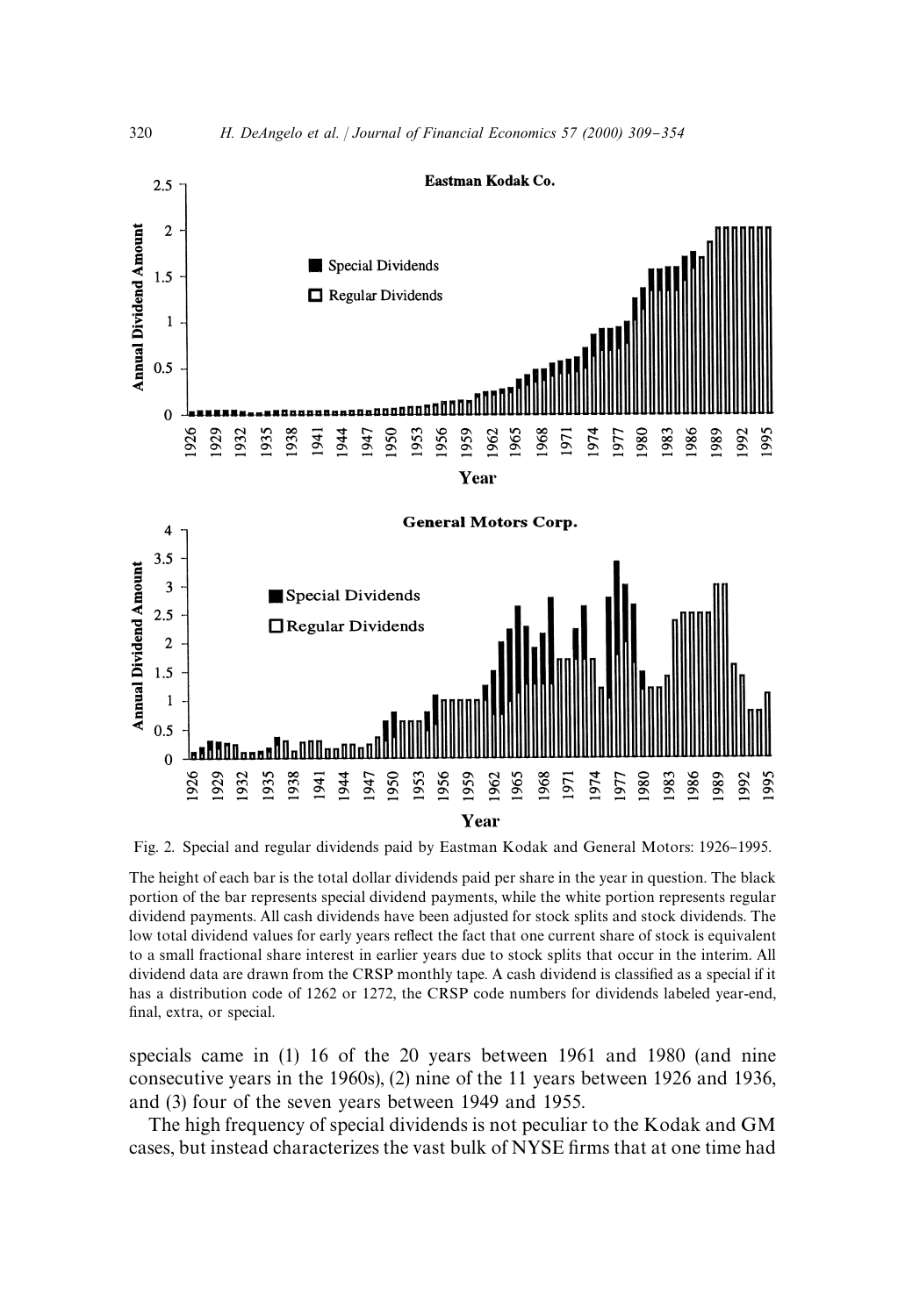

Fig. 2. Special and regular dividends paid by Eastman Kodak and General Motors: 1926–1995.

The height of each bar is the total dollar dividends paid per share in the year in question. The black portion of the bar represents special dividend payments, while the white portion represents regular dividend payments. All cash dividends have been adjusted for stock splits and stock dividends. The low total dividend values for early years reflect the fact that one current share of stock is equivalent to a small fractional share interest in earlier years due to stock splits that occur in the interim. All dividend data are drawn from the CRSP monthly tape. A cash dividend is classified as a special if it has a distribution code of 1262 or 1272, the CRSP code numbers for dividends labeled year-end, final, extra, or special.

specials came in (1) 16 of the 20 years between 1961 and 1980 (and nine consecutive years in the 1960s), (2) nine of the 11 years between 1926 and 1936, and (3) four of the seven years between 1949 and 1955.

The high frequency of special dividends is not peculiar to the Kodak and GM cases, but instead characterizes the vast bulk of NYSE firms that at one time had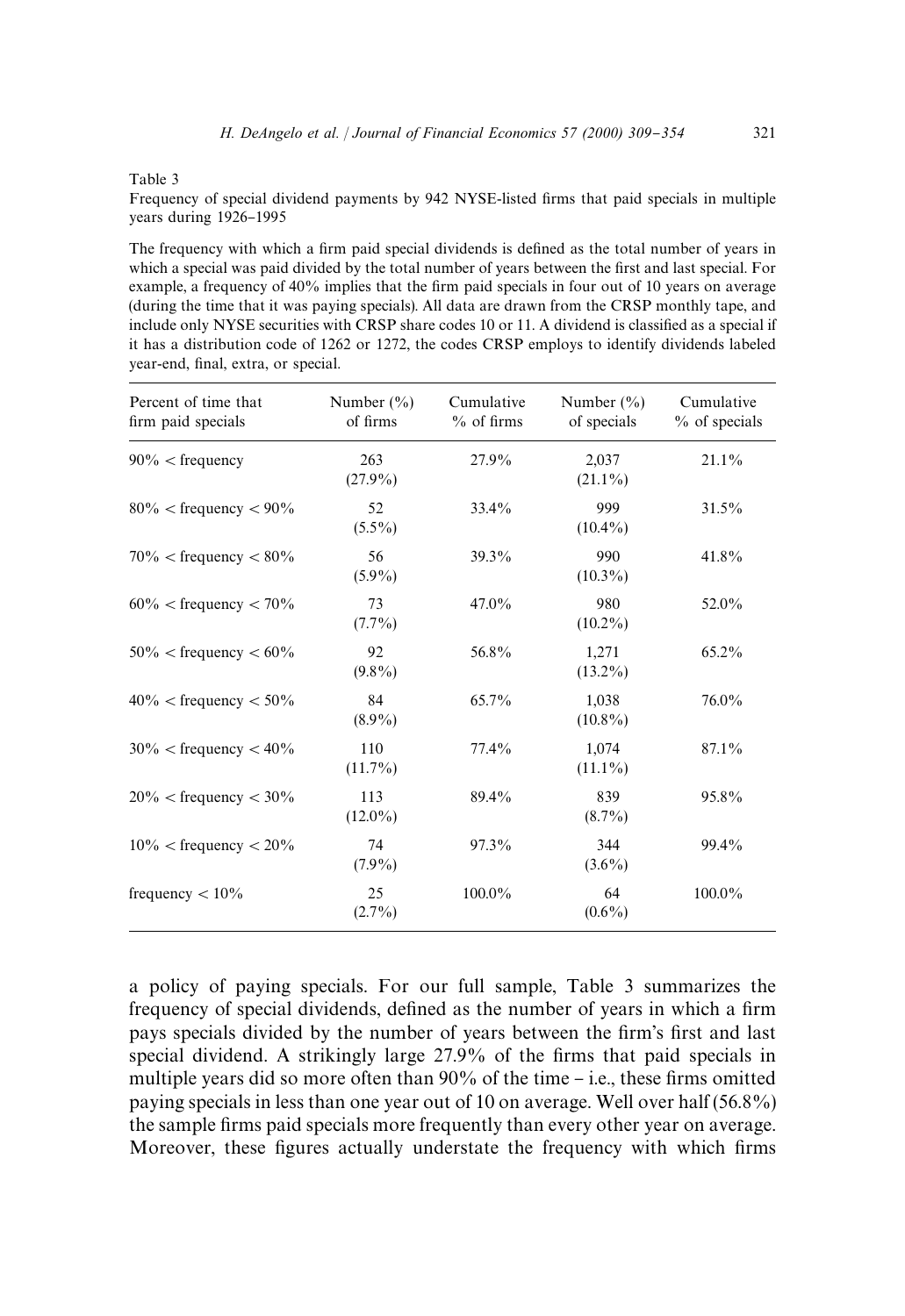Table 3

Frequency of special dividend payments by 942 NYSE-listed firms that paid specials in multiple years during 1926-1995

The frequency with which a firm paid special dividends is defined as the total number of years in which a special was paid divided by the total number of years between the first and last special. For example, a frequency of  $40\%$  implies that the firm paid specials in four out of 10 years on average (during the time that it was paying specials). All data are drawn from the CRSP monthly tape, and include only NYSE securities with CRSP share codes 10 or 11. A dividend is classified as a special if it has a distribution code of 1262 or 1272, the codes CRSP employs to identify dividends labeled year-end, final, extra, or special.

| Percent of time that<br>firm paid specials | Number $(\% )$<br>of firms | Cumulative<br>$%$ of firms | Number $(\% )$<br>of specials | Cumulative<br>% of specials |
|--------------------------------------------|----------------------------|----------------------------|-------------------------------|-----------------------------|
| $90\% <$ frequency                         | 263<br>$(27.9\%)$          | 27.9%                      | 2,037<br>$(21.1\%)$           | $21.1\%$                    |
| $80\% <$ frequency $< 90\%$                | 52<br>$(5.5\%)$            | 33.4%                      | 999<br>$(10.4\%)$             | 31.5%                       |
| $70\% <$ frequency $< 80\%$                | 56<br>$(5.9\%)$            | 39.3%                      | 990<br>$(10.3\%)$             | 41.8%                       |
| $60\% <$ frequency $< 70\%$                | 73<br>$(7.7\%)$            | $47.0\%$                   | 980<br>$(10.2\%)$             | 52.0%                       |
| $50\% <$ frequency $< 60\%$                | 92<br>$(9.8\%)$            | 56.8%                      | 1,271<br>$(13.2\%)$           | 65.2%                       |
| $40\%$ < frequency < 50%                   | 84<br>$(8.9\%)$            | 65.7%                      | 1.038<br>$(10.8\%)$           | 76.0%                       |
| $30\% <$ frequency $< 40\%$                | 110<br>$(11.7\%)$          | 77.4%                      | 1.074<br>$(11.1\%)$           | 87.1%                       |
| $20\% <$ frequency $<$ 30%                 | 113<br>$(12.0\%)$          | 89.4%                      | 839<br>$(8.7\%)$              | 95.8%                       |
| $10\%$ < frequency < $20\%$                | 74<br>$(7.9\%)$            | 97.3%                      | 344<br>$(3.6\%)$              | 99.4%                       |
| frequency $< 10\%$                         | 25<br>$(2.7\%)$            | 100.0%                     | 64<br>$(0.6\%)$               | 100.0%                      |

a policy of paying specials. For our full sample, Table 3 summarizes the frequency of special dividends, defined as the number of years in which a firm pays specials divided by the number of years between the firm's first and last special dividend. A strikingly large 27.9% of the firms that paid specials in multiple years did so more often than  $90\%$  of the time – i.e., these firms omitted paying specials in less than one year out of 10 on average. Well over half (56.8%) the sample firms paid specials more frequently than every other year on average. Moreover, these figures actually understate the frequency with which firms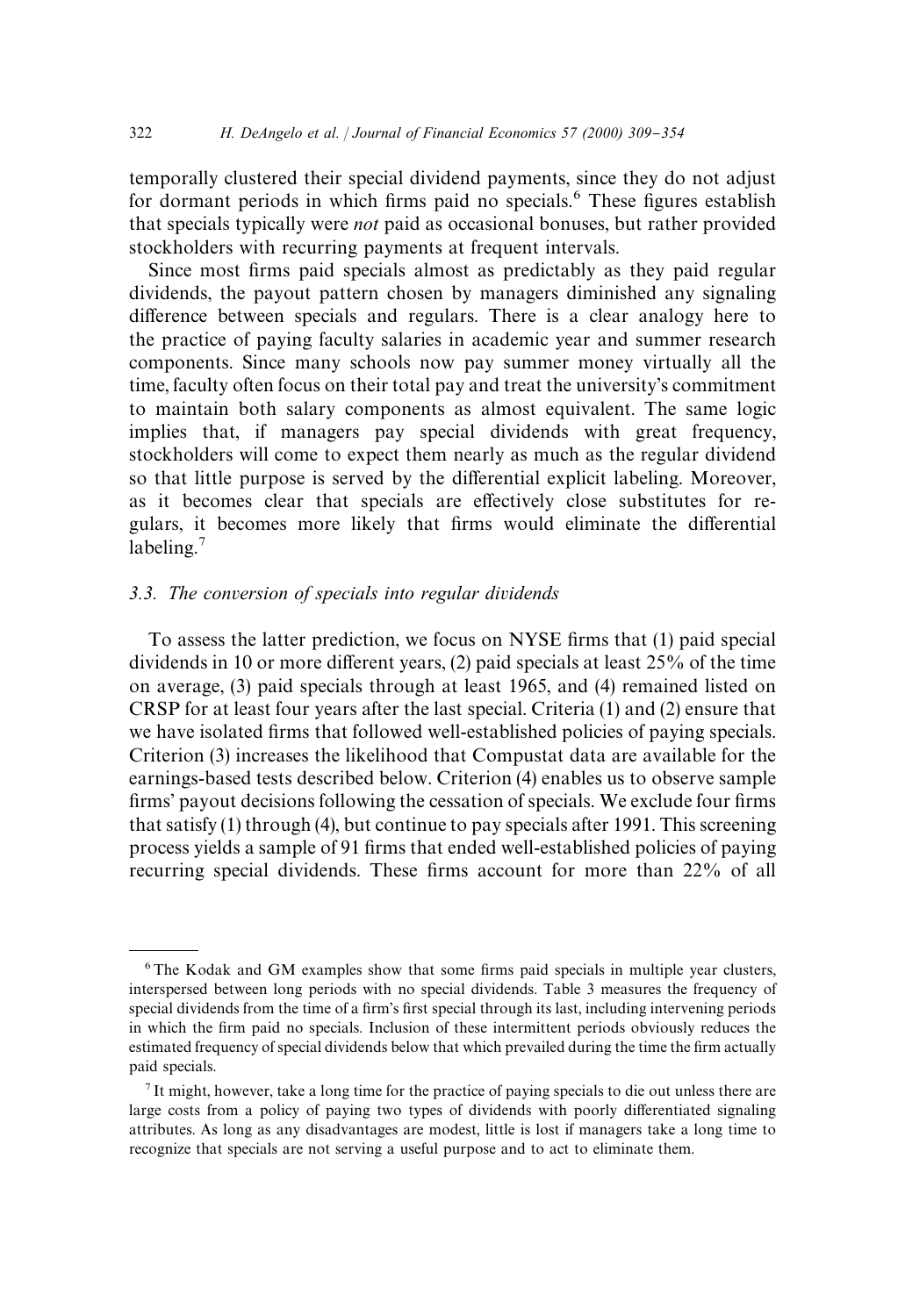temporally clustered their special dividend payments, since they do not adjust for dormant periods in which firms paid no specials.<sup>6</sup> These figures establish that specials typically were *not* paid as occasional bonuses, but rather provided stockholders with recurring payments at frequent intervals.

Since most firms paid specials almost as predictably as they paid regular dividends, the payout pattern chosen by managers diminished any signaling difference between specials and regulars. There is a clear analogy here to the practice of paying faculty salaries in academic year and summer research components. Since many schools now pay summer money virtually all the time, faculty often focus on their total pay and treat the university's commitment to maintain both salary components as almost equivalent. The same logic implies that, if managers pay special dividends with great frequency, stockholders will come to expect them nearly as much as the regular dividend so that little purpose is served by the differential explicit labeling. Moreover, as it becomes clear that specials are effectively close substitutes for regulars, it becomes more likely that firms would eliminate the differential labeling. $<sup>7</sup>$ </sup>

### *3.3. The conversion of specials into regular dividends*

To assess the latter prediction, we focus on NYSE firms that (1) paid special dividends in 10 or more different years,  $(2)$  paid specials at least  $25\%$  of the time on average, (3) paid specials through at least 1965, and (4) remained listed on CRSP for at least four years after the last special. Criteria (1) and (2) ensure that we have isolated firms that followed well-established policies of paying specials. Criterion (3) increases the likelihood that Compustat data are available for the earnings-based tests described below. Criterion (4) enables us to observe sample firms' payout decisions following the cessation of specials. We exclude four firms that satisfy (1) through (4), but continue to pay specials after 1991. This screening process yields a sample of 91 firms that ended well-established policies of paying recurring special dividends. These firms account for more than 22% of all

 $6$ The Kodak and GM examples show that some firms paid specials in multiple year clusters, interspersed between long periods with no special dividends. Table 3 measures the frequency of special dividends from the time of a firm's first special through its last, including intervening periods in which the firm paid no specials. Inclusion of these intermittent periods obviously reduces the estimated frequency of special dividends below that which prevailed during the time the firm actually paid specials.

<sup>7</sup> It might, however, take a long time for the practice of paying specials to die out unless there are large costs from a policy of paying two types of dividends with poorly differentiated signaling attributes. As long as any disadvantages are modest, little is lost if managers take a long time to recognize that specials are not serving a useful purpose and to act to eliminate them.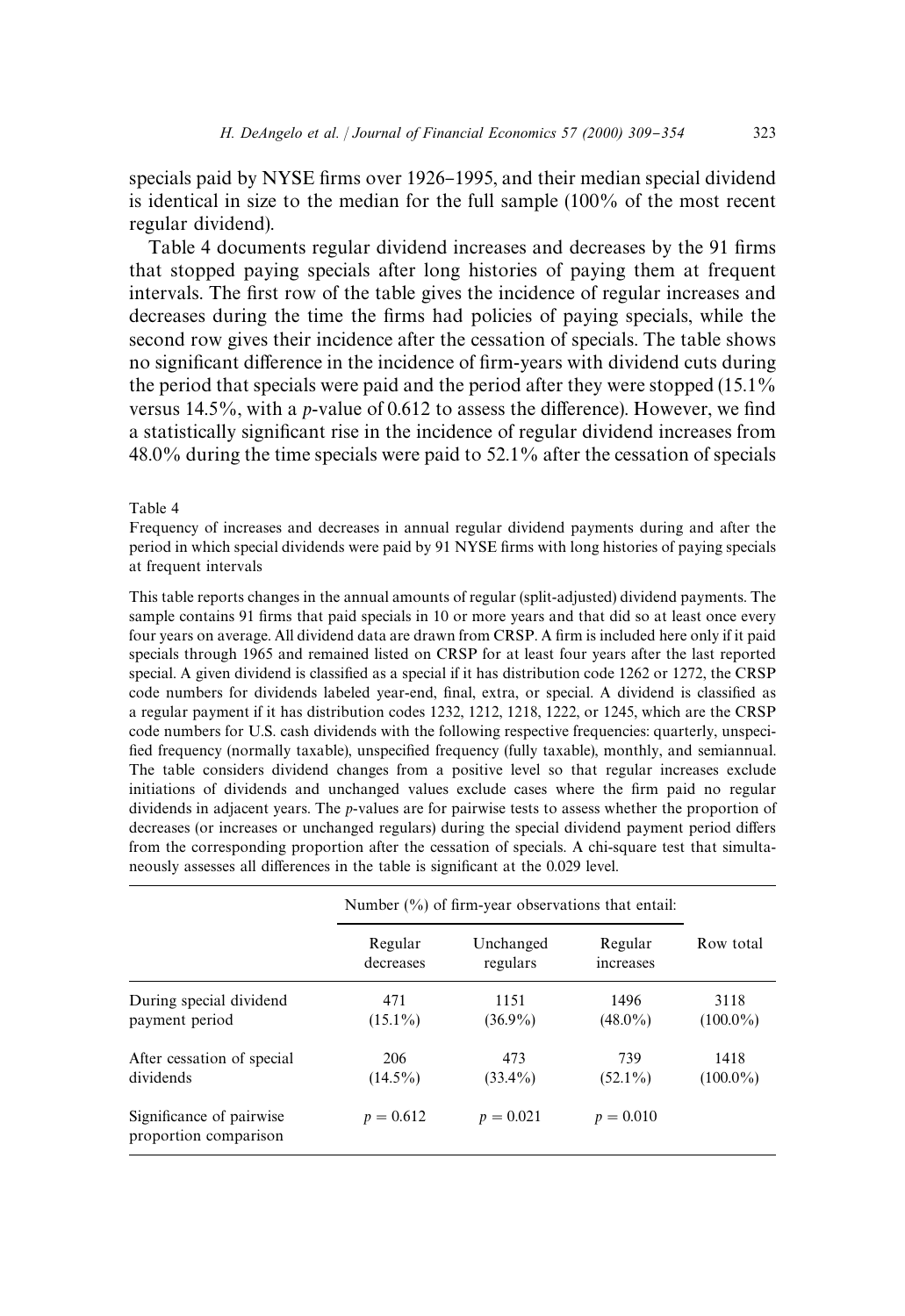specials paid by NYSE firms over 1926–1995, and their median special dividend is identical in size to the median for the full sample (100% of the most recent regular dividend).

Table 4 documents regular dividend increases and decreases by the 91 firms that stopped paying specials after long histories of paying them at frequent intervals. The first row of the table gives the incidence of regular increases and decreases during the time the firms had policies of paying specials, while the second row gives their incidence after the cessation of specials. The table shows no significant difference in the incidence of firm-years with dividend cuts during the period that specials were paid and the period after they were stopped (15.1% versus  $14.5\%$ , with a *p*-value of 0.612 to assess the difference). However, we find a statistically significant rise in the incidence of regular dividend increases from 48.0% during the time specials were paid to 52.1% after the cessation of specials

#### Table 4

Frequency of increases and decreases in annual regular dividend payments during and after the period in which special dividends were paid by 91 NYSE firms with long histories of paying specials at frequent intervals

This table reports changes in the annual amounts of regular (split-adjusted) dividend payments. The sample contains 91 firms that paid specials in 10 or more years and that did so at least once every four years on average. All dividend data are drawn from CRSP. A firm is included here only if it paid specials through 1965 and remained listed on CRSP for at least four years after the last reported special. A given dividend is classified as a special if it has distribution code 1262 or 1272, the CRSP code numbers for dividends labeled year-end, final, extra, or special. A dividend is classified as a regular payment if it has distribution codes 1232, 1212, 1218, 1222, or 1245, which are the CRSP code numbers for U.S. cash dividends with the following respective frequencies: quarterly, unspeci fied frequency (normally taxable), unspecified frequency (fully taxable), monthly, and semiannual. The table considers dividend changes from a positive level so that regular increases exclude initiations of dividends and unchanged values exclude cases where the firm paid no regular dividends in adjacent years. The *p*-values are for pairwise tests to assess whether the proportion of decreases (or increases or unchanged regulars) during the special dividend payment period differs from the corresponding proportion after the cessation of specials. A chi-square test that simultaneously assesses all differences in the table is significant at the 0.029 level.

|                                                   | Number $(\%)$ of firm-year observations that entail: |                       |                      |                     |
|---------------------------------------------------|------------------------------------------------------|-----------------------|----------------------|---------------------|
|                                                   | Regular<br>decreases                                 | Unchanged<br>regulars | Regular<br>increases | Row total           |
| During special dividend<br>payment period         | 471<br>$(15.1\%)$                                    | 1151<br>$(36.9\%)$    | 1496<br>$(48.0\%)$   | 3118<br>$(100.0\%)$ |
| After cessation of special<br>dividends           | 206<br>$(14.5\%)$                                    | 473<br>$(33.4\%)$     | 739<br>$(52.1\%)$    | 1418<br>$(100.0\%)$ |
| Significance of pairwise<br>proportion comparison | $p = 0.612$                                          | $p = 0.021$           | $p = 0.010$          |                     |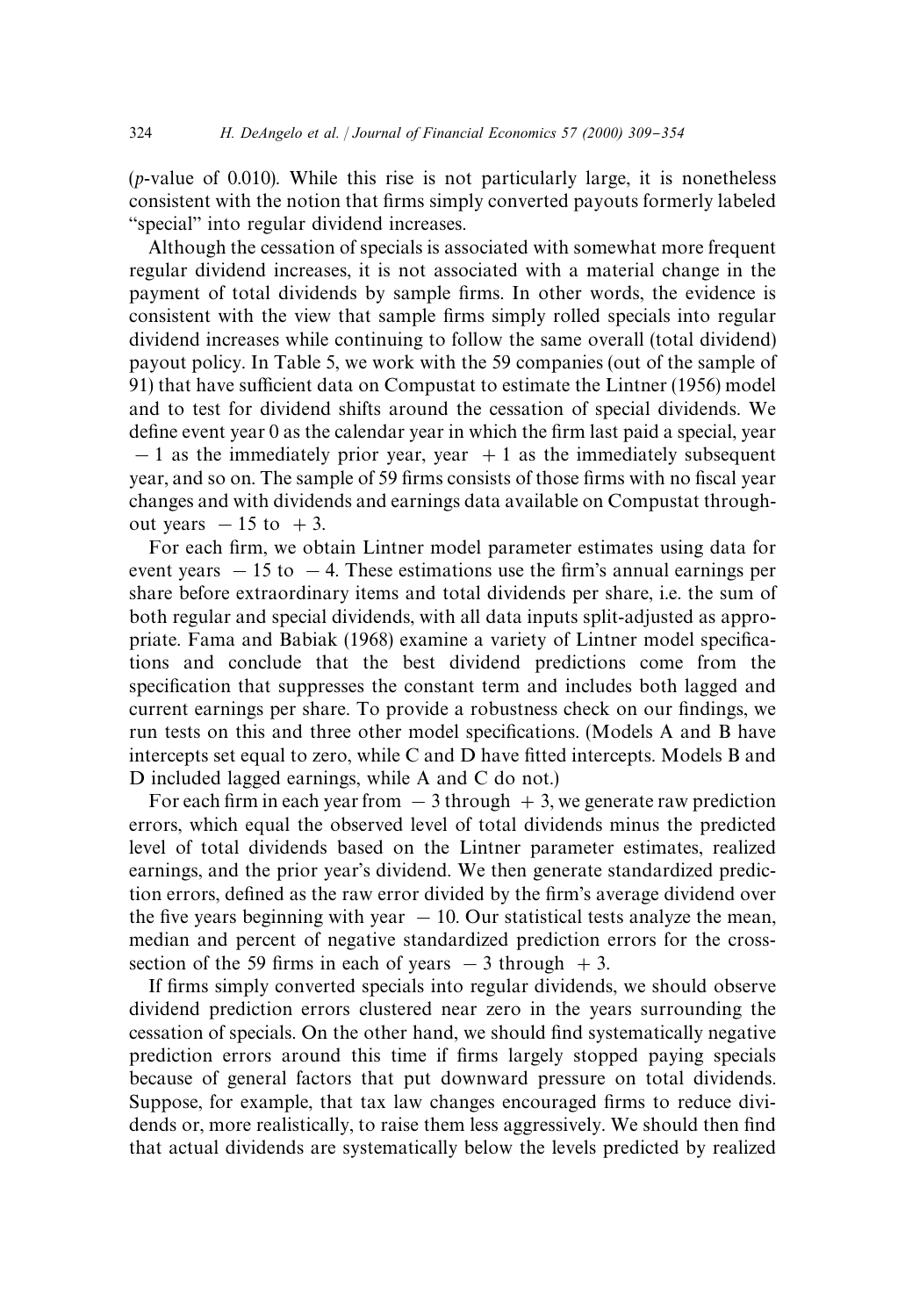(*p*-value of 0.010). While this rise is not particularly large, it is nonetheless consistent with the notion that firms simply converted payouts formerly labeled "special" into regular dividend increases.

Although the cessation of specials is associated with somewhat more frequent regular dividend increases, it is not associated with a material change in the payment of total dividends by sample firms. In other words, the evidence is consistent with the view that sample firms simply rolled specials into regular dividend increases while continuing to follow the same overall (total dividend) payout policy. In Table 5, we work with the 59 companies (out of the sample of  $91)$  that have sufficient data on Compustat to estimate the Lintner (1956) model and to test for dividend shifts around the cessation of special dividends. We define event year  $0$  as the calendar year in which the firm last paid a special, year  $-1$  as the immediately prior year, year  $+1$  as the immediately subsequent year, and so on. The sample of 59 firms consists of those firms with no fiscal year changes and with dividends and earnings data available on Compustat throughout years  $-15$  to  $+3$ .

For each firm, we obtain Lintner model parameter estimates using data for event years  $-15$  to  $-4$ . These estimations use the firm's annual earnings per share before extraordinary items and total dividends per share, i.e. the sum of both regular and special dividends, with all data inputs split-adjusted as appropriate. Fama and Babiak (1968) examine a variety of Lintner model specifications and conclude that the best dividend predictions come from the specification that suppresses the constant term and includes both lagged and current earnings per share. To provide a robustness check on our findings, we run tests on this and three other model specifications. (Models A and B have intercepts set equal to zero, while C and  $\overline{D}$  have fitted intercepts. Models B and D included lagged earnings, while A and C do not.)

For each firm in each year from  $-3$  through  $+3$ , we generate raw prediction errors, which equal the observed level of total dividends minus the predicted level of total dividends based on the Lintner parameter estimates, realized earnings, and the prior year's dividend. We then generate standardized prediction errors, defined as the raw error divided by the firm's average dividend over the five years beginning with year  $-10$ . Our statistical tests analyze the mean, median and percent of negative standardized prediction errors for the crosssection of the 59 firms in each of years  $-3$  through  $+3$ .

If firms simply converted specials into regular dividends, we should observe dividend prediction errors clustered near zero in the years surrounding the cessation of specials. On the other hand, we should find systematically negative prediction errors around this time if firms largely stopped paying specials because of general factors that put downward pressure on total dividends. Suppose, for example, that tax law changes encouraged firms to reduce dividends or, more realistically, to raise them less aggressively. We should then find that actual dividends are systematically below the levels predicted by realized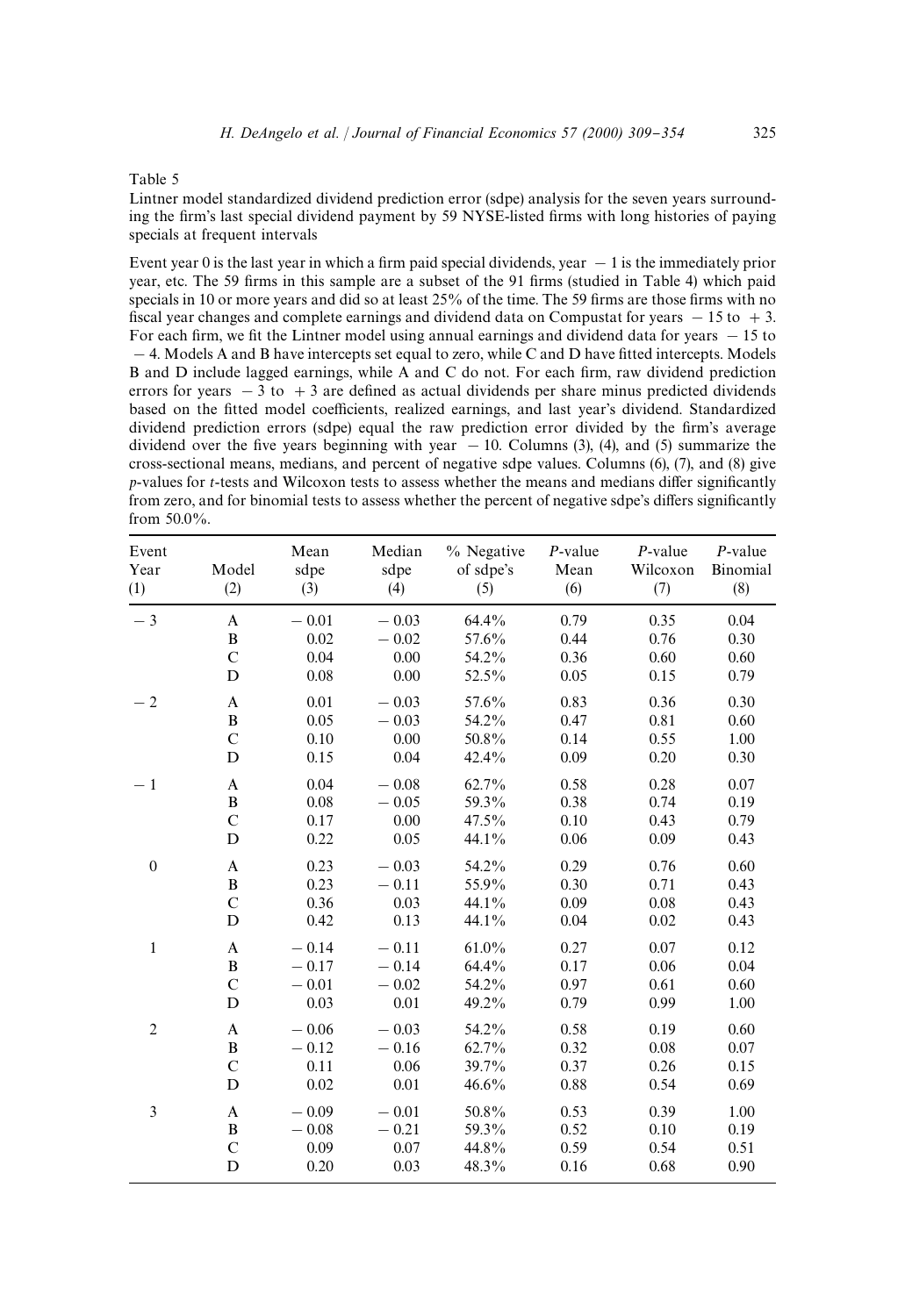#### Table 5

Lintner model standardized dividend prediction error (sdpe) analysis for the seven years surrounding the firm's last special dividend payment by 59 NYSE-listed firms with long histories of paying specials at frequent intervals

Event year 0 is the last year in which a firm paid special dividends, year  $-1$  is the immediately prior year, etc. The 59 firms in this sample are a subset of the 91 firms (studied in Table 4) which paid specials in 10 or more years and did so at least  $25%$  of the time. The 59 firms are those firms with no fiscal year changes and complete earnings and dividend data on Compustat for years  $-15$  to  $+3$ . For each firm, we fit the Lintner model using annual earnings and dividend data for years  $-15$  to  $-4$ . Models A and B have intercepts set equal to zero, while C and D have fitted intercepts. Models B and D include lagged earnings, while A and C do not. For each firm, raw dividend prediction errors for years  $-3$  to  $+3$  are defined as actual dividends per share minus predicted dividends based on the fitted model coefficients, realized earnings, and last year's dividend. Standardized dividend prediction errors (sdpe) equal the raw prediction error divided by the firm's average dividend over the five years beginning with year  $-10$ . Columns (3), (4), and (5) summarize the cross-sectional means, medians, and percent of negative sdpe values. Columns (6), (7), and (8) give *p*-values for *t*-tests and Wilcoxon tests to assess whether the means and medians differ significantly from zero, and for binomial tests to assess whether the percent of negative sdpe's differs significantly from 50.0%.

| Event<br>Year<br>(1) | Model<br>(2)  | Mean<br>sdpe<br>(3) | Median<br>sdpe<br>(4) | % Negative<br>of sdpe's<br>(5) | $P$ -value<br>Mean<br>(6) | $P$ -value<br>Wilcoxon<br>(7) | $P$ -value<br>Binomial<br>(8) |
|----------------------|---------------|---------------------|-----------------------|--------------------------------|---------------------------|-------------------------------|-------------------------------|
| $-3$                 | A             | $-0.01$             | $-0.03$               | 64.4%                          | 0.79                      | 0.35                          | 0.04                          |
|                      | $\, {\bf B}$  | 0.02                | $-0.02$               | 57.6%                          | 0.44                      | 0.76                          | 0.30                          |
|                      | $\mathbf C$   | 0.04                | 0.00                  | 54.2%                          | 0.36                      | 0.60                          | 0.60                          |
|                      | D             | 0.08                | 0.00                  | 52.5%                          | 0.05                      | 0.15                          | 0.79                          |
| $-2$                 | A             | 0.01                | $-0.03$               | 57.6%                          | 0.83                      | 0.36                          | 0.30                          |
|                      | $\, {\bf B}$  | 0.05                | $-0.03$               | 54.2%                          | 0.47                      | 0.81                          | 0.60                          |
|                      | $\mathbf C$   | 0.10                | 0.00                  | 50.8%                          | 0.14                      | 0.55                          | 1.00                          |
|                      | D             | 0.15                | 0.04                  | 42.4%                          | 0.09                      | 0.20                          | 0.30                          |
| $-1$                 | A             | 0.04                | $-0.08$               | 62.7%                          | 0.58                      | 0.28                          | 0.07                          |
|                      | $\, {\bf B}$  | 0.08                | $-0.05$               | 59.3%                          | 0.38                      | 0.74                          | 0.19                          |
|                      | $\mathbf C$   | 0.17                | 0.00                  | 47.5%                          | 0.10                      | 0.43                          | 0.79                          |
|                      | D             | 0.22                | 0.05                  | 44.1%                          | 0.06                      | 0.09                          | 0.43                          |
| $\boldsymbol{0}$     | A             | 0.23                | $-0.03$               | 54.2%                          | 0.29                      | 0.76                          | 0.60                          |
|                      | $\, {\bf B}$  | 0.23                | $-0.11$               | 55.9%                          | 0.30                      | 0.71                          | 0.43                          |
|                      | $\mathbf C$   | 0.36                | 0.03                  | 44.1%                          | 0.09                      | 0.08                          | 0.43                          |
|                      | D             | 0.42                | 0.13                  | 44.1%                          | 0.04                      | 0.02                          | 0.43                          |
| $\mathbf{1}$         | A             | $-0.14$             | $-0.11$               | 61.0%                          | 0.27                      | 0.07                          | 0.12                          |
|                      | $\, {\bf B}$  | $-0.17$             | $-0.14$               | 64.4%                          | 0.17                      | 0.06                          | 0.04                          |
|                      | $\mathbf C$   | $-0.01$             | $-0.02$               | 54.2%                          | 0.97                      | 0.61                          | 0.60                          |
|                      | D             | 0.03                | 0.01                  | 49.2%                          | 0.79                      | 0.99                          | 1.00                          |
| $\overline{2}$       | A             | $-0.06$             | $-0.03$               | 54.2%                          | 0.58                      | 0.19                          | 0.60                          |
|                      | $\, {\bf B}$  | $-0.12$             | $-0.16$               | 62.7%                          | 0.32                      | 0.08                          | 0.07                          |
|                      | $\mathbf C$   | 0.11                | 0.06                  | 39.7%                          | 0.37                      | 0.26                          | 0.15                          |
|                      | D             | 0.02                | 0.01                  | 46.6%                          | 0.88                      | 0.54                          | 0.69                          |
| 3                    | A             | $-0.09$             | $-0.01$               | 50.8%                          | 0.53                      | 0.39                          | 1.00                          |
|                      | $\, {\bf B}$  | $-0.08$             | $-0.21$               | 59.3%                          | 0.52                      | 0.10                          | 0.19                          |
|                      | $\mathcal{C}$ | 0.09                | 0.07                  | 44.8%                          | 0.59                      | 0.54                          | 0.51                          |
|                      | D             | 0.20                | 0.03                  | 48.3%                          | 0.16                      | 0.68                          | 0.90                          |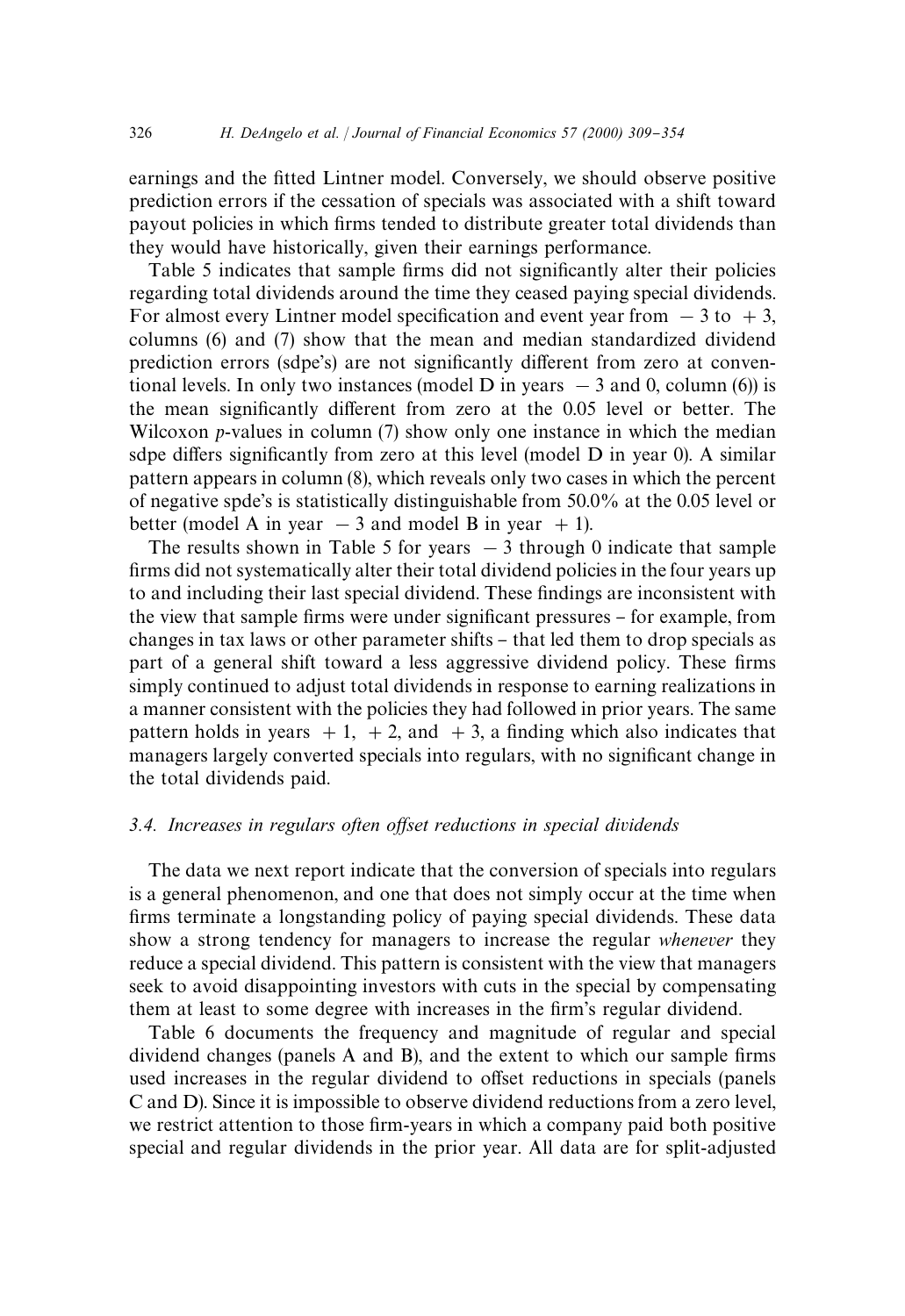earnings and the fitted Lintner model. Conversely, we should observe positive prediction errors if the cessation of specials was associated with a shift toward payout policies in which firms tended to distribute greater total dividends than they would have historically, given their earnings performance.

Table 5 indicates that sample firms did not significantly alter their policies regarding total dividends around the time they ceased paying special dividends. For almost every Lintner model specification and event year from  $-3$  to  $+3$ , columns (6) and (7) show that the mean and median standardized dividend prediction errors (sdpe's) are not significantly different from zero at conventional levels. In only two instances (model D in years  $-3$  and 0, column (6)) is the mean significantly different from zero at the 0.05 level or better. The Wilcoxon *p*-values in column (7) show only one instance in which the median sdpe differs significantly from zero at this level (model D in year 0). A similar pattern appears in column (8), which reveals only two cases in which the percent of negative spde's is statistically distinguishable from 50.0% at the 0.05 level or better (model A in year  $-3$  and model B in year  $+1$ ).

The results shown in Table 5 for years  $-3$  through 0 indicate that sample firms did not systematically alter their total dividend policies in the four years up to and including their last special dividend. These findings are inconsistent with the view that sample firms were under significant pressures – for example, from changes in tax laws or other parameter shifts – that led them to drop specials as part of a general shift toward a less aggressive dividend policy. These firms simply continued to adjust total dividends in response to earning realizations in a manner consistent with the policies they had followed in prior years. The same pattern holds in years  $+1$ ,  $+2$ , and  $+3$ , a finding which also indicates that managers largely converted specials into regulars, with no significant change in the total dividends paid.

# 3.4. Increases in regulars often offset reductions in special dividends

The data we next report indicate that the conversion of specials into regulars is a general phenomenon, and one that does not simply occur at the time when firms terminate a longstanding policy of paying special dividends. These data show a strong tendency for managers to increase the regular *whenever* they reduce a special dividend. This pattern is consistent with the view that managers seek to avoid disappointing investors with cuts in the special by compensating them at least to some degree with increases in the firm's regular dividend.

Table 6 documents the frequency and magnitude of regular and special dividend changes (panels A and B), and the extent to which our sample firms used increases in the regular dividend to offset reductions in specials (panels C and D). Since it is impossible to observe dividend reductions from a zero level, we restrict attention to those firm-years in which a company paid both positive special and regular dividends in the prior year. All data are for split-adjusted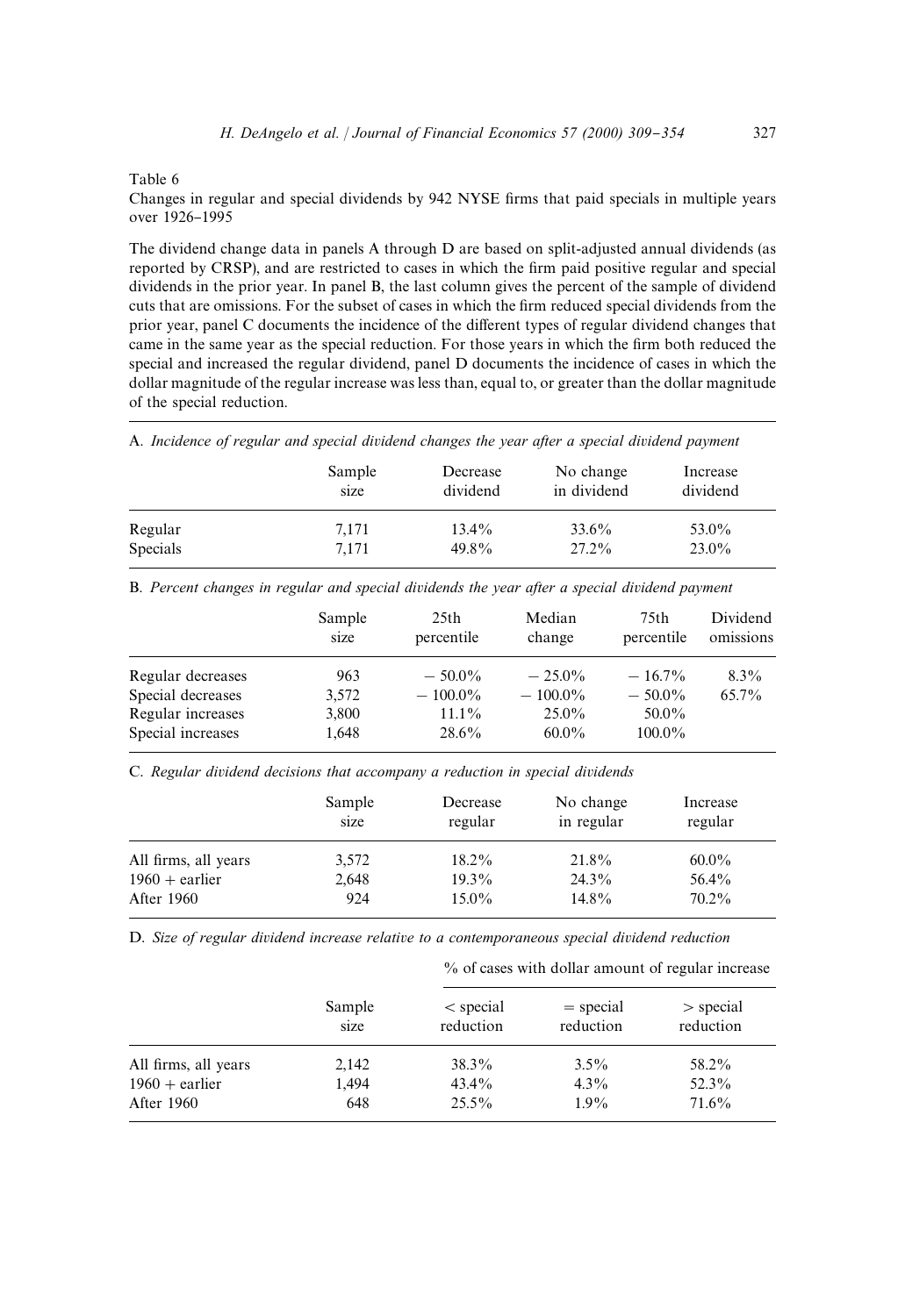#### Table 6

Changes in regular and special dividends by 942 NYSE firms that paid specials in multiple years over 1926-1995

The dividend change data in panels A through D are based on split-adjusted annual dividends (as reported by CRSP), and are restricted to cases in which the firm paid positive regular and special dividends in the prior year. In panel B, the last column gives the percent of the sample of dividend cuts that are omissions. For the subset of cases in which the firm reduced special dividends from the prior year, panel C documents the incidence of the different types of regular dividend changes that came in the same year as the special reduction. For those years in which the firm both reduced the special and increased the regular dividend, panel D documents the incidence of cases in which the dollar magnitude of the regular increase was less than, equal to, or greater than the dollar magnitude of the special reduction.

A. *Incidence of regular and special dividend changes the year after a special dividend payment*

|                 | Sample | Decrease | No change   | Increase |
|-----------------|--------|----------|-------------|----------|
|                 | size   | dividend | in dividend | dividend |
| Regular         | 7.171  | 13.4%    | 33.6%       | 53.0%    |
| <b>Specials</b> | 7.171  | $49.8\%$ | $27.2\%$    | $23.0\%$ |

B. *Percent changes in regular and special dividends the year after a special dividend payment*

|                   | Sample<br>size | 25 <sub>th</sub><br>percentile | Median<br>change | 75th<br>percentile | Dividend<br>omissions |
|-------------------|----------------|--------------------------------|------------------|--------------------|-----------------------|
| Regular decreases | 963            | $-50.0\%$                      | $-25.0\%$        | $-16.7\%$          | $8.3\%$               |
| Special decreases | 3.572          | $-100.0\%$                     | $-100.0\%$       | $-50.0\%$          | $65.7\%$              |
| Regular increases | 3,800          | $11.1\%$                       | $25.0\%$         | $50.0\%$           |                       |
| Special increases | 1,648          | $28.6\%$                       | $60.0\%$         | $100.0\%$          |                       |

C. *Regular dividend decisions that accompany a reduction in special dividends*

|                      | Sample<br>size | Decrease<br>regular | No change<br>in regular | Increase<br>regular |
|----------------------|----------------|---------------------|-------------------------|---------------------|
| All firms, all years | 3.572          | $18.2\%$            | 21.8%                   | $60.0\%$            |
| $1960 +$ earlier     | 2.648          | $19.3\%$            | $24.3\%$                | 56.4%               |
| After 1960           | 924            | $15.0\%$            | 14.8%                   | $70.2\%$            |

D. *Size of regular dividend increase relative to a contemporaneous special dividend reduction*

% of cases with dollar amount of regular increase

| Sample<br>size | $\le$ special<br>reduction | $=$ special<br>reduction | $>$ special<br>reduction |  |
|----------------|----------------------------|--------------------------|--------------------------|--|
| 2,142          | 38.3%                      | $3.5\%$                  | 58.2%                    |  |
| 1.494          | $43.4\%$                   | $4.3\%$                  | $52.3\%$                 |  |
| 648            | $25.5\%$                   | $1.9\%$                  | $71.6\%$                 |  |
|                |                            |                          |                          |  |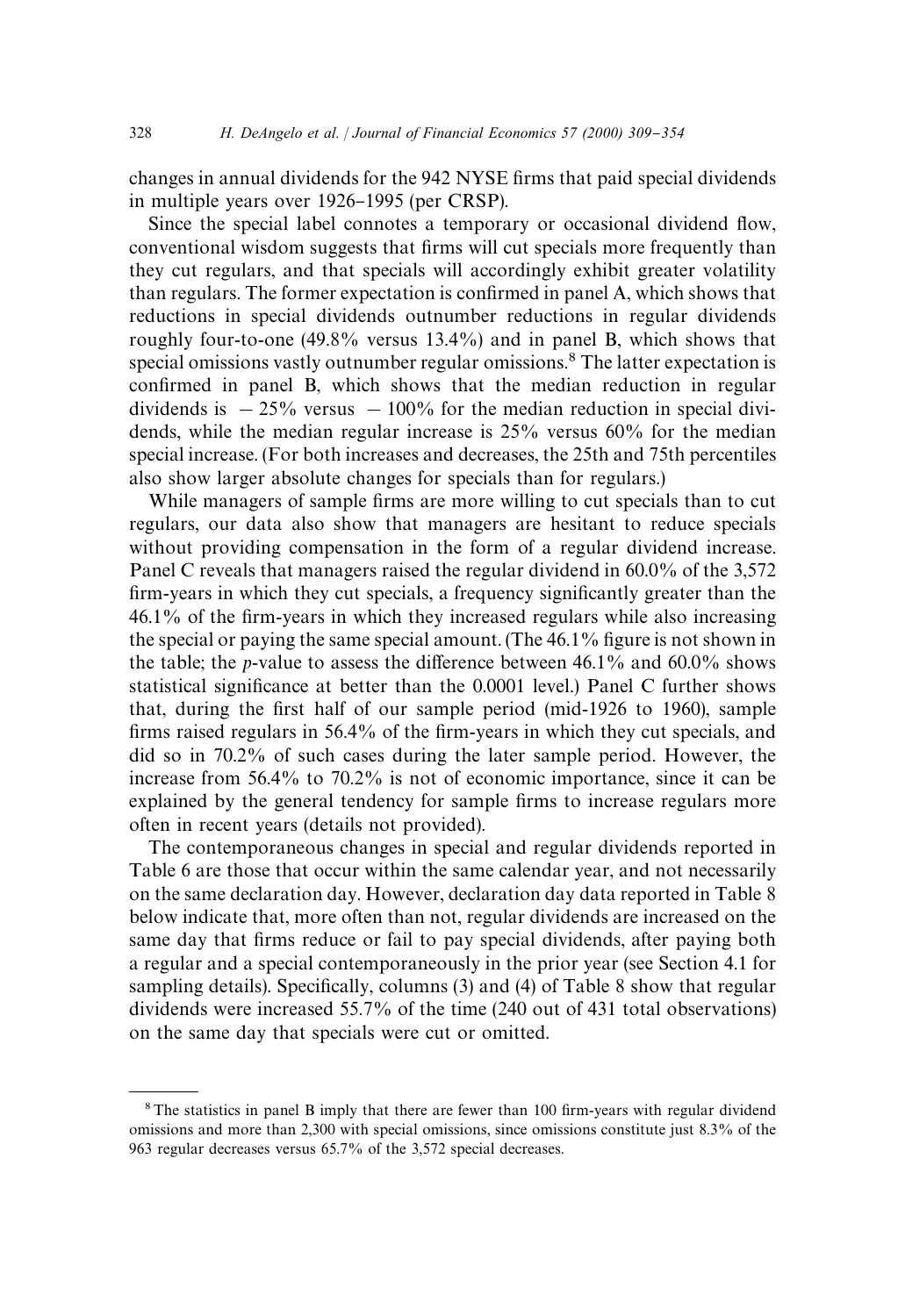changes in annual dividends for the 942 NYSE firms that paid special dividends in multiple years over 1926–1995 (per CRSP).

Since the special label connotes a temporary or occasional dividend flow, conventional wisdom suggests that firms will cut specials more frequently than they cut regulars, and that specials will accordingly exhibit greater volatility than regulars. The former expectation is confirmed in panel A, which shows that reductions in special dividends outnumber reductions in regular dividends roughly four-to-one (49.8% versus 13.4%) and in panel B, which shows that special omissions vastly outnumber regular omissions.<sup>8</sup> The latter expectation is confirmed in panel B, which shows that the median reduction in regular dividends is  $-25\%$  versus  $-100\%$  for the median reduction in special dividends, while the median regular increase is 25% versus 60% for the median special increase. (For both increases and decreases, the 25th and 75th percentiles also show larger absolute changes for specials than for regulars.)

While managers of sample firms are more willing to cut specials than to cut regulars, our data also show that managers are hesitant to reduce specials without providing compensation in the form of a regular dividend increase. Panel C reveals that managers raised the regular dividend in 60.0% of the 3,572 firm-years in which they cut specials, a frequency significantly greater than the 46.1% of the firm-years in which they increased regulars while also increasing the special or paying the same special amount. (The  $46.1\%$  figure is not shown in the table; the *p*-value to assess the difference between  $46.1\%$  and  $60.0\%$  shows statistical significance at better than the 0.0001 level.) Panel C further shows that, during the first half of our sample period (mid-1926 to 1960), sample firms raised regulars in  $56.4\%$  of the firm-years in which they cut specials, and did so in 70.2% of such cases during the later sample period. However, the increase from 56.4% to 70.2% is not of economic importance, since it can be explained by the general tendency for sample firms to increase regulars more often in recent years (details not provided).

The contemporaneous changes in special and regular dividends reported in Table 6 are those that occur within the same calendar year, and not necessarily on the same declaration day. However, declaration day data reported in Table 8 below indicate that, more often than not, regular dividends are increased on the same day that firms reduce or fail to pay special dividends, after paying both a regular and a special contemporaneously in the prior year (see Section 4.1 for sampling details). Specifically, columns (3) and (4) of Table 8 show that regular dividends were increased 55.7% of the time (240 out of 431 total observations) on the same day that specials were cut or omitted.

 $8$ The statistics in panel B imply that there are fewer than 100 firm-years with regular dividend omissions and more than 2,300 with special omissions, since omissions constitute just 8.3% of the 963 regular decreases versus 65.7% of the 3,572 special decreases.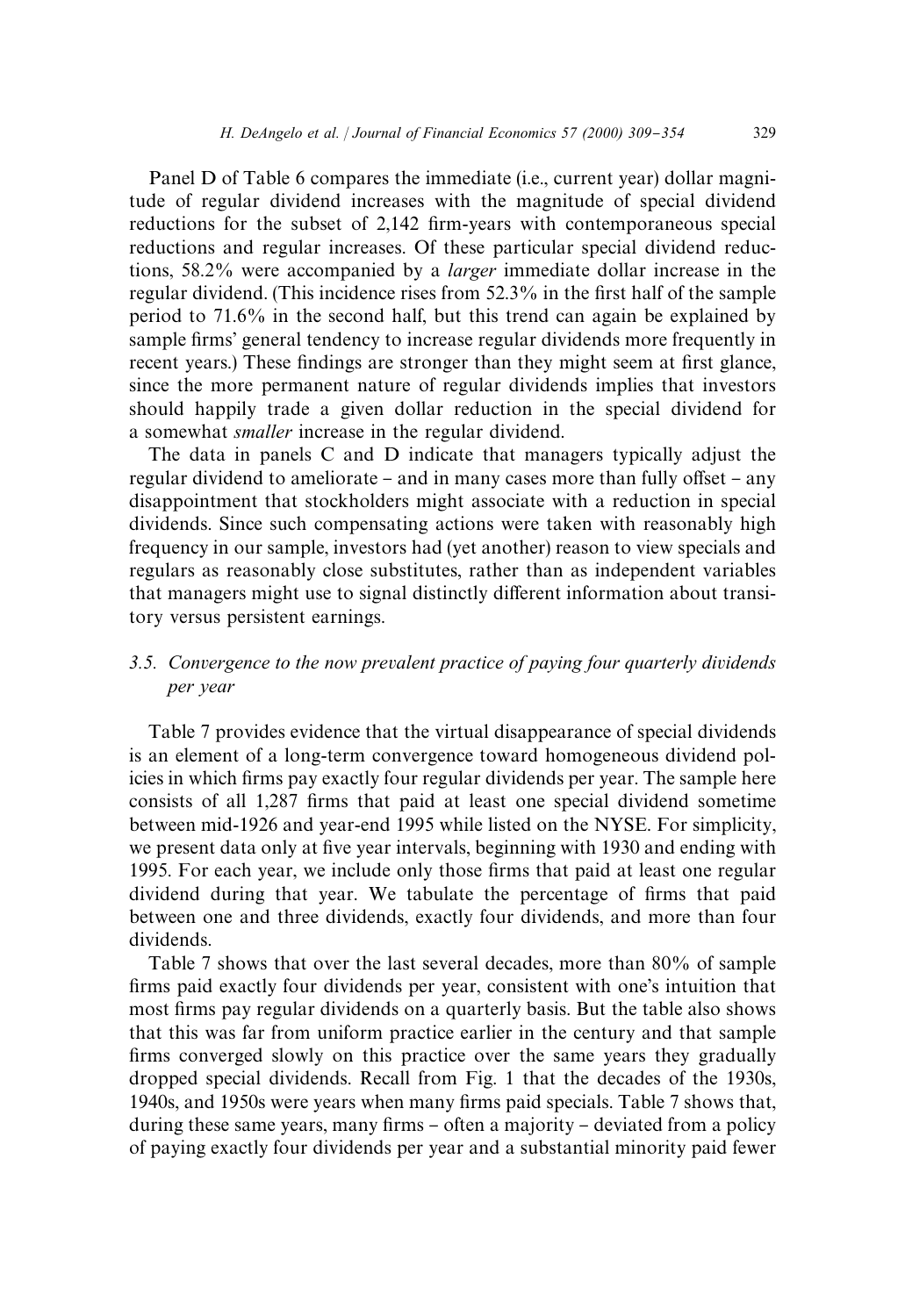Panel D of Table 6 compares the immediate (i.e., current year) dollar magnitude of regular dividend increases with the magnitude of special dividend reductions for the subset of 2,142 firm-years with contemporaneous special reductions and regular increases. Of these particular special dividend reductions, 58.2% were accompanied by a *larger* immediate dollar increase in the regular dividend. (This incidence rises from 52.3% in the first half of the sample period to 71.6% in the second half, but this trend can again be explained by sample firms' general tendency to increase regular dividends more frequently in recent years.) These findings are stronger than they might seem at first glance, since the more permanent nature of regular dividends implies that investors should happily trade a given dollar reduction in the special dividend for a somewhat *smaller* increase in the regular dividend.

The data in panels C and D indicate that managers typically adjust the regular dividend to ameliorate – and in many cases more than fully offset – any disappointment that stockholders might associate with a reduction in special dividends. Since such compensating actions were taken with reasonably high frequency in our sample, investors had (yet another) reason to view specials and regulars as reasonably close substitutes, rather than as independent variables that managers might use to signal distinctly different information about transitory versus persistent earnings.

# *3.5. Convergence to the now prevalent practice of paying four quarterly dividends per year*

Table 7 provides evidence that the virtual disappearance of special dividends is an element of a long-term convergence toward homogeneous dividend policies in which firms pay exactly four regular dividends per year. The sample here consists of all 1,287 firms that paid at least one special dividend sometime between mid-1926 and year-end 1995 while listed on the NYSE. For simplicity, we present data only at five year intervals, beginning with 1930 and ending with 1995. For each year, we include only those firms that paid at least one regular dividend during that year. We tabulate the percentage of firms that paid between one and three dividends, exactly four dividends, and more than four dividends.

Table 7 shows that over the last several decades, more than 80% of sample firms paid exactly four dividends per year, consistent with one's intuition that most firms pay regular dividends on a quarterly basis. But the table also shows that this was far from uniform practice earlier in the century and that sample firms converged slowly on this practice over the same years they gradually dropped special dividends. Recall from Fig. 1 that the decades of the 1930s, 1940s, and 1950s were years when many firms paid specials. Table 7 shows that, during these same years, many firms - often a majority - deviated from a policy of paying exactly four dividends per year and a substantial minority paid fewer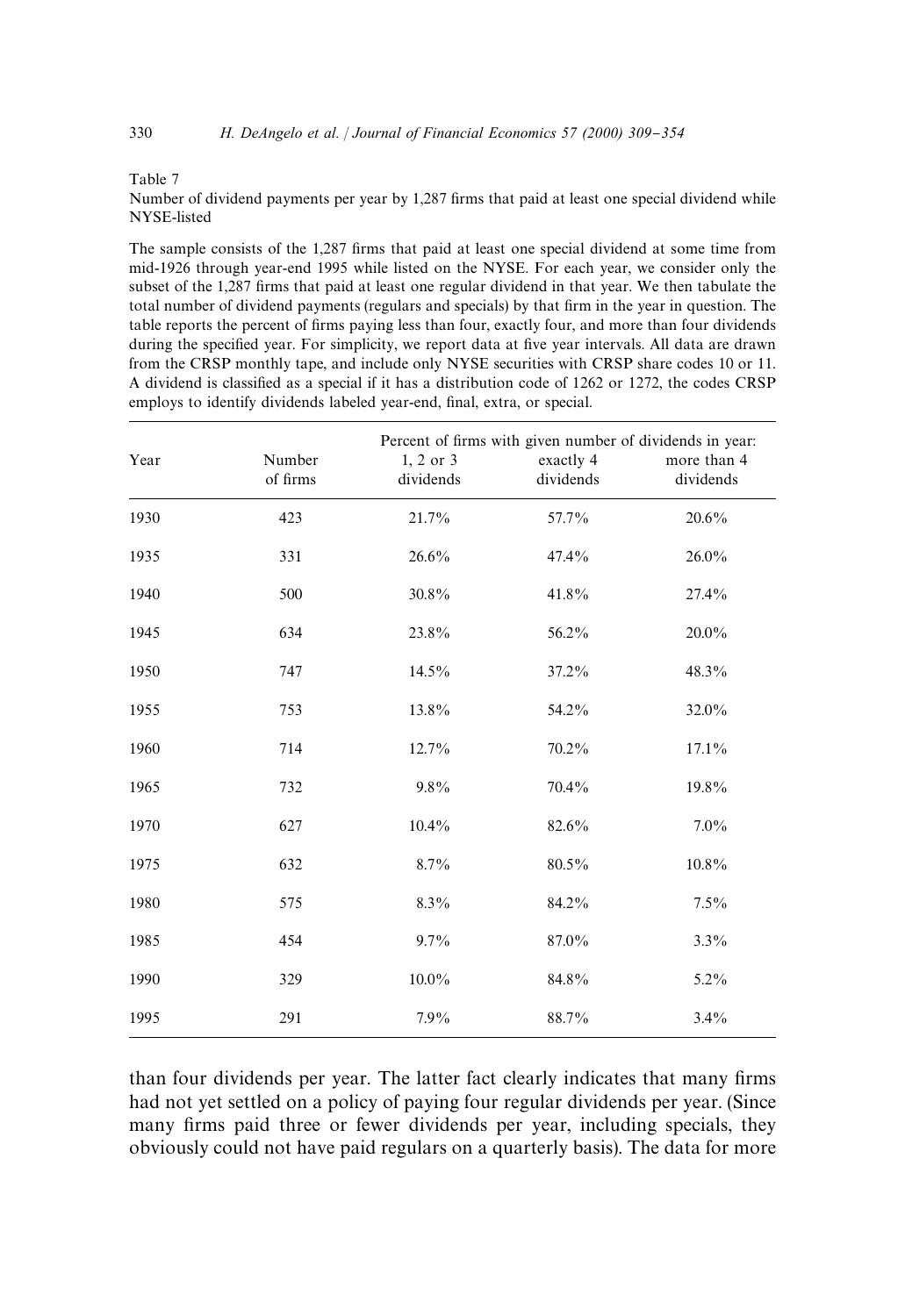#### Table 7

Number of dividend payments per year by 1,287 firms that paid at least one special dividend while NYSE-listed

The sample consists of the 1,287 firms that paid at least one special dividend at some time from mid-1926 through year-end 1995 while listed on the NYSE. For each year, we consider only the subset of the 1,287 firms that paid at least one regular dividend in that year. We then tabulate the total number of dividend payments (regulars and specials) by that firm in the year in question. The table reports the percent of firms paying less than four, exactly four, and more than four dividends during the specified year. For simplicity, we report data at five year intervals. All data are drawn from the CRSP monthly tape, and include only NYSE securities with CRSP share codes 10 or 11. A dividend is classified as a special if it has a distribution code of 1262 or 1272, the codes CRSP employs to identify dividends labeled year-end, final, extra, or special.

| Year | Number<br>of firms | 1, 2 or 3<br>dividends | Percent of firms with given number of dividends in year:<br>exactly 4<br>dividends | more than 4<br>dividends |
|------|--------------------|------------------------|------------------------------------------------------------------------------------|--------------------------|
| 1930 | 423                | 21.7%                  | 57.7%                                                                              | 20.6%                    |
| 1935 | 331                | 26.6%                  | 47.4%                                                                              | 26.0%                    |
| 1940 | 500                | 30.8%                  | 41.8%                                                                              | 27.4%                    |
| 1945 | 634                | 23.8%                  | 56.2%                                                                              | 20.0%                    |
| 1950 | 747                | 14.5%                  | 37.2%                                                                              | 48.3%                    |
| 1955 | 753                | 13.8%                  | 54.2%                                                                              | 32.0%                    |
| 1960 | 714                | 12.7%                  | 70.2%                                                                              | $17.1\%$                 |
| 1965 | 732                | $9.8\%$                | 70.4%                                                                              | 19.8%                    |
| 1970 | 627                | 10.4%                  | 82.6%                                                                              | 7.0%                     |
| 1975 | 632                | 8.7%                   | 80.5%                                                                              | 10.8%                    |
| 1980 | 575                | $8.3\%$                | 84.2%                                                                              | $7.5\%$                  |
| 1985 | 454                | 9.7%                   | 87.0%                                                                              | $3.3\%$                  |
| 1990 | 329                | 10.0%                  | 84.8%                                                                              | $5.2\%$                  |
| 1995 | 291                | 7.9%                   | 88.7%                                                                              | 3.4%                     |

than four dividends per year. The latter fact clearly indicates that many firms had not yet settled on a policy of paying four regular dividends per year. (Since many firms paid three or fewer dividends per year, including specials, they obviously could not have paid regulars on a quarterly basis). The data for more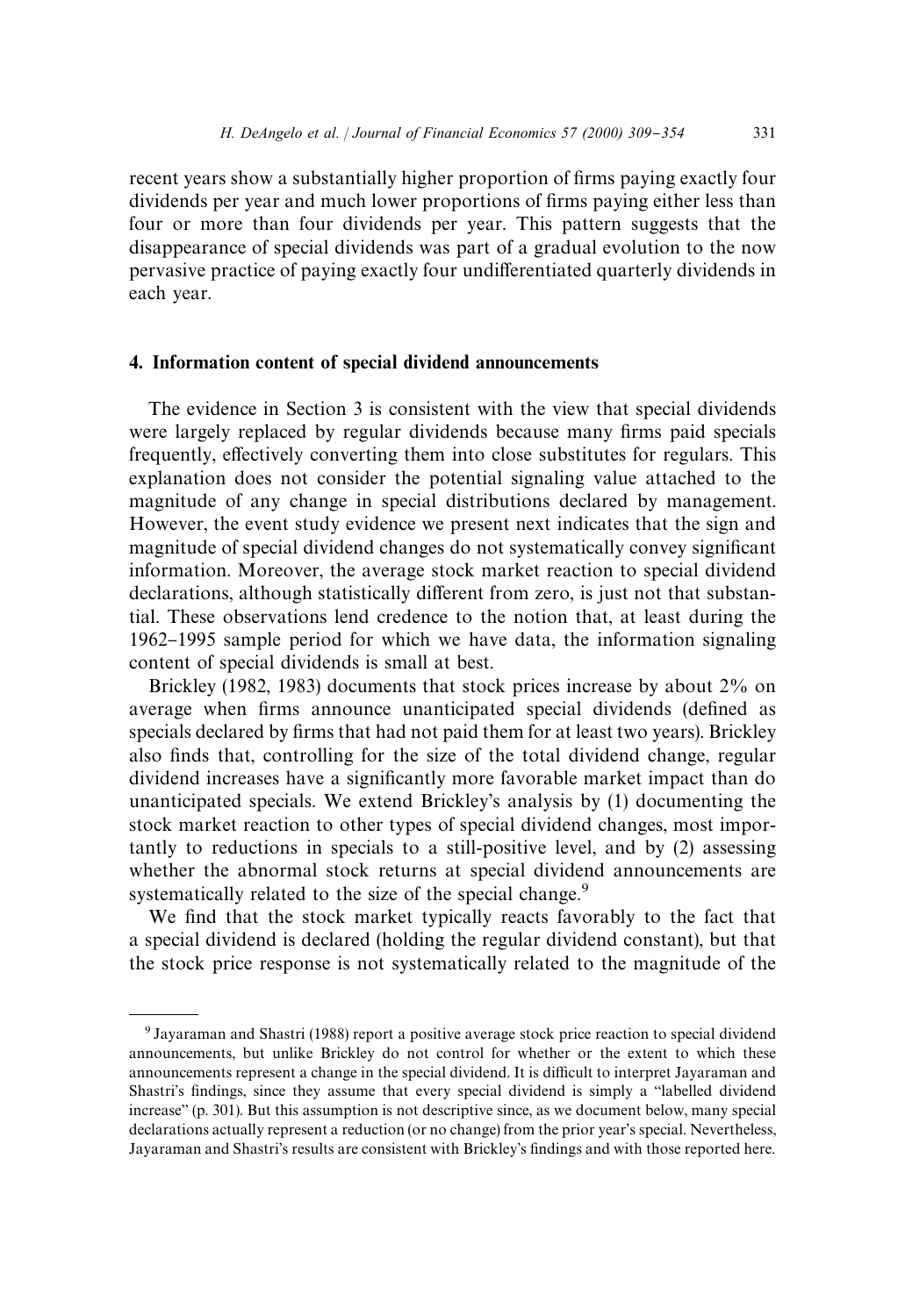recent years show a substantially higher proportion of firms paying exactly four dividends per year and much lower proportions of firms paying either less than four or more than four dividends per year. This pattern suggests that the disappearance of special dividends was part of a gradual evolution to the now pervasive practice of paying exactly four undifferentiated quarterly dividends in each year.

# 4. Information content of special dividend announcements

The evidence in Section 3 is consistent with the view that special dividends were largely replaced by regular dividends because many firms paid specials frequently, effectively converting them into close substitutes for regulars. This explanation does not consider the potential signaling value attached to the magnitude of any change in special distributions declared by management. However, the event study evidence we present next indicates that the sign and magnitude of special dividend changes do not systematically convey significant information. Moreover, the average stock market reaction to special dividend declarations, although statistically different from zero, is just not that substantial. These observations lend credence to the notion that, at least during the 1962}1995 sample period for which we have data, the information signaling content of special dividends is small at best.

Brickley (1982, 1983) documents that stock prices increase by about 2% on average when firms announce unanticipated special dividends (defined as specials declared by firms that had not paid them for at least two years). Brickley also finds that, controlling for the size of the total dividend change, regular dividend increases have a significantly more favorable market impact than do unanticipated specials. We extend Brickley's analysis by (1) documenting the stock market reaction to other types of special dividend changes, most importantly to reductions in specials to a still-positive level, and by (2) assessing whether the abnormal stock returns at special dividend announcements are systematically related to the size of the special change.<sup>9</sup>

We find that the stock market typically reacts favorably to the fact that a special dividend is declared (holding the regular dividend constant), but that the stock price response is not systematically related to the magnitude of the

<sup>9</sup> Jayaraman and Shastri (1988) report a positive average stock price reaction to special dividend announcements, but unlike Brickley do not control for whether or the extent to which these announcements represent a change in the special dividend. It is difficult to interpret Jayaraman and Shastri's findings, since they assume that every special dividend is simply a "labelled dividend  $increases$ <sup>o</sup> (p. 301). But this assumption is not descriptive since, as we document below, many special declarations actually represent a reduction (or no change) from the prior year's special. Nevertheless, Jayaraman and Shastri's results are consistent with Brickley's findings and with those reported here.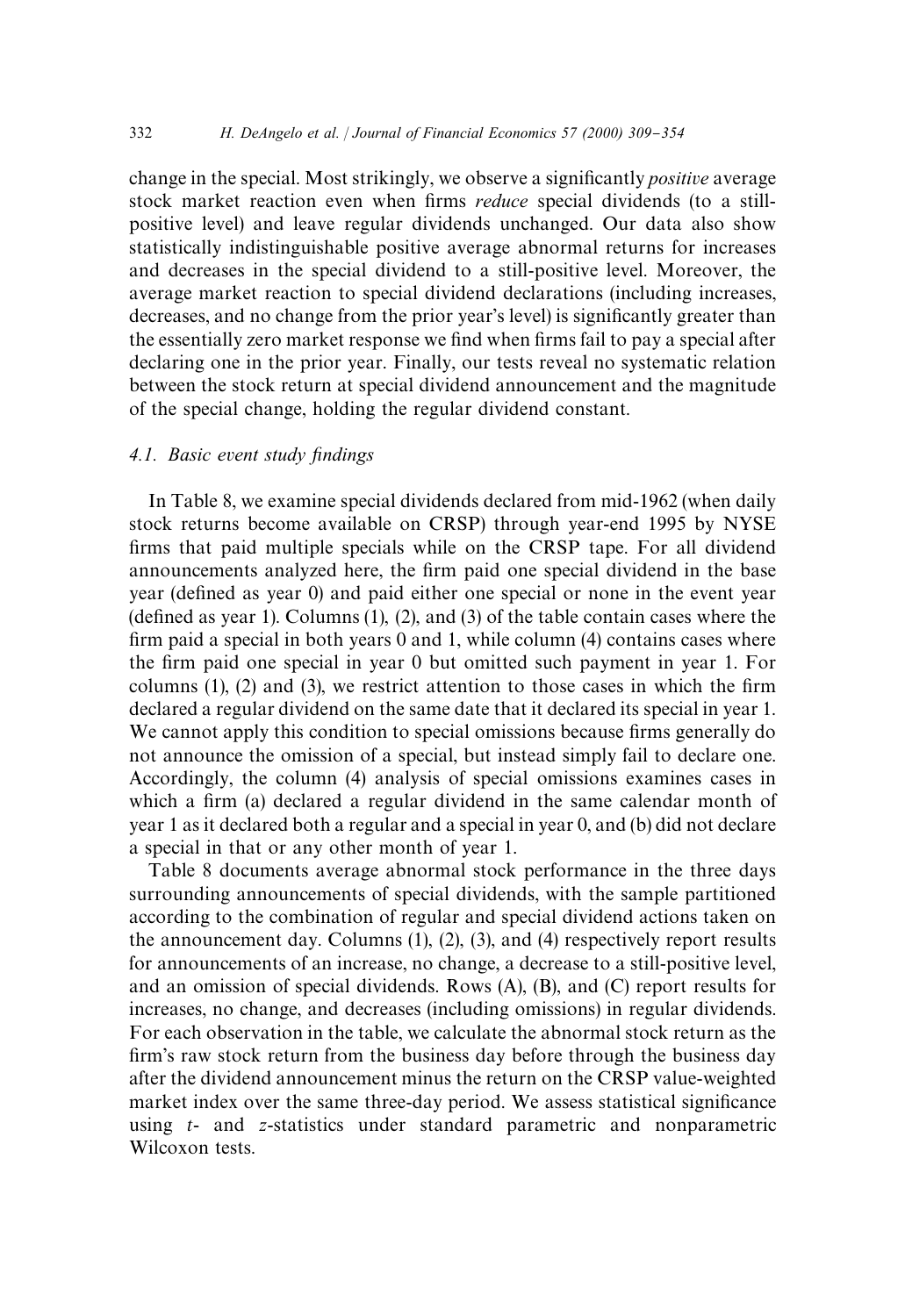change in the special. Most strikingly, we observe a significantly *positive* average stock market reaction even when firms *reduce* special dividends (to a stillpositive level) and leave regular dividends unchanged. Our data also show statistically indistinguishable positive average abnormal returns for increases and decreases in the special dividend to a still-positive level. Moreover, the average market reaction to special dividend declarations (including increases, decreases, and no change from the prior year's level) is significantly greater than the essentially zero market response we find when firms fail to pay a special after declaring one in the prior year. Finally, our tests reveal no systematic relation between the stock return at special dividend announcement and the magnitude of the special change, holding the regular dividend constant.

#### *4.1. Basic event study findings*

In Table 8, we examine special dividends declared from mid-1962 (when daily stock returns become available on CRSP) through year-end 1995 by NYSE firms that paid multiple specials while on the CRSP tape. For all dividend announcements analyzed here, the firm paid one special dividend in the base year (defined as year 0) and paid either one special or none in the event year (defined as year 1). Columns  $(1)$ ,  $(2)$ , and  $(3)$  of the table contain cases where the firm paid a special in both years  $0$  and  $1$ , while column  $(4)$  contains cases where the firm paid one special in year 0 but omitted such payment in year 1. For columns  $(1)$ ,  $(2)$  and  $(3)$ , we restrict attention to those cases in which the firm declared a regular dividend on the same date that it declared its special in year 1. We cannot apply this condition to special omissions because firms generally do not announce the omission of a special, but instead simply fail to declare one. Accordingly, the column (4) analysis of special omissions examines cases in which a firm (a) declared a regular dividend in the same calendar month of year 1 as it declared both a regular and a special in year 0, and (b) did not declare a special in that or any other month of year 1.

Table 8 documents average abnormal stock performance in the three days surrounding announcements of special dividends, with the sample partitioned according to the combination of regular and special dividend actions taken on the announcement day. Columns (1), (2), (3), and (4) respectively report results for announcements of an increase, no change, a decrease to a still-positive level, and an omission of special dividends. Rows (A), (B), and (C) report results for increases, no change, and decreases (including omissions) in regular dividends. For each observation in the table, we calculate the abnormal stock return as the firm's raw stock return from the business day before through the business day after the dividend announcement minus the return on the CRSP value-weighted market index over the same three-day period. We assess statistical significance using *t*- and *z*-statistics under standard parametric and nonparametric Wilcoxon tests.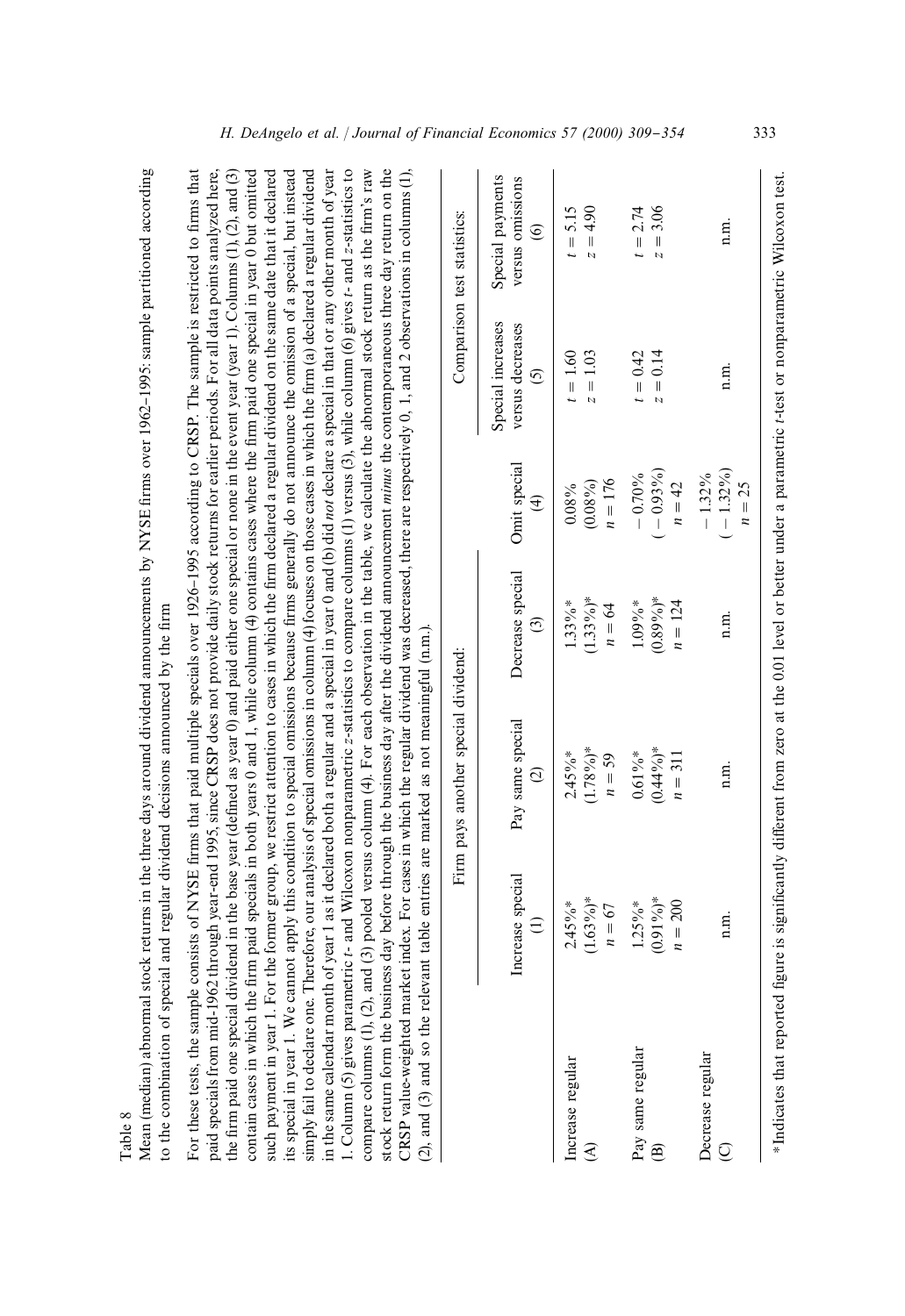| ٦ |
|---|
|   |
|   |

Mean (median) abnormal stock returns in the three days around dividend announcements by NYSE firms over 1962–1995: sample partitioned according Mean (median) abnormal stock returns in the three days around dividend announcements by NYSE firms over 1962-1995: sample partitioned according o the combination of special and regular dividend decisions announced by the firm to the combination of special and regular dividend decisions announced by the firm

aid specials from mid-1962 through year-end 1995, since CRSP does not provide daily stock returns for earlier periods. For all data points analyzed here, he firm paid one special dividend in the base year (defined as year 0) and paid either one special or none in the event year 1). Columns (1), (2), and (3) such payment in year 1. For the former group, we restrict attention to cases in which the firm declared a regular dividend on the same date that it declared such payment in year 1. For the former group, we restrict attention to cases in which the "rm declared a regular dividend on the same date that it declared its special in year 1. We cannot apply this condition to special omissions because firms generally do not announce the omission of a special, but instead in the same calendar month of year 1 as it declared both a regular and a special in year 0 and (b) did not declare a special in that or any other month of year in the same calendar month of year 1 as it declared both a regular and a special in year 0 and (b) did *not* declare a special in that or any other month of year L Column (5) gives parametric t- and Wilcoxon nonparametric z-statistics to compare columns (1) versus (3), while column (6) gives t- and z-statistics to compare columns (1), (2), and (3) pooled versus column (4). For each observation in the table, we calculate the abnormal stock return as the firm's raw compare columns  $(1)$ ,  $(2)$ , and  $(3)$  pooled versus column  $(4)$ . For each observation in the table, we calculate the abnormal stock return as the firm's raw stock return form the business day before through the business day after the dividend announcement *minus* the contemporaneous three day return on the stock return form the business day before through the business day after the dividend announcement *minus* the contemporaneous three day return on the For these tests, the sample consists of NYSE firms that paid multiple specials over 1926–1995 according to CRSP. The sample is restricted to firms that For these tests, the sample consists of NYSE firms that paid multiple specials over 1926–1995 according to CRSP. The sample is restricted to firms that paid specials from mid-1962 through year-end 1995, since CRSP does not provide daily stock returns for earlier periods. For all data points analyzed here, the firm paid one special dividend in the base year (defined as year 0) and paid either one special or none in the event year 1). Columns (1), (2), and (3) contain cases in which the firm paid specials in both years 0 and 1, while column (4) contains cases where the firm paid one special in year 0 but omitted contain cases in which the firm paid specials in both years 0 and 1, while column (4) contains cases where the firm paid one special in year 0 but omitted its special in year 1. We cannot apply this condition to special omissions because firms generally do not announce the omission of a special, but instead simply fail to declare one. Therefore, our analysis of special omissions in column (4) focuses on those cases in which the firm (a) declared a regular dividend simply fail to declare one. Therefore, our analysis of special omissions in column (4) focuses on those cases in which the firm (a) declared a regular dividend 1. Column (5) gives parametric *t*- and Wilcoxon nonparametric *z*-statistics to compare columns (1) versus (3), while column (6) gives *t*- and *z*-statistics to CRSP value-weighted market index. For cases in which the regular dividend was decreased, there are respectively 0, 1, and 2 observations in columns  $(1)$ , CRSP value-weighted market index. For cases in which the regular dividend was decreased, there are respectively 0, 1, and 2 observations in columns (1), (2), and (3) and so the relevant table entries are marked as not meaningful (n.m.). (2), and (3) and so the relevant table entries are marked as not meaningful (n.m.).

|                                            | Increase special<br>$\widehat{\Xi}$    | Pay same special<br>$\odot$                                                                                                                                | Decrease special<br>$\odot$            | Omit special<br>$\widehat{f}$       | Special increases<br>versus decreases<br>6 | Special payments<br>versus omissions<br>$\circ$ |
|--------------------------------------------|----------------------------------------|------------------------------------------------------------------------------------------------------------------------------------------------------------|----------------------------------------|-------------------------------------|--------------------------------------------|-------------------------------------------------|
| Increase regular<br>€                      | $(1.63\%)$ *<br>$2.45\%$ *<br>$n = 67$ | $1.78\%$ <sup>*</sup><br>$2.45\%$ *<br>$n=59$                                                                                                              | $(1.33\%)$ *<br>$1.33\%$ *<br>$n = 64$ | $n = 176$<br>$(0.08\%)$<br>$0.08\%$ | $z = 1.03$<br>$t = 1.60$                   | $t = 5.15$<br>$z = 4.90$                        |
| Pay same regular<br>$\widehat{\mathbf{B}}$ | $(0.91\%)*$<br>$1.25\%$ *<br>$n = 200$ | $0.44\%$ <sup>*</sup><br>$0.61\%$ *<br>$n = 311$                                                                                                           | $(0.89\%)*$<br>$n = 124$<br>$.09\%$ *  | $-0.93\%$<br>$-0.70%$<br>$n = 42$   | $t = 0.42$<br>$z = 0.14$                   | $z = 3.06$<br>$t = 2.74$                        |
| Decrease regular<br>$\overline{Q}$         | n.n.                                   | n.n.                                                                                                                                                       | n.n.                                   | $-1.32\%$<br>$-1.32\%$<br>$n = 25$  | n.n.                                       | n.n.                                            |
|                                            |                                        | *Indicates that reported figure is significantly different from zero at the 0.01 level or better under a parametric t-test or nonparametric Wilcoxon test. |                                        |                                     |                                            |                                                 |

Comparison test statistics:

Firm pays another special dividend: Comparison test statistics:

Firm pays another special dividend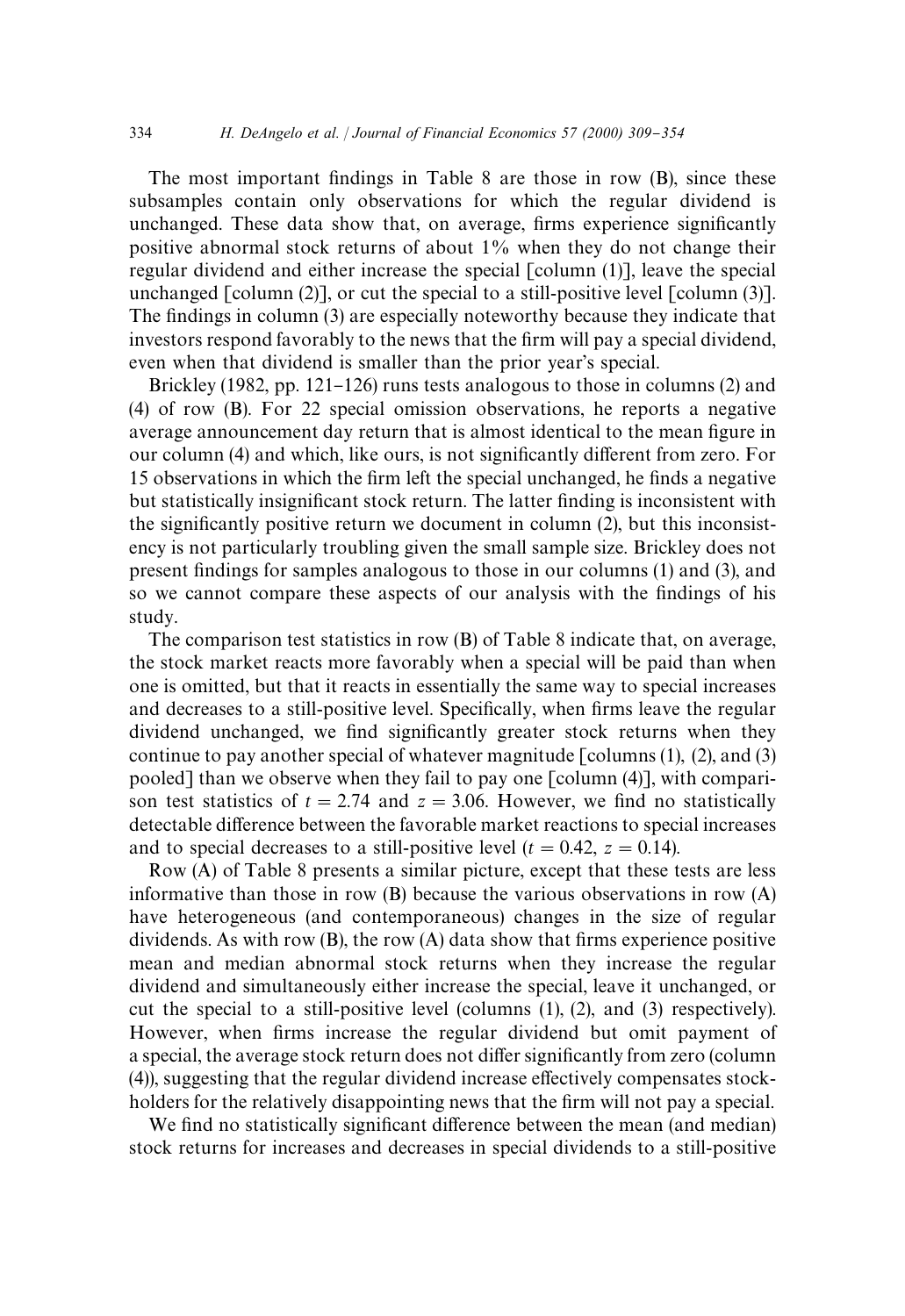The most important findings in Table 8 are those in row  $(B)$ , since these subsamples contain only observations for which the regular dividend is unchanged. These data show that, on average, firms experience significantly positive abnormal stock returns of about 1% when they do not change their regular dividend and either increase the special [column (1)], leave the special unchanged  $\lceil \text{column (2)} \rceil$ , or cut the special to a still-positive level  $\lceil \text{column (3)} \rceil$ . The findings in column (3) are especially noteworthy because they indicate that investors respond favorably to the news that the firm will pay a special dividend, even when that dividend is smaller than the prior year's special.

Brickley (1982, pp. 121–126) runs tests analogous to those in columns (2) and (4) of row (B). For 22 special omission observations, he reports a negative average announcement day return that is almost identical to the mean figure in our column (4) and which, like ours, is not significantly different from zero. For 15 observations in which the firm left the special unchanged, he finds a negative but statistically insignificant stock return. The latter finding is inconsistent with the significantly positive return we document in column  $(2)$ , but this inconsistency is not particularly troubling given the small sample size. Brickley does not present findings for samples analogous to those in our columns (1) and (3), and so we cannot compare these aspects of our analysis with the findings of his study.

The comparison test statistics in row (B) of Table 8 indicate that, on average, the stock market reacts more favorably when a special will be paid than when one is omitted, but that it reacts in essentially the same way to special increases and decreases to a still-positive level. Specifically, when firms leave the regular dividend unchanged, we find significantly greater stock returns when they continue to pay another special of whatever magnitude  $\lceil$  columns (1), (2), and (3) pooled] than we observe when they fail to pay one [column (4)], with comparison test statistics of  $t = 2.74$  and  $z = 3.06$ . However, we find no statistically detectable difference between the favorable market reactions to special increases and to special decreases to a still-positive level ( $t = 0.42$ ,  $z = 0.14$ ).

Row (A) of Table 8 presents a similar picture, except that these tests are less informative than those in row (B) because the various observations in row (A) have heterogeneous (and contemporaneous) changes in the size of regular dividends. As with row  $(B)$ , the row  $(A)$  data show that firms experience positive mean and median abnormal stock returns when they increase the regular dividend and simultaneously either increase the special, leave it unchanged, or cut the special to a still-positive level (columns (1), (2), and (3) respectively). However, when firms increase the regular dividend but omit payment of a special, the average stock return does not differ significantly from zero (column  $(4)$ ), suggesting that the regular dividend increase effectively compensates stockholders for the relatively disappointing news that the firm will not pay a special.

We find no statistically significant difference between the mean (and median) stock returns for increases and decreases in special dividends to a still-positive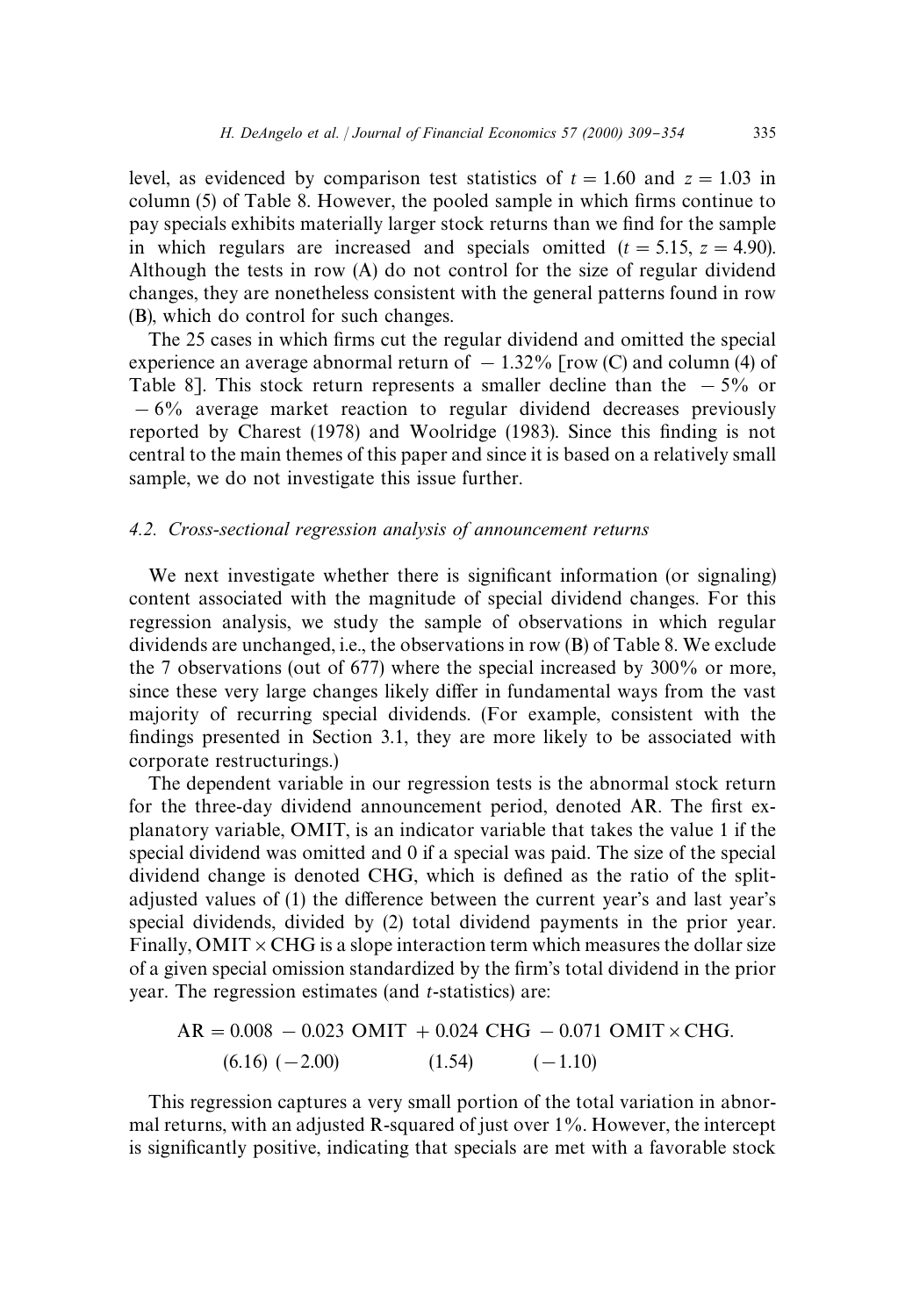level, as evidenced by comparison test statistics of  $t = 1.60$  and  $z = 1.03$  in column  $(5)$  of Table 8. However, the pooled sample in which firms continue to pay specials exhibits materially larger stock returns than we find for the sample in which regulars are increased and specials omitted  $(t = 5.15, z = 4.90)$ . Although the tests in row (A) do not control for the size of regular dividend changes, they are nonetheless consistent with the general patterns found in row (B), which do control for such changes.

The 25 cases in which firms cut the regular dividend and omitted the special experience an average abnormal return of  $-1.32\%$  [row (C) and column (4) of Table 8]. This stock return represents a smaller decline than the  $-5\%$  or  $-6\%$  average market reaction to regular dividend decreases previously reported by Charest (1978) and Woolridge (1983). Since this finding is not central to the main themes of this paper and since it is based on a relatively small sample, we do not investigate this issue further.

# *4.2. Cross-sectional regression analysis of announcement returns*

We next investigate whether there is significant information (or signaling) content associated with the magnitude of special dividend changes. For this regression analysis, we study the sample of observations in which regular dividends are unchanged, i.e., the observations in row (B) of Table 8. We exclude the 7 observations (out of 677) where the special increased by 300% or more, since these very large changes likely differ in fundamental ways from the vast majority of recurring special dividends. (For example, consistent with the findings presented in Section 3.1, they are more likely to be associated with corporate restructurings.)

The dependent variable in our regression tests is the abnormal stock return for the three-day dividend announcement period, denoted AR. The first explanatory variable, OMIT, is an indicator variable that takes the value 1 if the special dividend was omitted and 0 if a special was paid. The size of the special dividend change is denoted CHG, which is defined as the ratio of the splitadjusted values of (1) the difference between the current year's and last year's special dividends, divided by (2) total dividend payments in the prior year. Finally, OMIT  $\times$  CHG is a slope interaction term which measures the dollar size of a given special omission standardized by the firm's total dividend in the prior year. The regression estimates (and *t*-statistics) are:

$$
AR = 0.008 - 0.023 \text{ OMIT} + 0.024 \text{ CHG} - 0.071 \text{ OMIT} \times \text{CHG}.
$$
  
(6.16) (-2.00) (1.54) (-1.10)

This regression captures a very small portion of the total variation in abnormal returns, with an adjusted R-squared of just over 1%. However, the intercept is significantly positive, indicating that specials are met with a favorable stock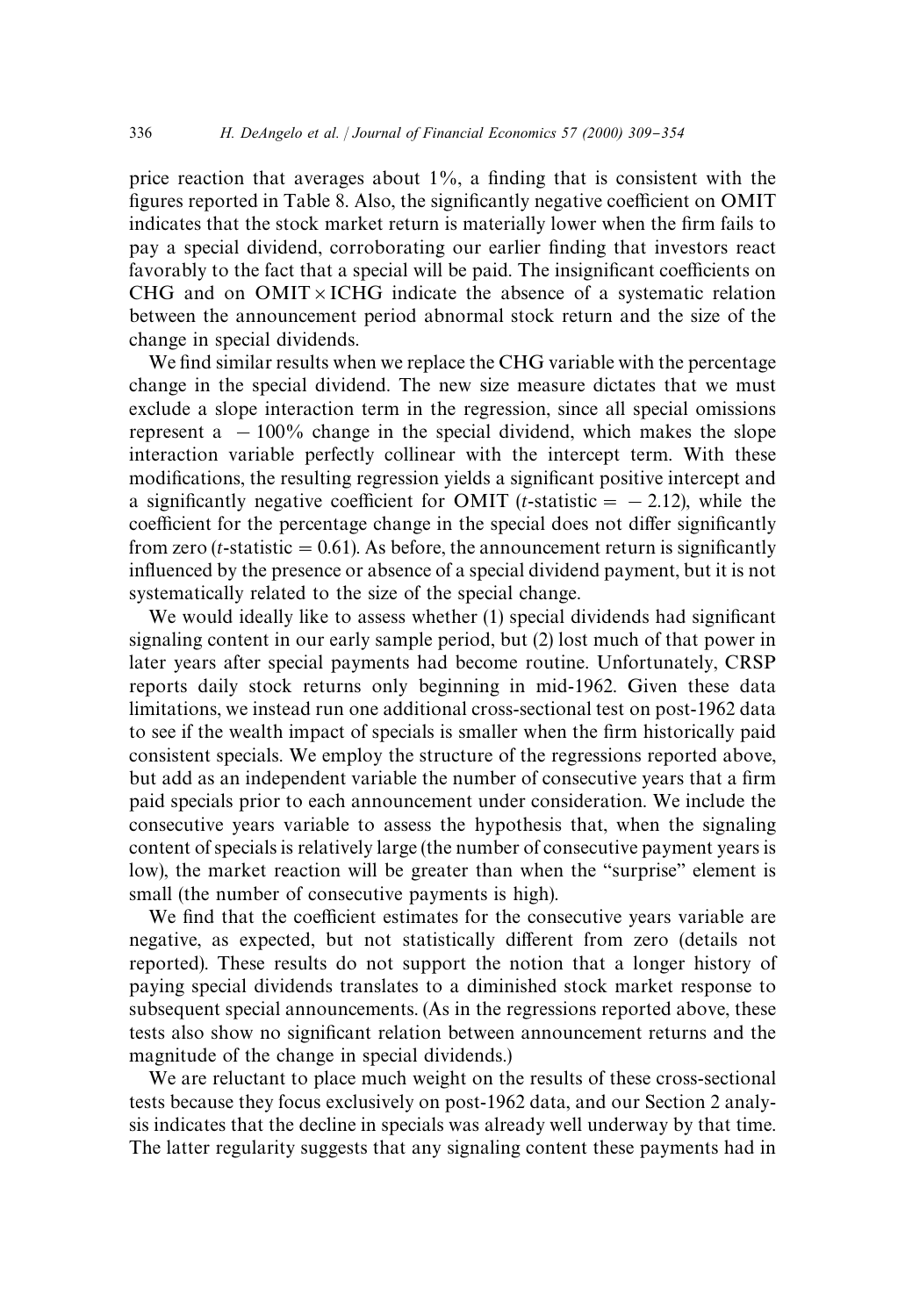price reaction that averages about  $1\%$ , a finding that is consistent with the figures reported in Table 8. Also, the significantly negative coefficient on OMIT indicates that the stock market return is materially lower when the firm fails to pay a special dividend, corroborating our earlier finding that investors react favorably to the fact that a special will be paid. The insignificant coefficients on CHG and on  $OMIT \times ICHG$  indicate the absence of a systematic relation between the announcement period abnormal stock return and the size of the change in special dividends.

We find similar results when we replace the CHG variable with the percentage change in the special dividend. The new size measure dictates that we must exclude a slope interaction term in the regression, since all special omissions represent a  $-100\%$  change in the special dividend, which makes the slope interaction variable perfectly collinear with the intercept term. With these modifications, the resulting regression yields a significant positive intercept and a significantly negative coefficient for OMIT (*t*-statistic  $=$  - 2.12), while the coefficient for the percentage change in the special does not differ significantly from zero (*t*-statistic  $= 0.61$ ). As before, the announcement return is significantly influenced by the presence or absence of a special dividend payment, but it is not systematically related to the size of the special change.

We would ideally like to assess whether  $(1)$  special dividends had significant signaling content in our early sample period, but (2) lost much of that power in later years after special payments had become routine. Unfortunately, CRSP reports daily stock returns only beginning in mid-1962. Given these data limitations, we instead run one additional cross-sectional test on post-1962 data to see if the wealth impact of specials is smaller when the firm historically paid consistent specials. We employ the structure of the regressions reported above, but add as an independent variable the number of consecutive years that a firm paid specials prior to each announcement under consideration. We include the consecutive years variable to assess the hypothesis that, when the signaling content of specials is relatively large (the number of consecutive payment years is low), the market reaction will be greater than when the "surprise" element is small (the number of consecutive payments is high).

We find that the coefficient estimates for the consecutive years variable are negative, as expected, but not statistically different from zero (details not reported). These results do not support the notion that a longer history of paying special dividends translates to a diminished stock market response to subsequent special announcements. (As in the regressions reported above, these tests also show no significant relation between announcement returns and the magnitude of the change in special dividends.)

We are reluctant to place much weight on the results of these cross-sectional tests because they focus exclusively on post-1962 data, and our Section 2 analysis indicates that the decline in specials was already well underway by that time. The latter regularity suggests that any signaling content these payments had in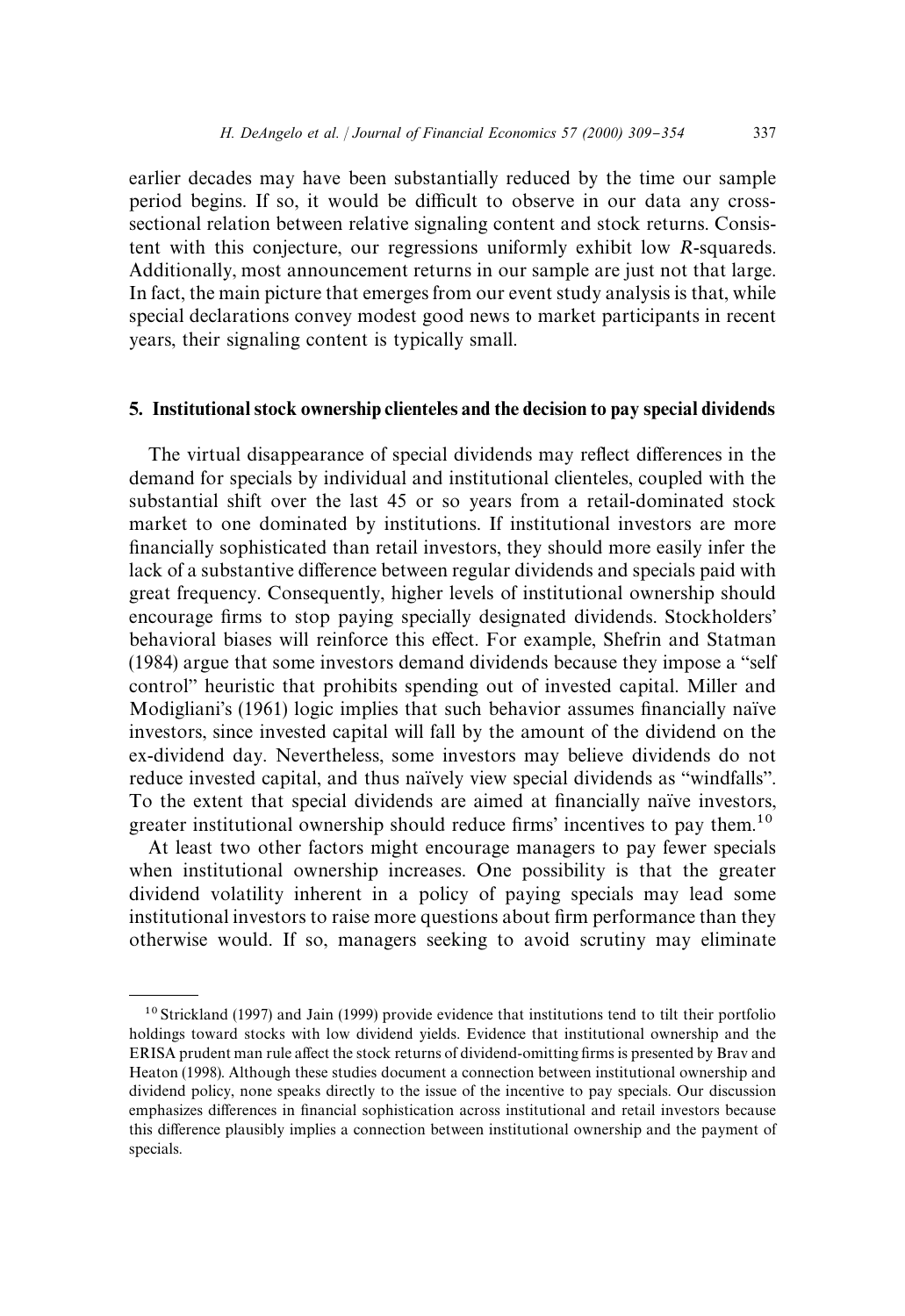earlier decades may have been substantially reduced by the time our sample period begins. If so, it would be difficult to observe in our data any crosssectional relation between relative signaling content and stock returns. Consistent with this conjecture, our regressions uniformly exhibit low *R*-squareds. Additionally, most announcement returns in our sample are just not that large. In fact, the main picture that emerges from our event study analysis is that, while special declarations convey modest good news to market participants in recent years, their signaling content is typically small.

# 5. Institutional stock ownership clienteles and the decision to pay special dividends

The virtual disappearance of special dividends may reflect differences in the demand for specials by individual and institutional clienteles, coupled with the substantial shift over the last 45 or so years from a retail-dominated stock market to one dominated by institutions. If institutional investors are more financially sophisticated than retail investors, they should more easily infer the lack of a substantive difference between regular dividends and specials paid with great frequency. Consequently, higher levels of institutional ownership should encourage firms to stop paying specially designated dividends. Stockholders' behavioral biases will reinforce this effect. For example, Shefrin and Statman (1984) argue that some investors demand dividends because they impose a "self control" heuristic that prohibits spending out of invested capital. Miller and Modigliani's (1961) logic implies that such behavior assumes financially naïve investors, since invested capital will fall by the amount of the dividend on the ex-dividend day. Nevertheless, some investors may believe dividends do not reduce invested capital, and thus naïvely view special dividends as "windfalls". To the extent that special dividends are aimed at financially naïve investors, greater institutional ownership should reduce firms' incentives to pay them.<sup>10</sup>

At least two other factors might encourage managers to pay fewer specials when institutional ownership increases. One possibility is that the greater dividend volatility inherent in a policy of paying specials may lead some institutional investors to raise more questions about firm performance than they otherwise would. If so, managers seeking to avoid scrutiny may eliminate

<sup>&</sup>lt;sup>10</sup> Strickland (1997) and Jain (1999) provide evidence that institutions tend to tilt their portfolio holdings toward stocks with low dividend yields. Evidence that institutional ownership and the ERISA prudent man rule affect the stock returns of dividend-omitting firms is presented by Brav and Heaton (1998). Although these studies document a connection between institutional ownership and dividend policy, none speaks directly to the issue of the incentive to pay specials. Our discussion emphasizes differences in financial sophistication across institutional and retail investors because this difference plausibly implies a connection between institutional ownership and the payment of specials.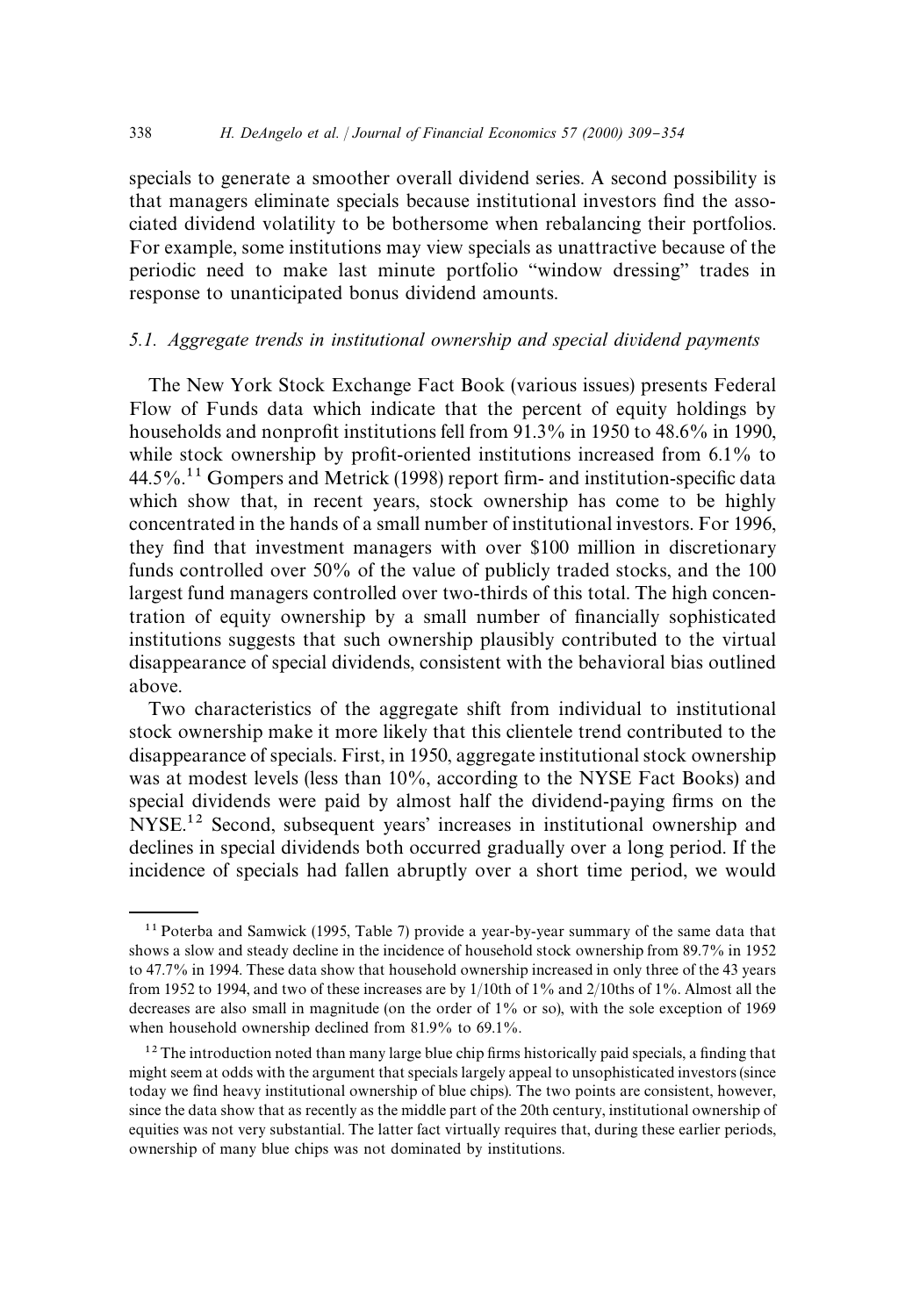specials to generate a smoother overall dividend series. A second possibility is that managers eliminate specials because institutional investors find the associated dividend volatility to be bothersome when rebalancing their portfolios. For example, some institutions may view specials as unattractive because of the periodic need to make last minute portfolio "window dressing" trades in response to unanticipated bonus dividend amounts.

# *5.1. Aggregate trends in institutional ownership and special dividend payments*

The New York Stock Exchange Fact Book (various issues) presents Federal Flow of Funds data which indicate that the percent of equity holdings by households and nonprofit institutions fell from  $91.3\%$  in 1950 to 48.6% in 1990, while stock ownership by profit-oriented institutions increased from  $6.1\%$  to  $44.5\%$ .<sup>11</sup> Gompers and Metrick (1998) report firm- and institution-specific data which show that, in recent years, stock ownership has come to be highly concentrated in the hands of a small number of institutional investors. For 1996, they find that investment managers with over \$100 million in discretionary funds controlled over 50% of the value of publicly traded stocks, and the 100 largest fund managers controlled over two-thirds of this total. The high concentration of equity ownership by a small number of financially sophisticated institutions suggests that such ownership plausibly contributed to the virtual disappearance of special dividends, consistent with the behavioral bias outlined above.

Two characteristics of the aggregate shift from individual to institutional stock ownership make it more likely that this clientele trend contributed to the disappearance of specials. First, in 1950, aggregate institutional stock ownership was at modest levels (less than 10%, according to the NYSE Fact Books) and special dividends were paid by almost half the dividend-paying firms on the NYSE.<sup>12</sup> Second, subsequent years' increases in institutional ownership and declines in special dividends both occurred gradually over a long period. If the incidence of specials had fallen abruptly over a short time period, we would

 $11$  Poterba and Samwick (1995, Table 7) provide a year-by-year summary of the same data that shows a slow and steady decline in the incidence of household stock ownership from 89.7% in 1952 to 47.7% in 1994. These data show that household ownership increased in only three of the 43 years from 1952 to 1994, and two of these increases are by 1/10th of 1% and 2/10ths of 1%. Almost all the decreases are also small in magnitude (on the order of 1% or so), with the sole exception of 1969 when household ownership declined from 81.9% to 69.1%.

 $12$  The introduction noted than many large blue chip firms historically paid specials, a finding that might seem at odds with the argument that specials largely appeal to unsophisticated investors (since today we find heavy institutional ownership of blue chips). The two points are consistent, however, since the data show that as recently as the middle part of the 20th century, institutional ownership of equities was not very substantial. The latter fact virtually requires that, during these earlier periods, ownership of many blue chips was not dominated by institutions.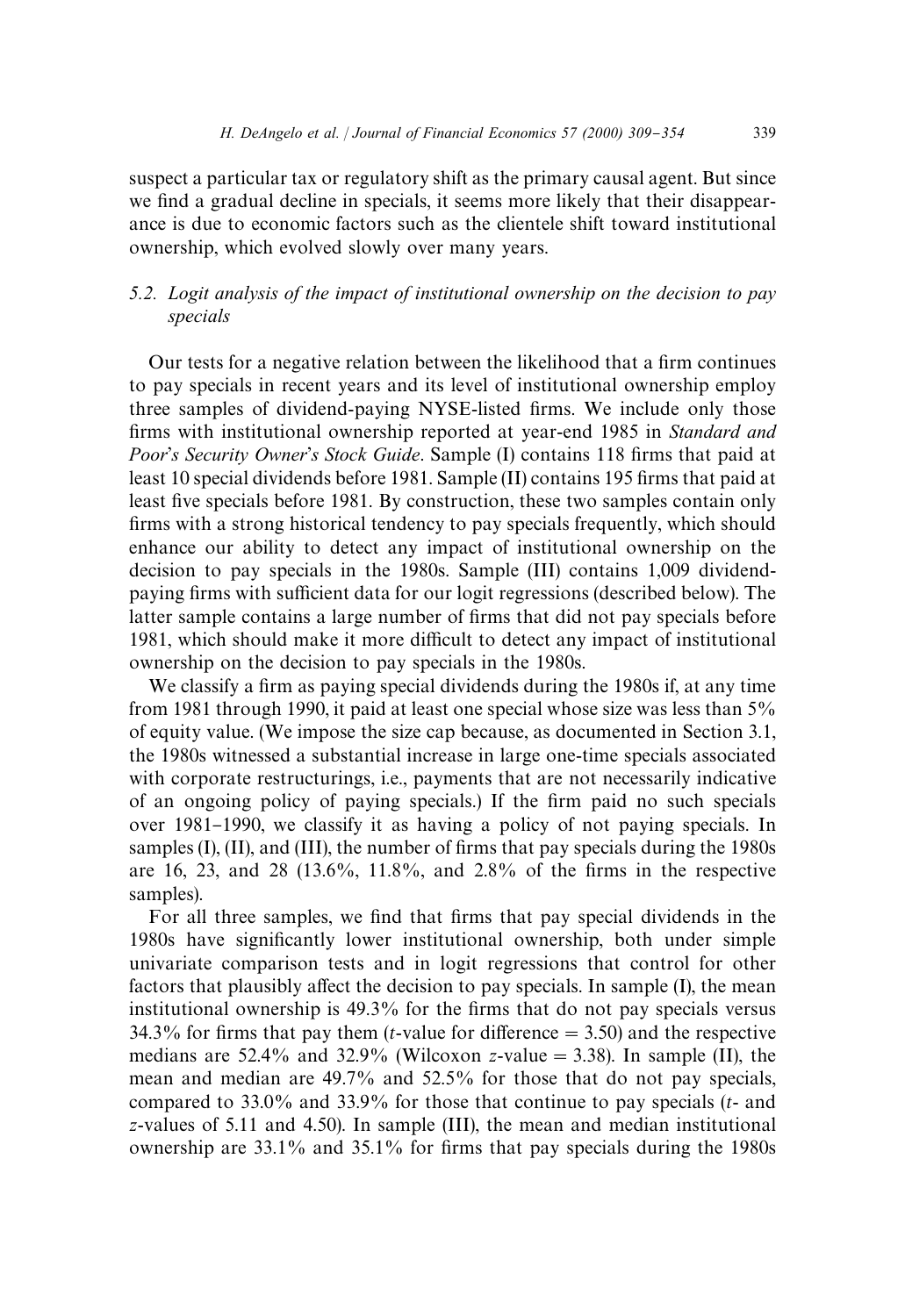suspect a particular tax or regulatory shift as the primary causal agent. But since we find a gradual decline in specials, it seems more likely that their disappearance is due to economic factors such as the clientele shift toward institutional ownership, which evolved slowly over many years.

# *5.2. Logit analysis of the impact of institutional ownership on the decision to pay specials*

Our tests for a negative relation between the likelihood that a firm continues to pay specials in recent years and its level of institutional ownership employ three samples of dividend-paying NYSE-listed firms. We include only those firms with institutional ownership reported at year-end 1985 in *Standard and* Poor's Security Owner's Stock Guide. Sample (I) contains 118 firms that paid at least 10 special dividends before 1981. Sample (II) contains 195 firms that paid at least five specials before 1981. By construction, these two samples contain only firms with a strong historical tendency to pay specials frequently, which should enhance our ability to detect any impact of institutional ownership on the decision to pay specials in the 1980s. Sample (III) contains 1,009 dividendpaying firms with sufficient data for our logit regressions (described below). The latter sample contains a large number of firms that did not pay specials before 1981, which should make it more difficult to detect any impact of institutional ownership on the decision to pay specials in the 1980s.

We classify a firm as paying special dividends during the 1980s if, at any time from 1981 through 1990, it paid at least one special whose size was less than 5% of equity value. (We impose the size cap because, as documented in Section 3.1, the 1980s witnessed a substantial increase in large one-time specials associated with corporate restructurings, i.e., payments that are not necessarily indicative of an ongoing policy of paying specials.) If the firm paid no such specials over 1981–1990, we classify it as having a policy of not paying specials. In samples  $(I)$ ,  $(II)$ , and  $(III)$ , the number of firms that pay specials during the 1980s are 16, 23, and 28 (13.6%, 11.8%, and 2.8% of the firms in the respective samples).

For all three samples, we find that firms that pay special dividends in the 1980s have significantly lower institutional ownership, both under simple univariate comparison tests and in logit regressions that control for other factors that plausibly affect the decision to pay specials. In sample (I), the mean institutional ownership is 49.3% for the firms that do not pay specials versus 34.3% for firms that pay them (*t*-value for difference  $=$  3.50) and the respective medians are 52.4% and 32.9% (Wilcoxon *z*-value = 3.38). In sample (II), the mean and median are 49.7% and 52.5% for those that do not pay specials, compared to 33.0% and 33.9% for those that continue to pay specials (*t*- and *z*-values of 5.11 and 4.50). In sample (III), the mean and median institutional ownership are  $33.1\%$  and  $35.1\%$  for firms that pay specials during the 1980s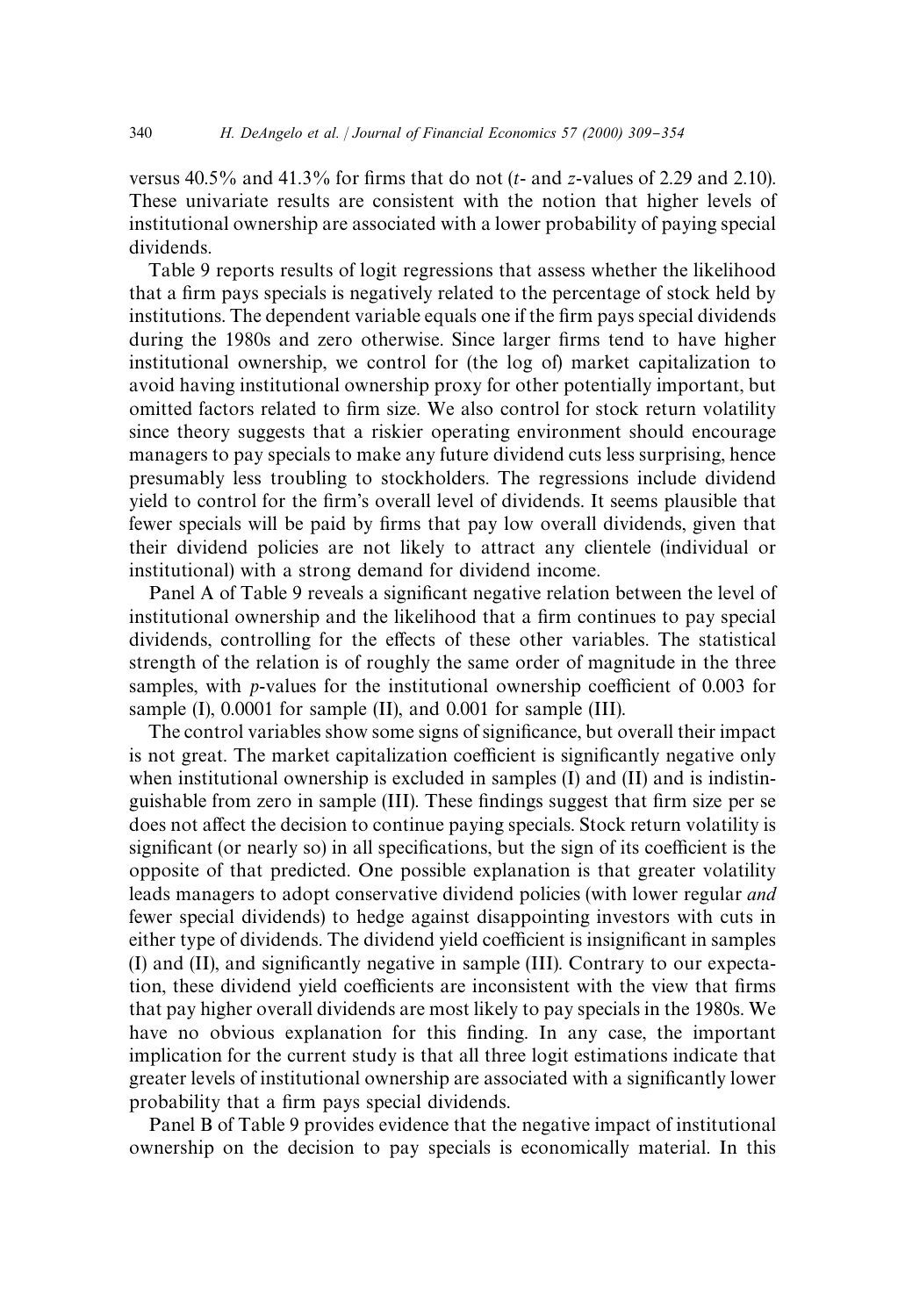versus  $40.5\%$  and  $41.3\%$  for firms that do not (*t*- and *z*-values of 2.29 and 2.10). These univariate results are consistent with the notion that higher levels of institutional ownership are associated with a lower probability of paying special dividends.

Table 9 reports results of logit regressions that assess whether the likelihood that a firm pays specials is negatively related to the percentage of stock held by institutions. The dependent variable equals one if the firm pays special dividends during the 1980s and zero otherwise. Since larger firms tend to have higher institutional ownership, we control for (the log of) market capitalization to avoid having institutional ownership proxy for other potentially important, but omitted factors related to firm size. We also control for stock return volatility since theory suggests that a riskier operating environment should encourage managers to pay specials to make any future dividend cuts less surprising, hence presumably less troubling to stockholders. The regressions include dividend yield to control for the firm's overall level of dividends. It seems plausible that fewer specials will be paid by firms that pay low overall dividends, given that their dividend policies are not likely to attract any clientele (individual or institutional) with a strong demand for dividend income.

Panel A of Table 9 reveals a significant negative relation between the level of institutional ownership and the likelihood that a firm continues to pay special dividends, controlling for the effects of these other variables. The statistical strength of the relation is of roughly the same order of magnitude in the three samples, with *p*-values for the institutional ownership coefficient of 0.003 for sample (I), 0.0001 for sample (II), and 0.001 for sample (III).

The control variables show some signs of significance, but overall their impact is not great. The market capitalization coefficient is significantly negative only when institutional ownership is excluded in samples (I) and (II) and is indistinguishable from zero in sample (III). These findings suggest that firm size per se does not affect the decision to continue paying specials. Stock return volatility is significant (or nearly so) in all specifications, but the sign of its coefficient is the opposite of that predicted. One possible explanation is that greater volatility leads managers to adopt conservative dividend policies (with lower regular *and* fewer special dividends) to hedge against disappointing investors with cuts in either type of dividends. The dividend yield coefficient is insignificant in samples  $(I)$  and  $(II)$ , and significantly negative in sample  $(III)$ . Contrary to our expectation, these dividend yield coefficients are inconsistent with the view that firms that pay higher overall dividends are most likely to pay specials in the 1980s. We have no obvious explanation for this finding. In any case, the important implication for the current study is that all three logit estimations indicate that greater levels of institutional ownership are associated with a significantly lower probability that a firm pays special dividends.

Panel B of Table 9 provides evidence that the negative impact of institutional ownership on the decision to pay specials is economically material. In this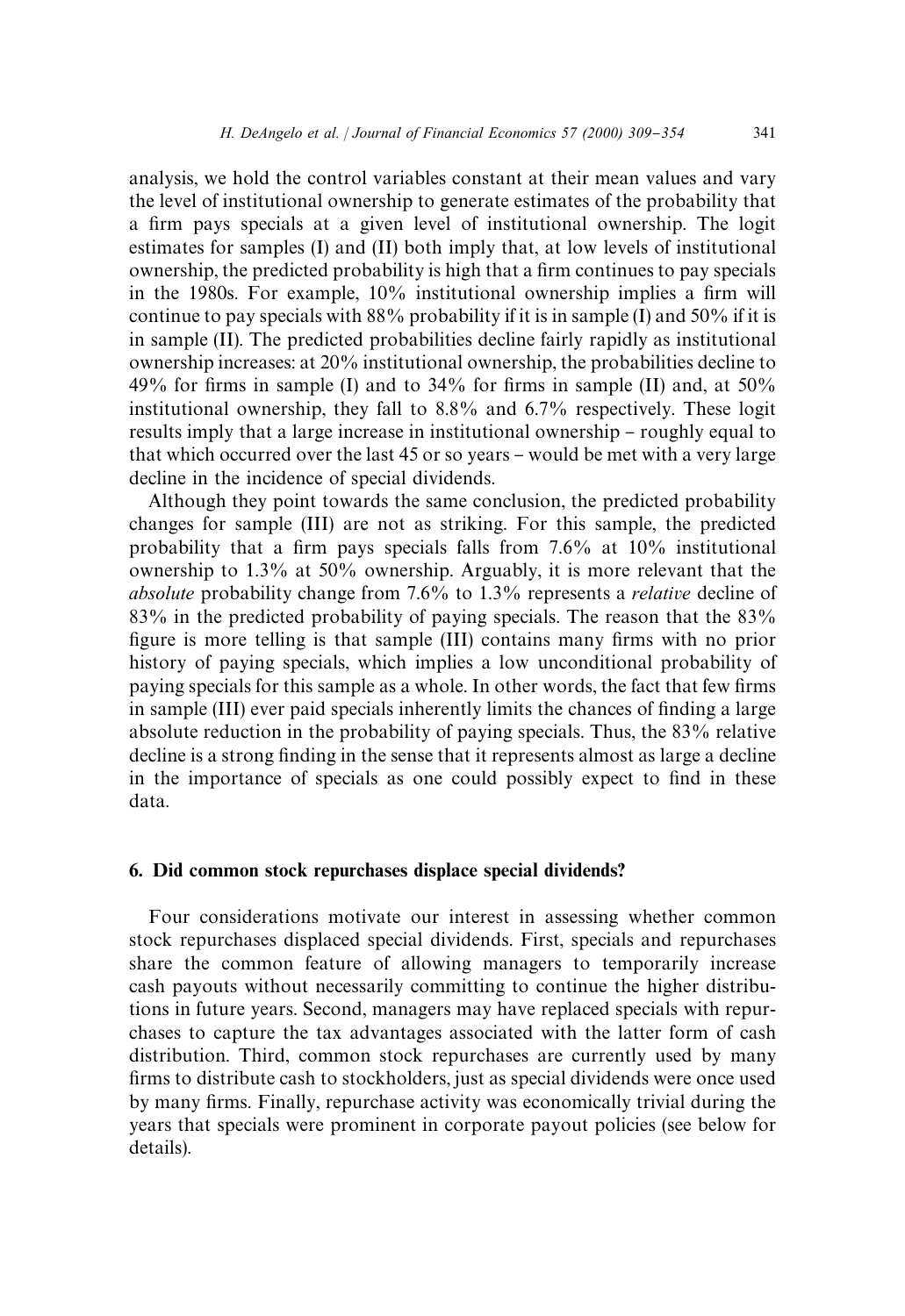analysis, we hold the control variables constant at their mean values and vary the level of institutional ownership to generate estimates of the probability that a firm pays specials at a given level of institutional ownership. The logit estimates for samples (I) and (II) both imply that, at low levels of institutional ownership, the predicted probability is high that a firm continues to pay specials in the 1980s. For example, 10% institutional ownership implies a firm will continue to pay specials with 88% probability if it is in sample (I) and 50% if it is in sample (II). The predicted probabilities decline fairly rapidly as institutional ownership increases: at 20% institutional ownership, the probabilities decline to 49% for firms in sample (I) and to 34% for firms in sample (II) and, at  $50\%$ institutional ownership, they fall to 8.8% and 6.7% respectively. These logit results imply that a large increase in institutional ownership - roughly equal to that which occurred over the last 45 or so years - would be met with a very large decline in the incidence of special dividends.

Although they point towards the same conclusion, the predicted probability changes for sample (III) are not as striking. For this sample, the predicted probability that a firm pays specials falls from  $7.6\%$  at  $10\%$  institutional ownership to 1.3% at 50% ownership. Arguably, it is more relevant that the *absolute* probability change from 7.6% to 1.3% represents a *relative* decline of 83% in the predicted probability of paying specials. The reason that the 83% figure is more telling is that sample (III) contains many firms with no prior history of paying specials, which implies a low unconditional probability of paying specials for this sample as a whole. In other words, the fact that few firms in sample (III) ever paid specials inherently limits the chances of finding a large absolute reduction in the probability of paying specials. Thus, the 83% relative decline is a strong finding in the sense that it represents almost as large a decline in the importance of specials as one could possibly expect to find in these data.

### 6. Did common stock repurchases displace special dividends?

Four considerations motivate our interest in assessing whether common stock repurchases displaced special dividends. First, specials and repurchases share the common feature of allowing managers to temporarily increase cash payouts without necessarily committing to continue the higher distributions in future years. Second, managers may have replaced specials with repurchases to capture the tax advantages associated with the latter form of cash distribution. Third, common stock repurchases are currently used by many firms to distribute cash to stockholders, just as special dividends were once used by many firms. Finally, repurchase activity was economically trivial during the years that specials were prominent in corporate payout policies (see below for details).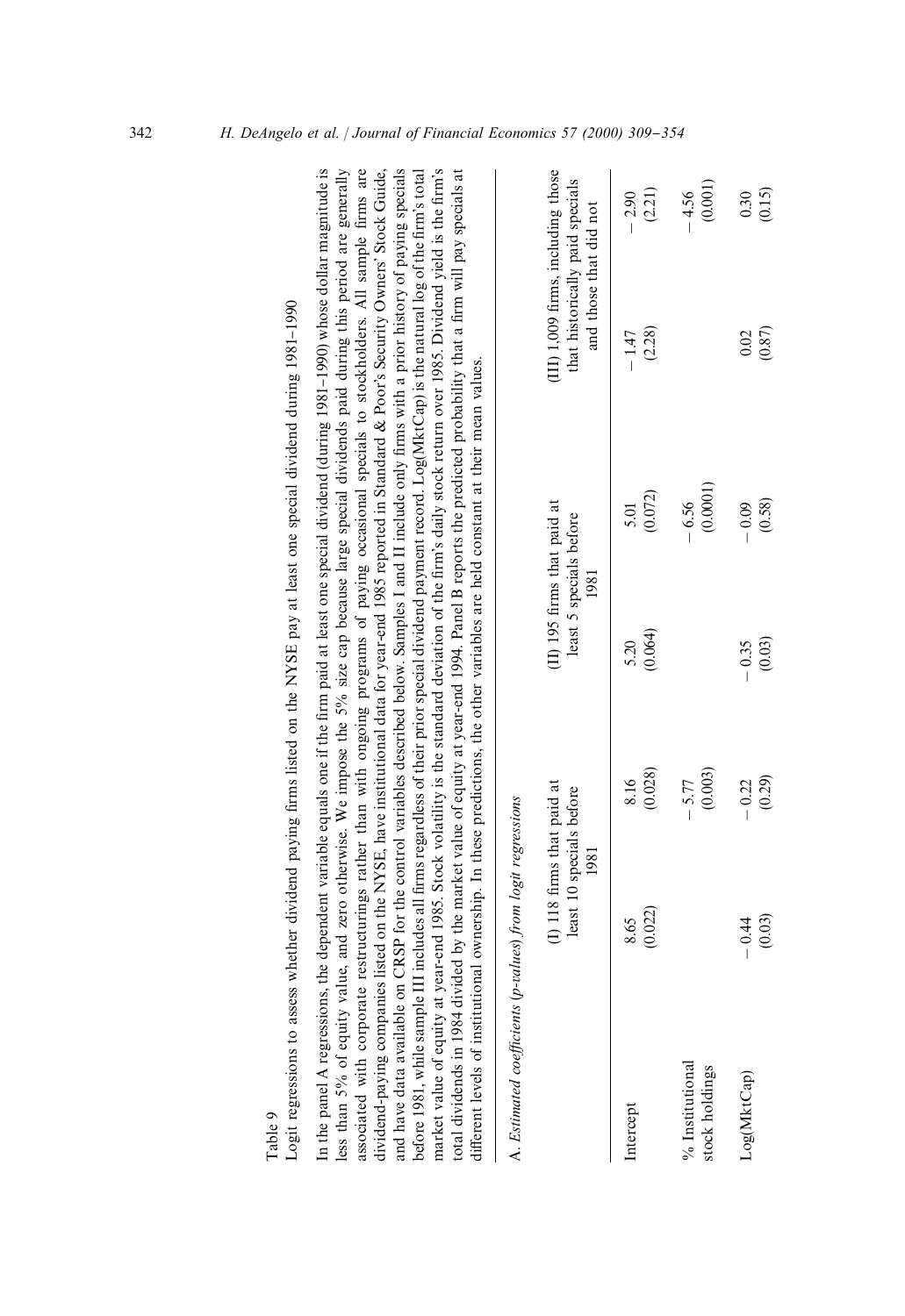| In the panel A regressions, the dependent variable equals one if the firm paid at least one special dividend (during 1981-1990) whose dollar magnitude is<br>less than 5% of equity value, and zero otherwise. We impose the 5% size cap because large special dividends paid during this period are generally<br>associated with corporate restructurings rather than with ongoing programs of paying occasional specials to stockholders. All sample firms are<br>negatives where the consequences of the contract of the contract of the contract of the contract of the contract of the contract of the contract of the contract of the contract of the contract of the contract of the contra                                                                                                                                                                                                                                              |                                                                |                    |                                                                |                     |                                                                                                 |                    |
|-------------------------------------------------------------------------------------------------------------------------------------------------------------------------------------------------------------------------------------------------------------------------------------------------------------------------------------------------------------------------------------------------------------------------------------------------------------------------------------------------------------------------------------------------------------------------------------------------------------------------------------------------------------------------------------------------------------------------------------------------------------------------------------------------------------------------------------------------------------------------------------------------------------------------------------------------|----------------------------------------------------------------|--------------------|----------------------------------------------------------------|---------------------|-------------------------------------------------------------------------------------------------|--------------------|
| and have data available on CRSP for the control variables described below. Samples I and II include only firms with a prior history of paying specials<br>market value of equity at year-end 1985. Stock volatility is the standard deviation of the firm's daily stock return over 1985. Dividend yield is the firm's<br>before 1981, while sample III includes all firms regardless of their prior special dividend payment record. Log(MktCap) is the natural log of the firm's total<br>dividend-paying companies listed on the NYSE, have institutional data for year-end 1985 reported in Standard & Poor's Security Owners' Stock Guide,<br>total dividends in 1984 divided by the market value of equity at year-end 1994. Panel B reports the predicted probability that a firm will pay specials at<br>different levels of institutional ownership. In these predictions, the other variables are held constant at their mean values. |                                                                |                    |                                                                |                     |                                                                                                 |                    |
| A. Estimated coefficients (p-values) from logit regressions                                                                                                                                                                                                                                                                                                                                                                                                                                                                                                                                                                                                                                                                                                                                                                                                                                                                                     |                                                                |                    |                                                                |                     |                                                                                                 |                    |
|                                                                                                                                                                                                                                                                                                                                                                                                                                                                                                                                                                                                                                                                                                                                                                                                                                                                                                                                                 | (I) 118 firms that paid at<br>least 10 specials before<br>1981 |                    | (II) 195 firms that paid at<br>least 5 specials before<br>1981 |                     | (III) 1,009 firms, including those<br>that historically paid specials<br>and those that did not |                    |
| Intercept                                                                                                                                                                                                                                                                                                                                                                                                                                                                                                                                                                                                                                                                                                                                                                                                                                                                                                                                       | (0.022)<br>8.65                                                | (0.028)<br>8.16    | (0.064)<br>5.20                                                | (0.072)<br>5.01     | (2.28)<br>$-1.47$                                                                               | (2.21)<br>$-2.90$  |
| % Institutional<br>stock holdings                                                                                                                                                                                                                                                                                                                                                                                                                                                                                                                                                                                                                                                                                                                                                                                                                                                                                                               |                                                                | (0.003)<br>$-5.77$ |                                                                | (0.0001)<br>$-6.56$ |                                                                                                 | (0.001)<br>$-4.56$ |
| Log(MktCap)                                                                                                                                                                                                                                                                                                                                                                                                                                                                                                                                                                                                                                                                                                                                                                                                                                                                                                                                     | (0.03)<br>$-0.44$                                              | (0.29)<br>$-0.22$  | (0.03)<br>$-0.35$                                              | (0.58)<br>$-0.09$   | (0.87)<br>0.02                                                                                  | (0.15)<br>0.30     |

cnecial dividend during 1981-1990 Logit regressions to assess whether dividend paying firms listed on the NYSE pay at least one special dividend during 1981-1990 ono. whether dividend paying firms listed on the NVSE pay at least acc  $\mathbf{r}$  $\ddot{\phantom{0}}$ Table 9<br>I orit reo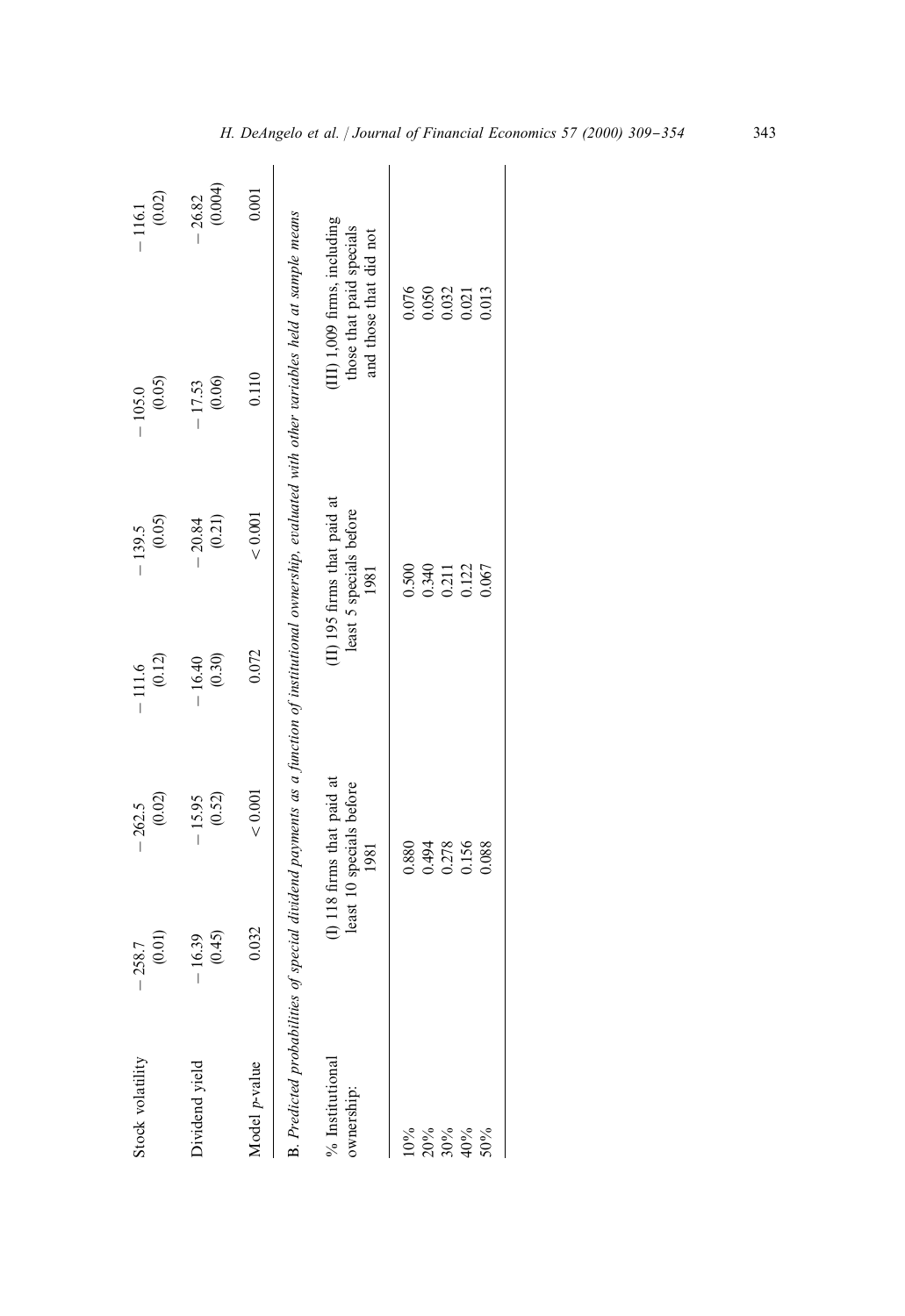| Stock volatility              | (0.01)<br>$-258.7$ | (0.02)<br>$-262.5$                                             | (0.12)<br>$-111.6$ | (0.05)<br>$-139.5$                                             | (0.05)<br>$-105.0$                                                                                                                                    | (0.02)<br>$-116.1$                                                                 |
|-------------------------------|--------------------|----------------------------------------------------------------|--------------------|----------------------------------------------------------------|-------------------------------------------------------------------------------------------------------------------------------------------------------|------------------------------------------------------------------------------------|
| Dividend yield                | (0.45)<br>$-16.39$ | (0.52)<br>$-15.95$                                             | (0.30)<br>$-16.40$ | (0.21)<br>20.84                                                | (0.06)<br>$-17.53$                                                                                                                                    | (0.004)<br>26.82                                                                   |
| Model p-value                 | 0.032              | ${}< 0.001$                                                    | 0.072              | < 0.001                                                        | 0.110                                                                                                                                                 | 0.001                                                                              |
|                               |                    |                                                                |                    |                                                                | B. Predicted probabilities of special dividend payments as a function of institutional ownership, evaluated with other variables held at sample means |                                                                                    |
| % Institutional<br>ownership: |                    | (I) 118 firms that paid at<br>least 10 specials before<br>1981 |                    | (II) 195 firms that paid at<br>least 5 specials before<br>1981 |                                                                                                                                                       | (III) 1,009 firms, including<br>those that paid specials<br>and those that did not |
| 10%                           |                    | 0.880                                                          |                    | 0.500                                                          |                                                                                                                                                       | 0.076                                                                              |
| 20%                           |                    | 0.494                                                          |                    | 0.340                                                          |                                                                                                                                                       | 0.050                                                                              |
| 30%                           |                    | 0.278                                                          |                    | 0.211                                                          |                                                                                                                                                       | 0.032                                                                              |
| 40%                           |                    | 0.156                                                          |                    | 0.122                                                          |                                                                                                                                                       | 0.021                                                                              |
| 50%                           |                    | 0.088                                                          |                    | 0.067                                                          |                                                                                                                                                       | 0.013                                                                              |
|                               |                    |                                                                |                    |                                                                |                                                                                                                                                       |                                                                                    |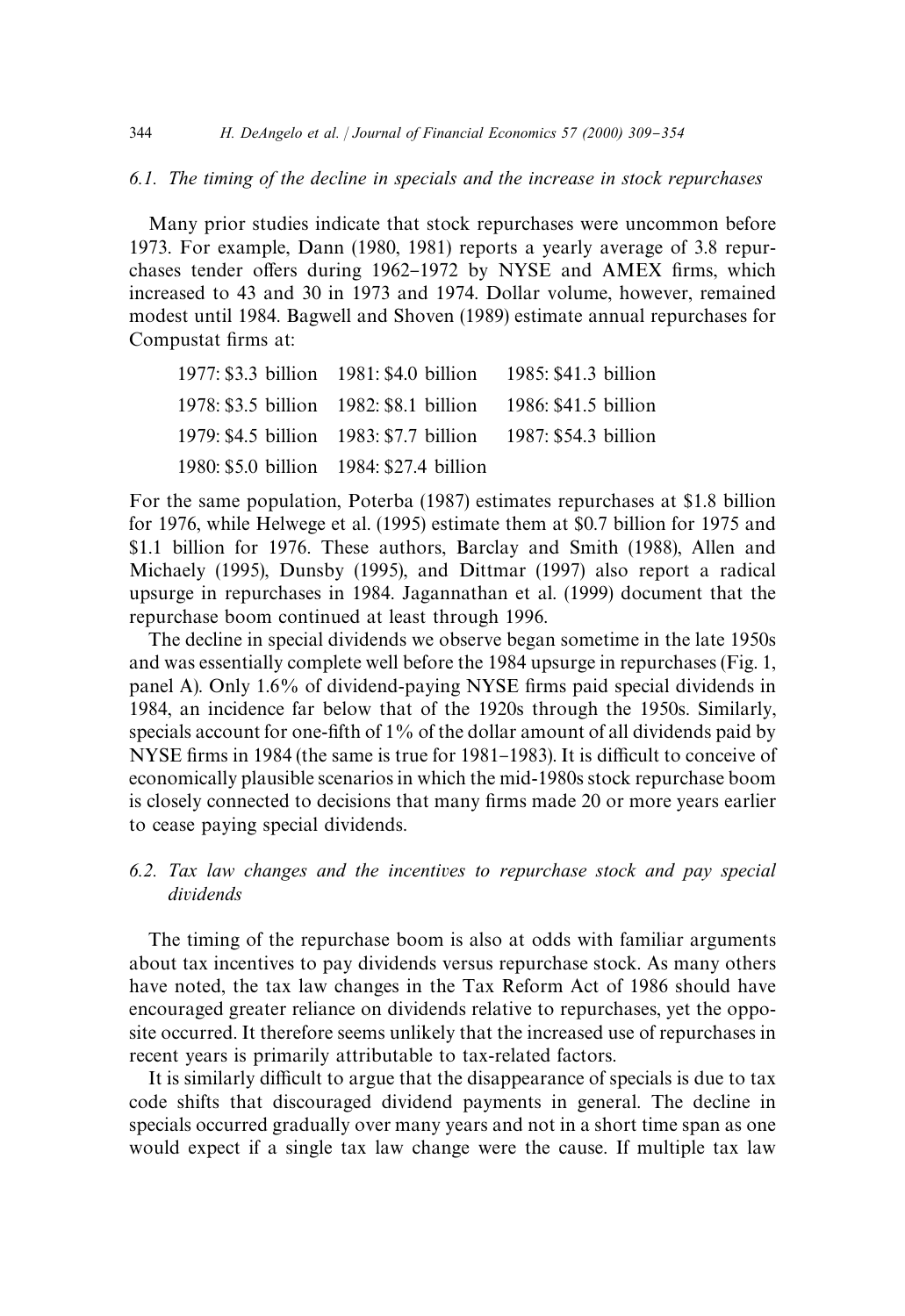# *6.1. The timing of the decline in specials and the increase in stock repurchases*

Many prior studies indicate that stock repurchases were uncommon before 1973. For example, Dann (1980, 1981) reports a yearly average of 3.8 repurchases tender offers during 1962-1972 by NYSE and AMEX firms, which increased to 43 and 30 in 1973 and 1974. Dollar volume, however, remained modest until 1984. Bagwell and Shoven (1989) estimate annual repurchases for Compustat firms at:

| 1977: \$3.3 billion 1981: \$4.0 billion 1985: \$41.3 billion |  |
|--------------------------------------------------------------|--|
| 1978: \$3.5 billion 1982: \$8.1 billion 1986: \$41.5 billion |  |
| 1979: \$4.5 billion 1983: \$7.7 billion 1987: \$54.3 billion |  |
| 1980: \$5.0 billion 1984: \$27.4 billion                     |  |

For the same population, Poterba (1987) estimates repurchases at \$1.8 billion for 1976, while Helwege et al. (1995) estimate them at \$0.7 billion for 1975 and \$1.1 billion for 1976. These authors, Barclay and Smith (1988), Allen and Michaely (1995), Dunsby (1995), and Dittmar (1997) also report a radical upsurge in repurchases in 1984. Jagannathan et al. (1999) document that the repurchase boom continued at least through 1996.

The decline in special dividends we observe began sometime in the late 1950s and was essentially complete well before the 1984 upsurge in repurchases (Fig. 1, panel A). Only 1.6% of dividend-paying NYSE firms paid special dividends in 1984, an incidence far below that of the 1920s through the 1950s. Similarly, specials account for one-fifth of  $1\%$  of the dollar amount of all dividends paid by NYSE firms in 1984 (the same is true for 1981–1983). It is difficult to conceive of economically plausible scenarios in which the mid-1980s stock repurchase boom is closely connected to decisions that many firms made 20 or more years earlier to cease paying special dividends.

# *6.2. Tax law changes and the incentives to repurchase stock and pay special dividends*

The timing of the repurchase boom is also at odds with familiar arguments about tax incentives to pay dividends versus repurchase stock. As many others have noted, the tax law changes in the Tax Reform Act of 1986 should have encouraged greater reliance on dividends relative to repurchases, yet the opposite occurred. It therefore seems unlikely that the increased use of repurchases in recent years is primarily attributable to tax-related factors.

It is similarly difficult to argue that the disappearance of specials is due to tax code shifts that discouraged dividend payments in general. The decline in specials occurred gradually over many years and not in a short time span as one would expect if a single tax law change were the cause. If multiple tax law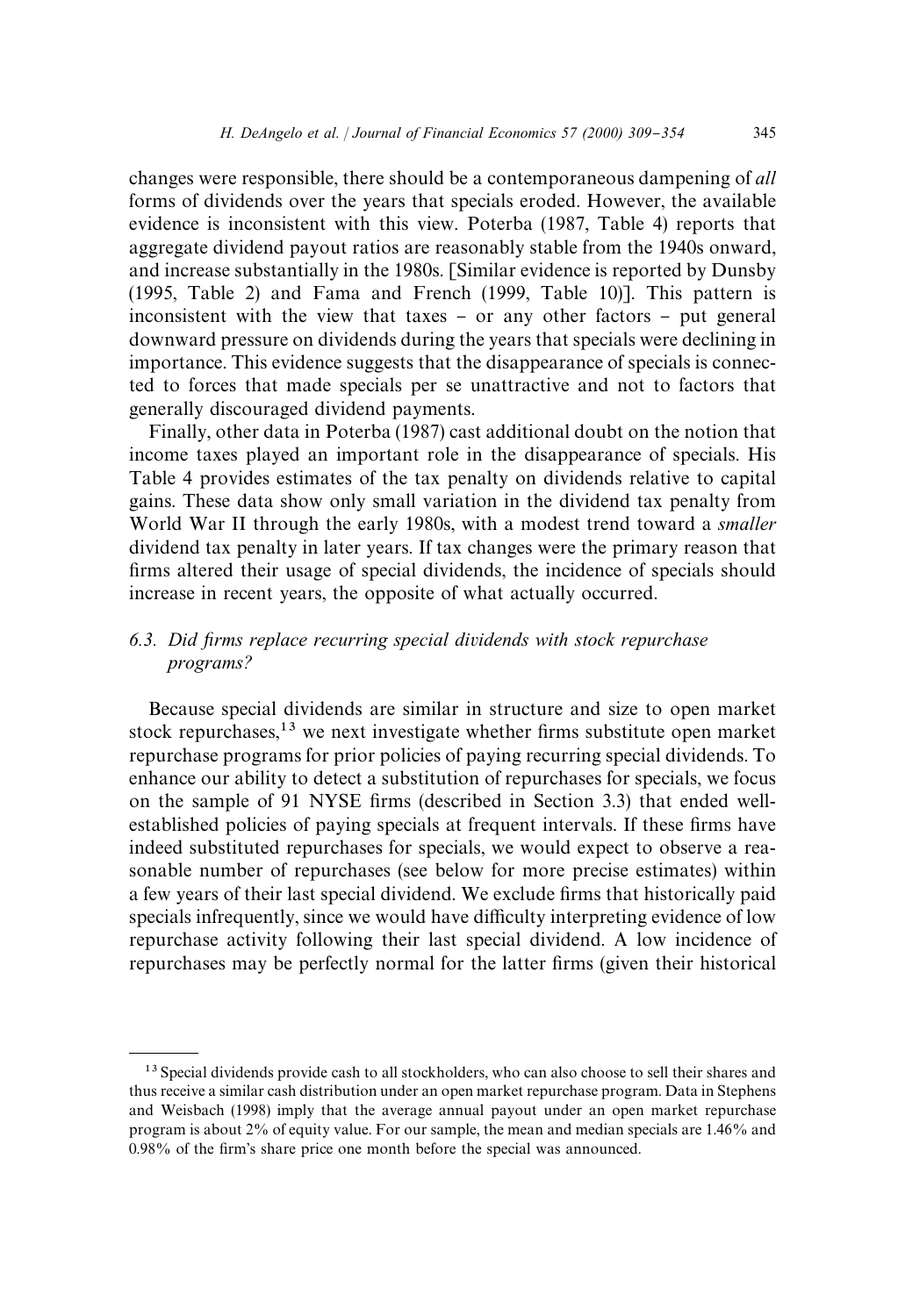changes were responsible, there should be a contemporaneous dampening of *all* forms of dividends over the years that specials eroded. However, the available evidence is inconsistent with this view. Poterba (1987, Table 4) reports that aggregate dividend payout ratios are reasonably stable from the 1940s onward, and increase substantially in the 1980s. [Similar evidence is reported by Dunsby (1995, Table 2) and Fama and French (1999, Table 10)]. This pattern is inconsistent with the view that taxes  $-$  or any other factors  $-$  put general downward pressure on dividends during the years that specials were declining in importance. This evidence suggests that the disappearance of specials is connected to forces that made specials per se unattractive and not to factors that generally discouraged dividend payments.

Finally, other data in Poterba (1987) cast additional doubt on the notion that income taxes played an important role in the disappearance of specials. His Table 4 provides estimates of the tax penalty on dividends relative to capital gains. These data show only small variation in the dividend tax penalty from World War II through the early 1980s, with a modest trend toward a *smaller* dividend tax penalty in later years. If tax changes were the primary reason that firms altered their usage of special dividends, the incidence of specials should increase in recent years, the opposite of what actually occurred.

# *6.3. Did* x*rms replace recurring special dividends with stock repurchase programs?*

Because special dividends are similar in structure and size to open market stock repurchases, $13$  we next investigate whether firms substitute open market repurchase programs for prior policies of paying recurring special dividends. To enhance our ability to detect a substitution of repurchases for specials, we focus on the sample of 91 NYSE firms (described in Section 3.3) that ended wellestablished policies of paying specials at frequent intervals. If these firms have indeed substituted repurchases for specials, we would expect to observe a reasonable number of repurchases (see below for more precise estimates) within a few years of their last special dividend. We exclude firms that historically paid specials infrequently, since we would have difficulty interpreting evidence of low repurchase activity following their last special dividend. A low incidence of repurchases may be perfectly normal for the latter firms (given their historical

<sup>&</sup>lt;sup>13</sup> Special dividends provide cash to all stockholders, who can also choose to sell their shares and thus receive a similar cash distribution under an open market repurchase program. Data in Stephens and Weisbach (1998) imply that the average annual payout under an open market repurchase program is about 2% of equity value. For our sample, the mean and median specials are 1.46% and  $0.98\%$  of the firm's share price one month before the special was announced.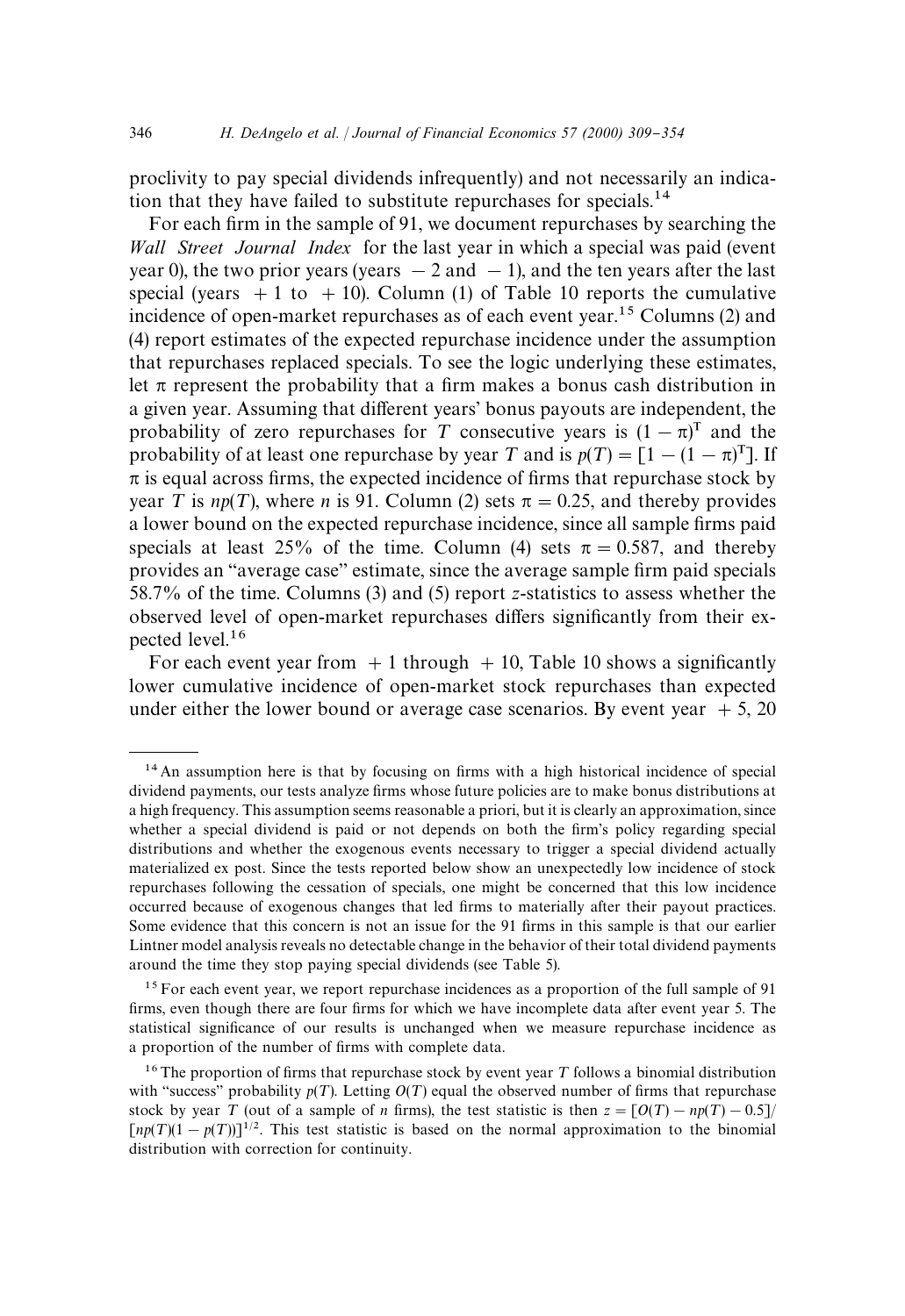proclivity to pay special dividends infrequently) and not necessarily an indication that they have failed to substitute repurchases for specials.<sup>14</sup>

For each firm in the sample of 91, we document repurchases by searching the *Wall Street Journal Index* for the last year in which a special was paid (event year 0), the two prior years (years  $-2$  and  $-1$ ), and the ten years after the last special (years  $+1$  to  $+10$ ). Column (1) of Table 10 reports the cumulative incidence of open-market repurchases as of each event year.<sup>15</sup> Columns (2) and (4) report estimates of the expected repurchase incidence under the assumption that repurchases replaced specials. To see the logic underlying these estimates, let  $\pi$  represent the probability that a firm makes a bonus cash distribution in a given year. Assuming that different years' bonus payouts are independent, the probability of zero repurchases for T consecutive years is  $(1 - \pi)^T$  and the probability of at least one repurchase by year T and is  $p(T) = [1 - (1 - \pi)^T]$ . If  $\pi$  is equal across firms, the expected incidence of firms that repurchase stock by year T is  $np(T)$ , where *n* is 91. Column (2) sets  $\pi = 0.25$ , and thereby provides a lower bound on the expected repurchase incidence, since all sample firms paid specials at least 25% of the time. Column (4) sets  $\pi = 0.587$ , and thereby provides an "average case" estimate, since the average sample firm paid specials 58.7% of the time. Columns (3) and (5) report *z*-statistics to assess whether the observed level of open-market repurchases differs significantly from their expected level.16

For each event year from  $+1$  through  $+10$ , Table 10 shows a significantly lower cumulative incidence of open-market stock repurchases than expected under either the lower bound or average case scenarios. By event year  $+5$ , 20

<sup>15</sup> For each event year, we report repurchase incidences as a proportion of the full sample of 91 firms, even though there are four firms for which we have incomplete data after event year 5. The statistical significance of our results is unchanged when we measure repurchase incidence as a proportion of the number of firms with complete data.

 $14$  An assumption here is that by focusing on firms with a high historical incidence of special dividend payments, our tests analyze firms whose future policies are to make bonus distributions at a high frequency. This assumption seems reasonable a priori, but it is clearly an approximation, since whether a special dividend is paid or not depends on both the firm's policy regarding special distributions and whether the exogenous events necessary to trigger a special dividend actually materialized ex post. Since the tests reported below show an unexpectedly low incidence of stock repurchases following the cessation of specials, one might be concerned that this low incidence occurred because of exogenous changes that led firms to materially after their payout practices. Some evidence that this concern is not an issue for the 91 firms in this sample is that our earlier Lintner model analysis reveals no detectable change in the behavior of their total dividend payments around the time they stop paying special dividends (see Table 5).

<sup>&</sup>lt;sup>16</sup>The proportion of firms that repurchase stock by event year  $T$  follows a binomial distribution with "success" probability  $p(T)$ . Letting  $O(T)$  equal the observed number of firms that repurchase stock by year T (out of a sample of *n* firms), the test statistic is then  $z = [O(T) - np(T) - 0.5]$  $\lceil np(T)(1-p(T)) \rceil^{1/2}$ . This test statistic is based on the normal approximation to the binomial distribution with correction for continuity.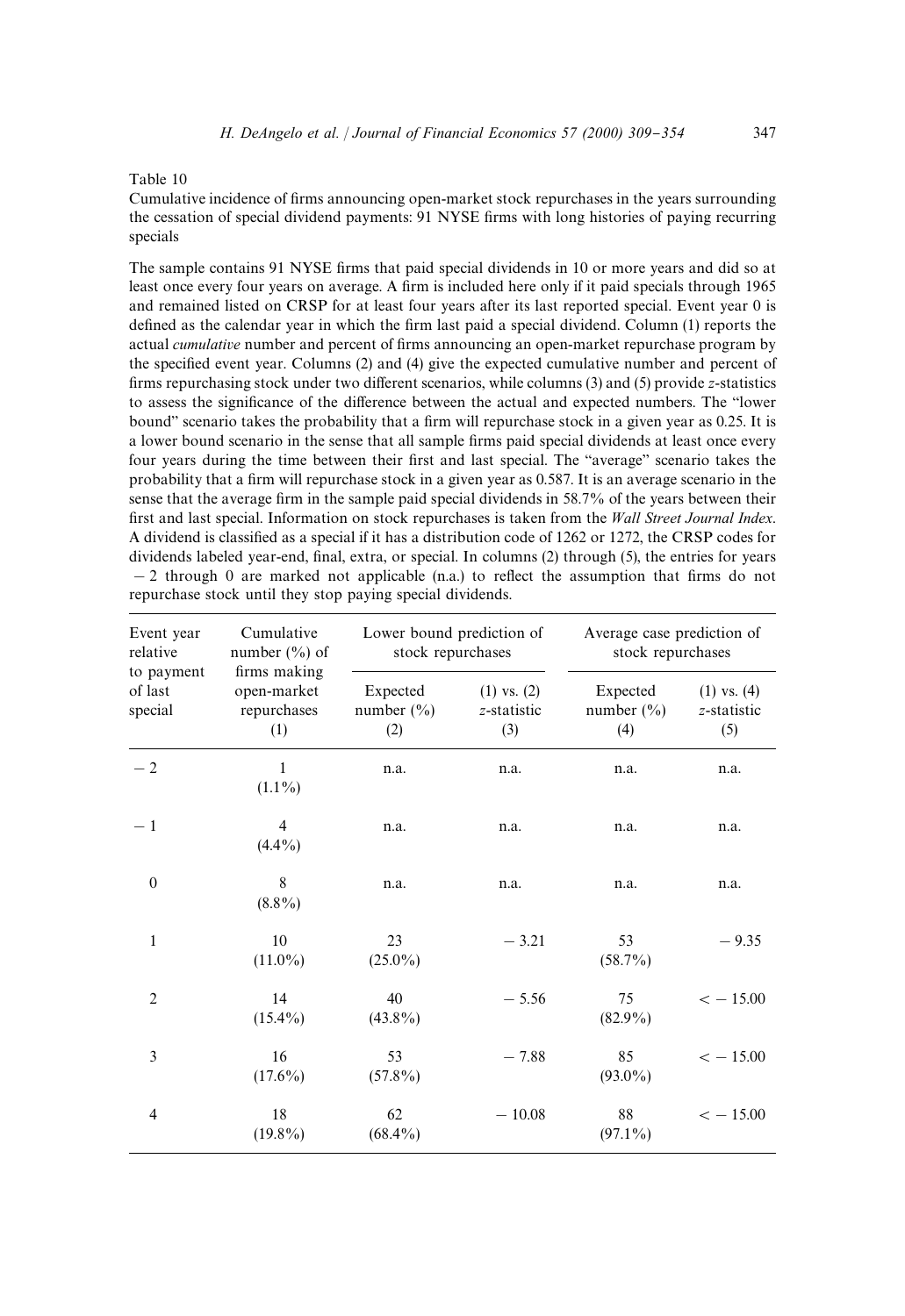#### Table 10

Cumulative incidence of firms announcing open-market stock repurchases in the years surrounding the cessation of special dividend payments: 91 NYSE firms with long histories of paying recurring specials

The sample contains 91 NYSE firms that paid special dividends in 10 or more years and did so at least once every four years on average. A firm is included here only if it paid specials through 1965 and remained listed on CRSP for at least four years after its last reported special. Event year 0 is defined as the calendar year in which the firm last paid a special dividend. Column (1) reports the actual *cumulative* number and percent of firms announcing an open-market repurchase program by the specified event year. Columns  $(2)$  and  $(4)$  give the expected cumulative number and percent of firms repurchasing stock under two different scenarios, while columns (3) and (5) provide *z*-statistics to assess the significance of the difference between the actual and expected numbers. The "lower bound" scenario takes the probability that a firm will repurchase stock in a given year as 0.25. It is a lower bound scenario in the sense that all sample firms paid special dividends at least once every four years during the time between their first and last special. The "average" scenario takes the probability that a firm will repurchase stock in a given year as 0.587. It is an average scenario in the sense that the average firm in the sample paid special dividends in 58.7% of the years between their first and last special. Information on stock repurchases is taken from the *Wall Street Journal Index*. A dividend is classified as a special if it has a distribution code of 1262 or 1272, the CRSP codes for dividends labeled year-end, final, extra, or special. In columns (2) through (5), the entries for years  $-2$  through 0 are marked not applicable (n.a.) to reflect the assumption that firms do not repurchase stock until they stop paying special dividends.

| Event year<br>relative           | Cumulative<br>number $(\% )$ of                   | Lower bound prediction of<br>stock repurchases |                                       | Average case prediction of<br>stock repurchases |                                       |
|----------------------------------|---------------------------------------------------|------------------------------------------------|---------------------------------------|-------------------------------------------------|---------------------------------------|
| to payment<br>of last<br>special | firms making<br>open-market<br>repurchases<br>(1) | Expected<br>number $(\% )$<br>(2)              | $(1)$ vs. $(2)$<br>z-statistic<br>(3) | Expected<br>number $(\% )$<br>(4)               | $(1)$ vs. $(4)$<br>z-statistic<br>(5) |
| $-2$                             | 1<br>$(1.1\%)$                                    | n.a.                                           | n.a.                                  | n.a.                                            | n.a.                                  |
| $-1$                             | 4<br>$(4.4\%)$                                    | n.a.                                           | n.a.                                  | n.a.                                            | n.a.                                  |
| $\boldsymbol{0}$                 | 8<br>$(8.8\%)$                                    | n.a.                                           | n.a.                                  | n.a.                                            | n.a.                                  |
| 1                                | 10<br>$(11.0\%)$                                  | 23<br>$(25.0\%)$                               | $-3.21$                               | 53<br>$(58.7\%)$                                | $-9.35$                               |
| $\overline{2}$                   | 14<br>$(15.4\%)$                                  | 40<br>$(43.8\%)$                               | $-5.56$                               | 75<br>$(82.9\%)$                                | $<-15.00$                             |
| 3                                | 16<br>$(17.6\%)$                                  | 53<br>$(57.8\%)$                               | $-7.88$                               | 85<br>$(93.0\%)$                                | $<-15.00$                             |
| 4                                | 18<br>$(19.8\%)$                                  | 62<br>$(68.4\%)$                               | $-10.08$                              | 88<br>$(97.1\%)$                                | $<-15.00$                             |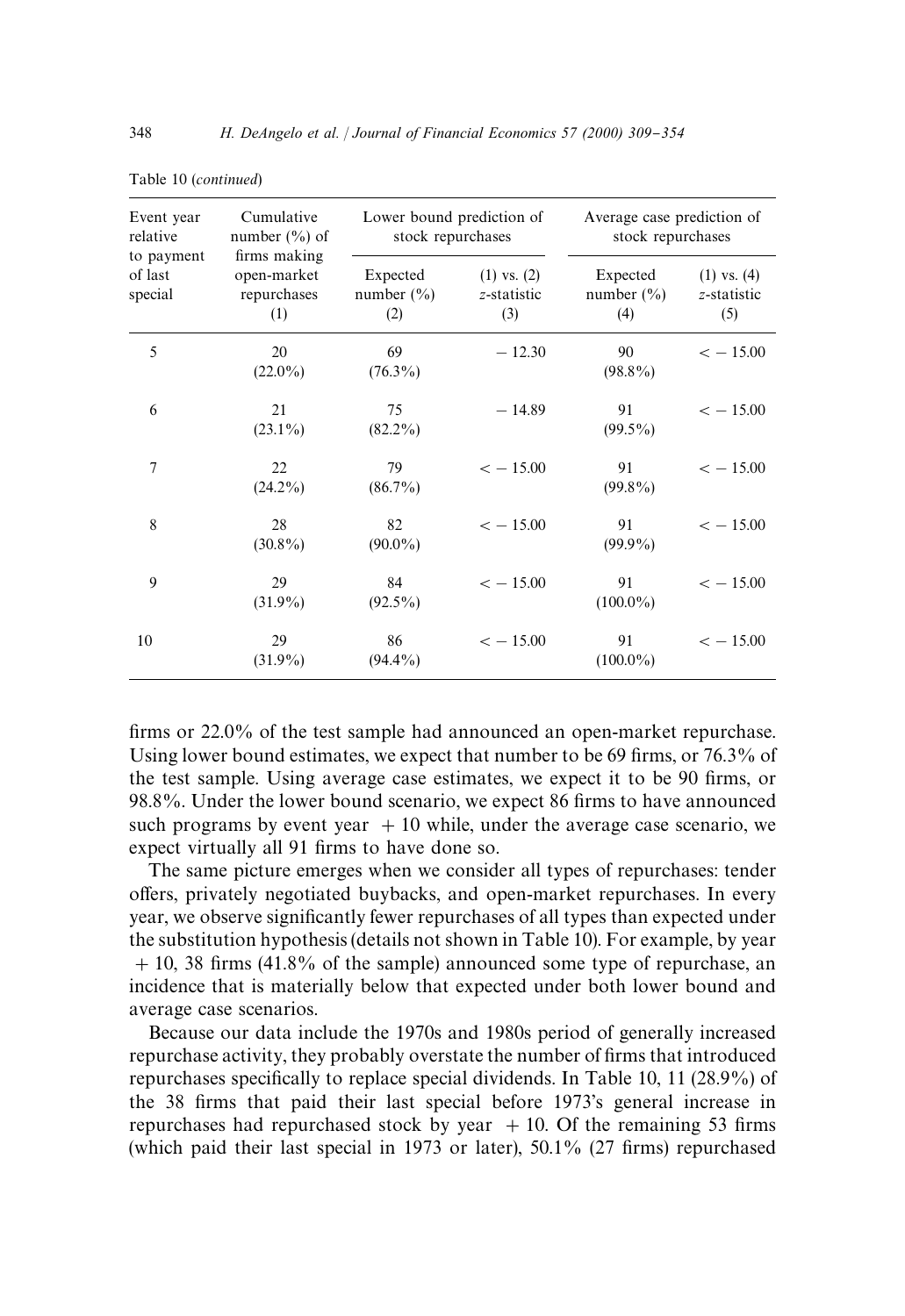| Event year<br>relative<br>to payment | Cumulative<br>number $(\% )$ of<br>firms making | Lower bound prediction of<br>stock repurchases |                                       | Average case prediction of<br>stock repurchases |                                       |
|--------------------------------------|-------------------------------------------------|------------------------------------------------|---------------------------------------|-------------------------------------------------|---------------------------------------|
| of last<br>special                   | open-market<br>repurchases<br>(1)               | Expected<br>number $(\% )$<br>(2)              | $(1)$ vs. $(2)$<br>z-statistic<br>(3) | Expected<br>number $(\% )$<br>(4)               | $(1)$ vs. $(4)$<br>z-statistic<br>(5) |
| 5                                    | 20<br>$(22.0\%)$                                | 69<br>$(76.3\%)$                               | $-12.30$                              | 90<br>$(98.8\%)$                                | $<-15.00$                             |
| 6                                    | 21<br>$(23.1\%)$                                | 75<br>$(82.2\%)$                               | $-14.89$                              | 91<br>$(99.5\%)$                                | $<-15.00$                             |
| $\overline{7}$                       | 22<br>$(24.2\%)$                                | 79<br>$(86.7\%)$                               | $<-15.00$                             | 91<br>$(99.8\%)$                                | $<-15.00$                             |
| 8                                    | 28<br>$(30.8\%)$                                | 82<br>$(90.0\%)$                               | $<-15.00$                             | 91<br>$(99.9\%)$                                | $<-15.00$                             |
| 9                                    | 29<br>$(31.9\%)$                                | 84<br>$(92.5\%)$                               | $<-15.00$                             | 91<br>$(100.0\%)$                               | $<-15.00$                             |
| 10                                   | 29<br>$(31.9\%)$                                | 86<br>$(94.4\%)$                               | $<-15.00$                             | 91<br>$(100.0\%)$                               | $<-15.00$                             |

Table 10 (*continued*)

firms or  $22.0\%$  of the test sample had announced an open-market repurchase. Using lower bound estimates, we expect that number to be 69 firms, or  $76.3\%$  of the test sample. Using average case estimates, we expect it to be 90 firms, or 98.8%. Under the lower bound scenario, we expect 86 firms to have announced such programs by event year  $+10$  while, under the average case scenario, we expect virtually all 91 firms to have done so.

The same picture emerges when we consider all types of repurchases: tender offers, privately negotiated buybacks, and open-market repurchases. In every year, we observe significantly fewer repurchases of all types than expected under the substitution hypothesis (details not shown in Table 10). For example, by year  $+10$ , 38 firms (41.8% of the sample) announced some type of repurchase, an incidence that is materially below that expected under both lower bound and average case scenarios.

Because our data include the 1970s and 1980s period of generally increased repurchase activity, they probably overstate the number of firms that introduced repurchases specifically to replace special dividends. In Table 10, 11 (28.9%) of the 38 firms that paid their last special before 1973's general increase in repurchases had repurchased stock by year  $+10$ . Of the remaining 53 firms (which paid their last special in 1973 or later),  $50.1\%$  (27 firms) repurchased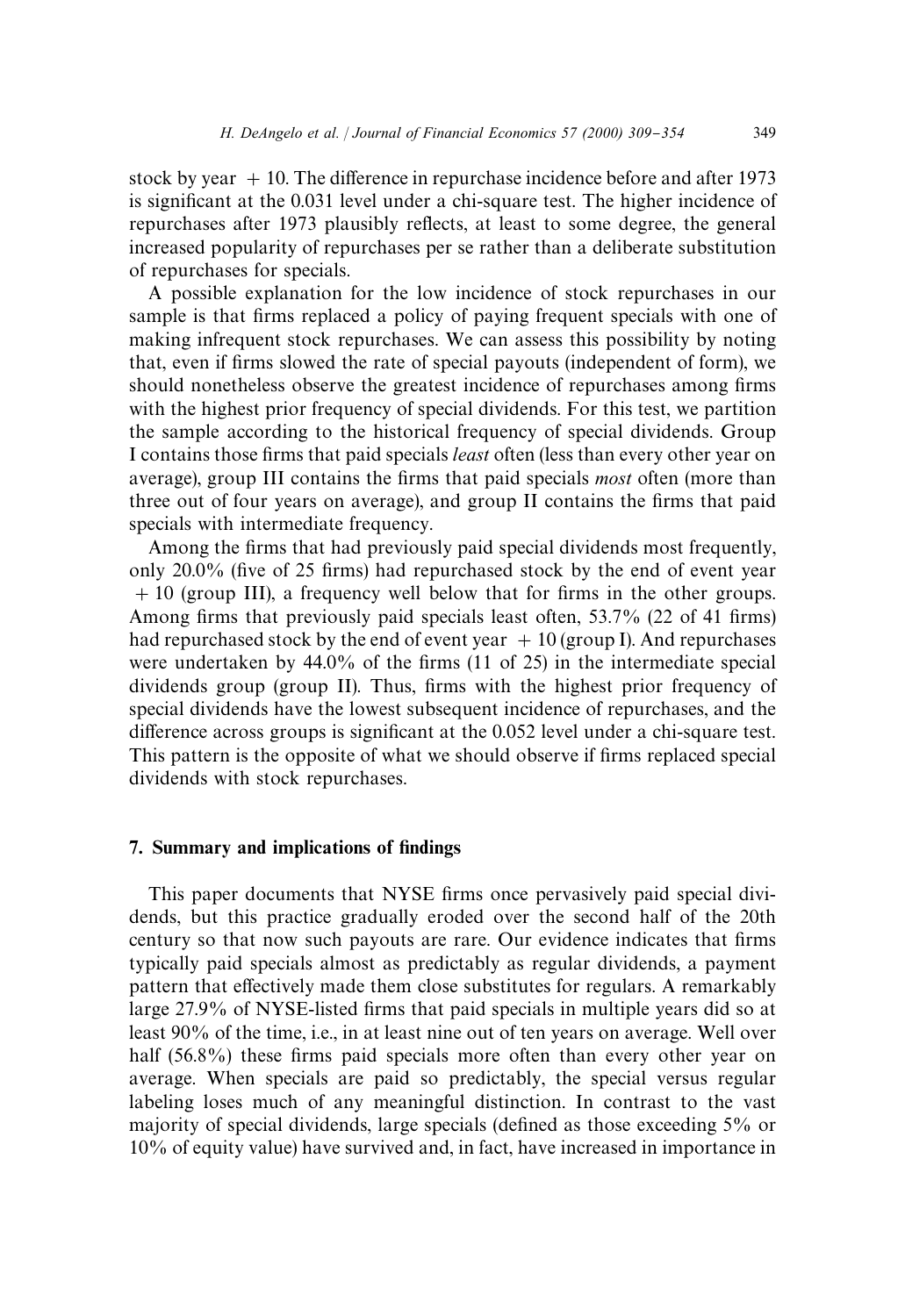stock by year  $+10$ . The difference in repurchase incidence before and after 1973 is significant at the 0.031 level under a chi-square test. The higher incidence of repurchases after 1973 plausibly reflects, at least to some degree, the general increased popularity of repurchases per se rather than a deliberate substitution of repurchases for specials.

A possible explanation for the low incidence of stock repurchases in our sample is that firms replaced a policy of paying frequent specials with one of making infrequent stock repurchases. We can assess this possibility by noting that, even if firms slowed the rate of special payouts (independent of form), we should nonetheless observe the greatest incidence of repurchases among firms with the highest prior frequency of special dividends. For this test, we partition the sample according to the historical frequency of special dividends. Group I contains those firms that paid specials *least* often (less than every other year on average), group III contains the firms that paid specials *most* often (more than three out of four years on average), and group II contains the firms that paid specials with intermediate frequency.

Among the firms that had previously paid special dividends most frequently, only  $20.0\%$  (five of 25 firms) had repurchased stock by the end of event year  $+10$  (group III), a frequency well below that for firms in the other groups. Among firms that previously paid specials least often, 53.7% (22 of 41 firms) had repurchased stock by the end of event year  $+10$  (group I). And repurchases were undertaken by  $44.0\%$  of the firms (11 of 25) in the intermediate special dividends group (group II). Thus, firms with the highest prior frequency of special dividends have the lowest subsequent incidence of repurchases, and the difference across groups is significant at the  $0.052$  level under a chi-square test. This pattern is the opposite of what we should observe if firms replaced special dividends with stock repurchases.

### 7. Summary and implications of findings

This paper documents that NYSE firms once pervasively paid special dividends, but this practice gradually eroded over the second half of the 20th century so that now such payouts are rare. Our evidence indicates that firms typically paid specials almost as predictably as regular dividends, a payment pattern that effectively made them close substitutes for regulars. A remarkably large 27.9% of NYSE-listed firms that paid specials in multiple years did so at least 90% of the time, i.e., in at least nine out of ten years on average. Well over half (56.8%) these firms paid specials more often than every other year on average. When specials are paid so predictably, the special versus regular labeling loses much of any meaningful distinction. In contrast to the vast majority of special dividends, large specials (defined as those exceeding  $5\%$  or 10% of equity value) have survived and, in fact, have increased in importance in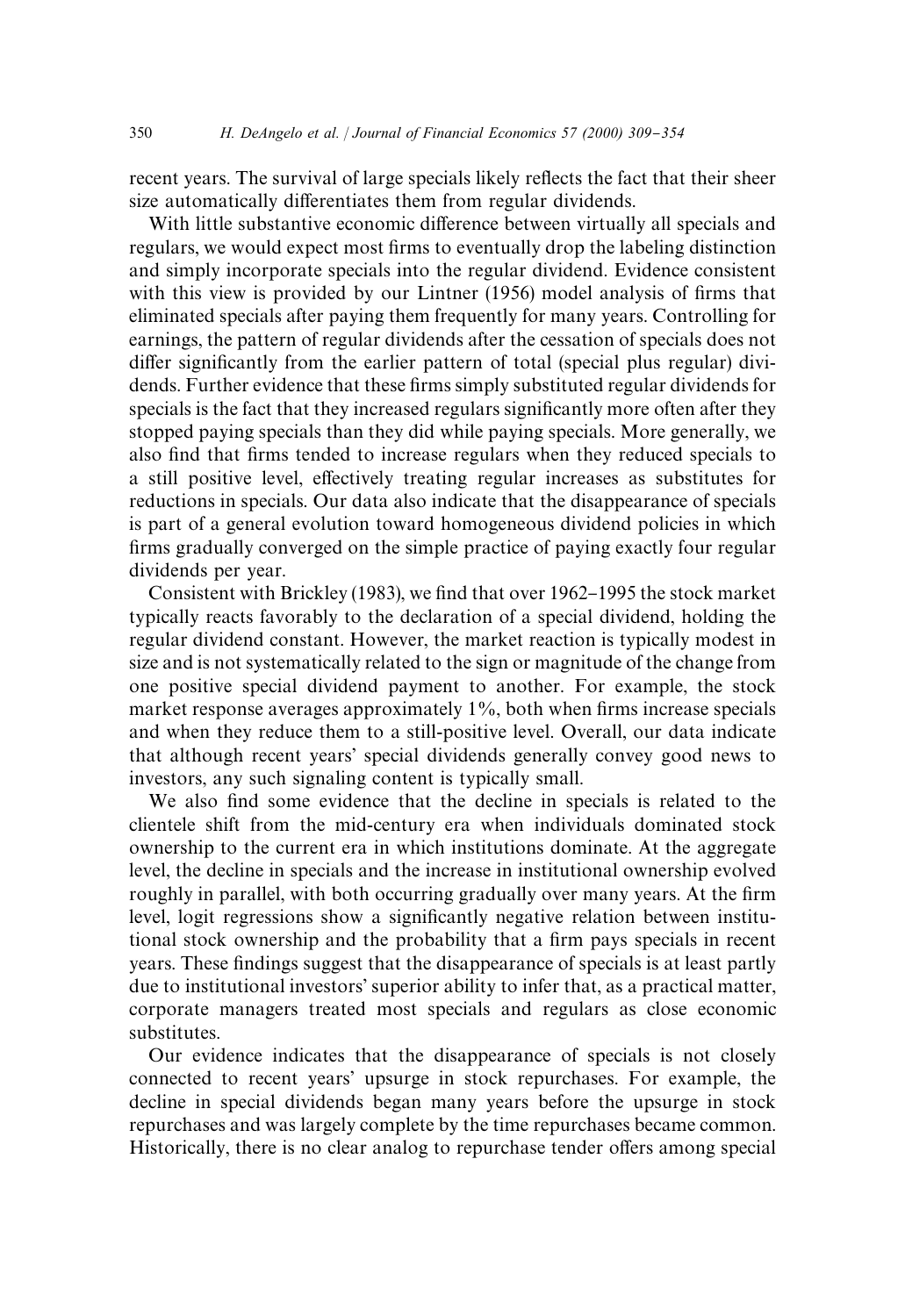recent years. The survival of large specials likely reflects the fact that their sheer size automatically differentiates them from regular dividends.

With little substantive economic difference between virtually all specials and regulars, we would expect most firms to eventually drop the labeling distinction and simply incorporate specials into the regular dividend. Evidence consistent with this view is provided by our Lintner  $(1956)$  model analysis of firms that eliminated specials after paying them frequently for many years. Controlling for earnings, the pattern of regular dividends after the cessation of specials does not differ significantly from the earlier pattern of total (special plus regular) dividends. Further evidence that these firms simply substituted regular dividends for specials is the fact that they increased regulars significantly more often after they stopped paying specials than they did while paying specials. More generally, we also find that firms tended to increase regulars when they reduced specials to a still positive level, effectively treating regular increases as substitutes for reductions in specials. Our data also indicate that the disappearance of specials is part of a general evolution toward homogeneous dividend policies in which firms gradually converged on the simple practice of paying exactly four regular dividends per year.

Consistent with Brickley (1983), we find that over 1962–1995 the stock market typically reacts favorably to the declaration of a special dividend, holding the regular dividend constant. However, the market reaction is typically modest in size and is not systematically related to the sign or magnitude of the change from one positive special dividend payment to another. For example, the stock market response averages approximately  $1\%$ , both when firms increase specials and when they reduce them to a still-positive level. Overall, our data indicate that although recent years' special dividends generally convey good news to investors, any such signaling content is typically small.

We also find some evidence that the decline in specials is related to the clientele shift from the mid-century era when individuals dominated stock ownership to the current era in which institutions dominate. At the aggregate level, the decline in specials and the increase in institutional ownership evolved roughly in parallel, with both occurring gradually over many years. At the firm level, logit regressions show a significantly negative relation between institutional stock ownership and the probability that a firm pays specials in recent years. These findings suggest that the disappearance of specials is at least partly due to institutional investors' superior ability to infer that, as a practical matter, corporate managers treated most specials and regulars as close economic substitutes.

Our evidence indicates that the disappearance of specials is not closely connected to recent years' upsurge in stock repurchases. For example, the decline in special dividends began many years before the upsurge in stock repurchases and was largely complete by the time repurchases became common. Historically, there is no clear analog to repurchase tender offers among special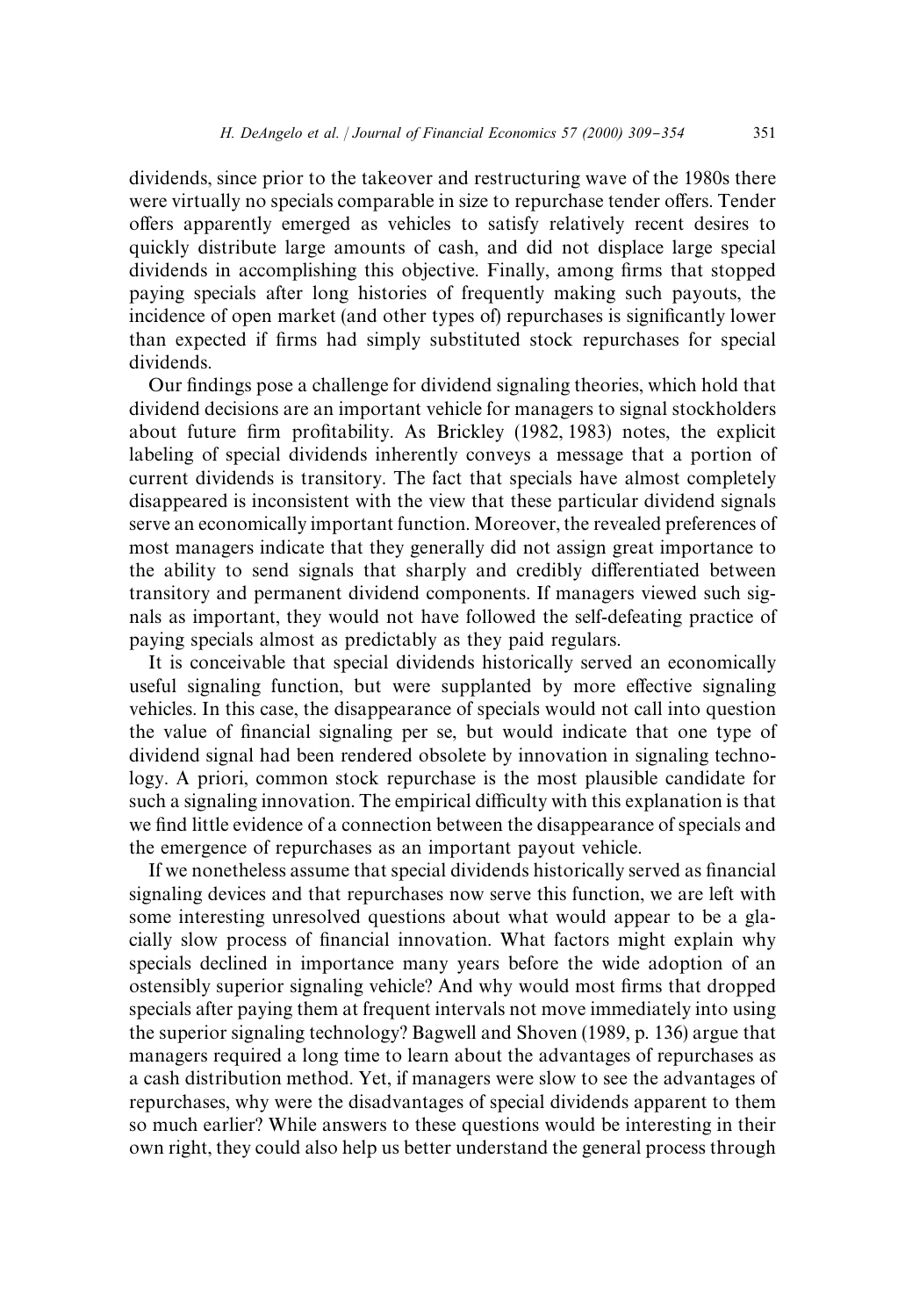dividends, since prior to the takeover and restructuring wave of the 1980s there were virtually no specials comparable in size to repurchase tender offers. Tender offers apparently emerged as vehicles to satisfy relatively recent desires to quickly distribute large amounts of cash, and did not displace large special dividends in accomplishing this objective. Finally, among firms that stopped paying specials after long histories of frequently making such payouts, the incidence of open market (and other types of) repurchases is significantly lower than expected if firms had simply substituted stock repurchases for special dividends.

Our findings pose a challenge for dividend signaling theories, which hold that dividend decisions are an important vehicle for managers to signal stockholders about future firm profitability. As Brickley (1982, 1983) notes, the explicit labeling of special dividends inherently conveys a message that a portion of current dividends is transitory. The fact that specials have almost completely disappeared is inconsistent with the view that these particular dividend signals serve an economically important function. Moreover, the revealed preferences of most managers indicate that they generally did not assign great importance to the ability to send signals that sharply and credibly differentiated between transitory and permanent dividend components. If managers viewed such signals as important, they would not have followed the self-defeating practice of paying specials almost as predictably as they paid regulars.

It is conceivable that special dividends historically served an economically useful signaling function, but were supplanted by more effective signaling vehicles. In this case, the disappearance of specials would not call into question the value of financial signaling per se, but would indicate that one type of dividend signal had been rendered obsolete by innovation in signaling technology. A priori, common stock repurchase is the most plausible candidate for such a signaling innovation. The empirical difficulty with this explanation is that we find little evidence of a connection between the disappearance of specials and the emergence of repurchases as an important payout vehicle.

If we nonetheless assume that special dividends historically served as financial signaling devices and that repurchases now serve this function, we are left with some interesting unresolved questions about what would appear to be a glacially slow process of financial innovation. What factors might explain why specials declined in importance many years before the wide adoption of an ostensibly superior signaling vehicle? And why would most firms that dropped specials after paying them at frequent intervals not move immediately into using the superior signaling technology? Bagwell and Shoven (1989, p. 136) argue that managers required a long time to learn about the advantages of repurchases as a cash distribution method. Yet, if managers were slow to see the advantages of repurchases, why were the disadvantages of special dividends apparent to them so much earlier? While answers to these questions would be interesting in their own right, they could also help us better understand the general process through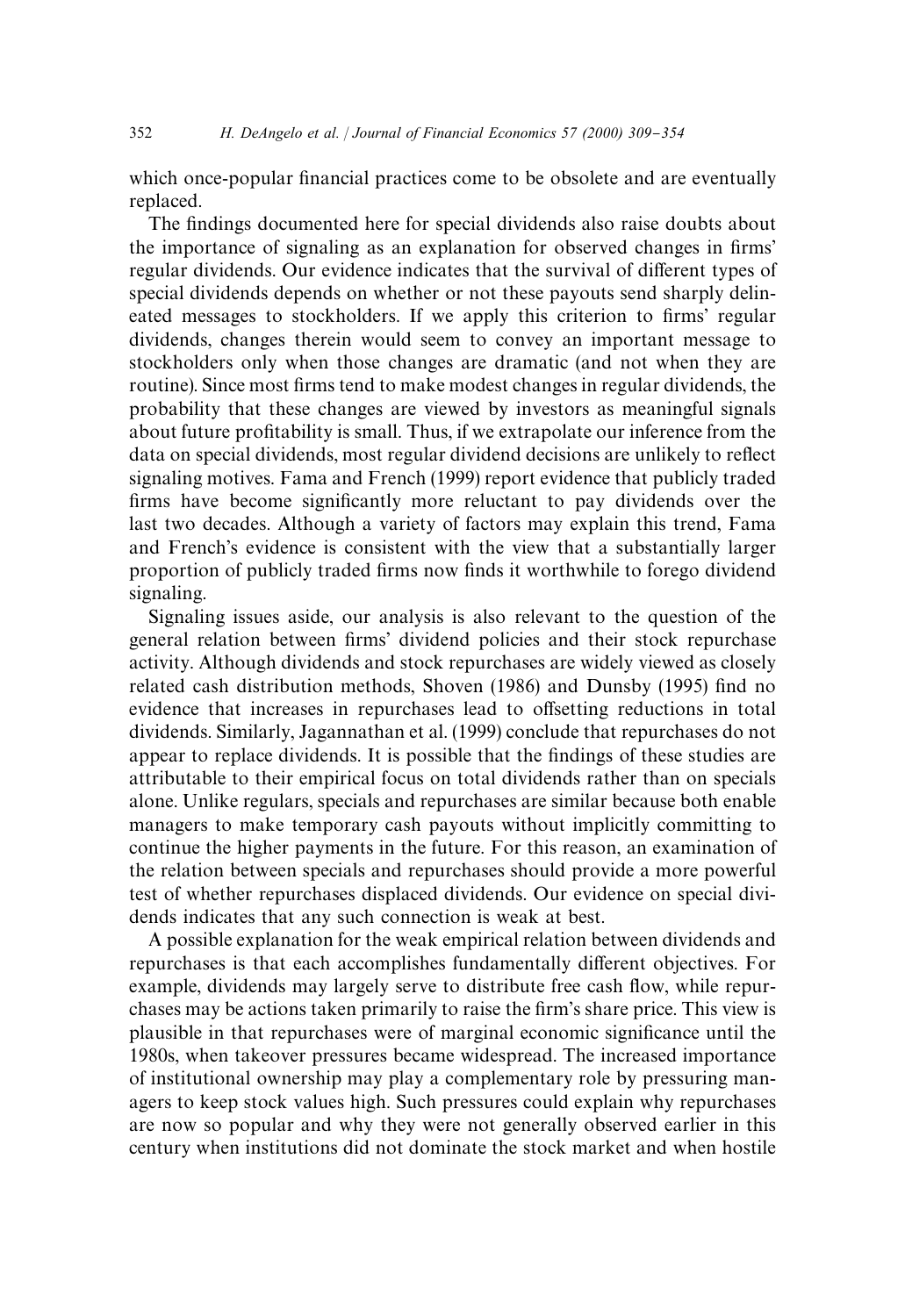which once-popular financial practices come to be obsolete and are eventually replaced.

The findings documented here for special dividends also raise doubts about the importance of signaling as an explanation for observed changes in firms' regular dividends. Our evidence indicates that the survival of different types of special dividends depends on whether or not these payouts send sharply delineated messages to stockholders. If we apply this criterion to firms' regular dividends, changes therein would seem to convey an important message to stockholders only when those changes are dramatic (and not when they are routine). Since most firms tend to make modest changes in regular dividends, the probability that these changes are viewed by investors as meaningful signals about future profitability is small. Thus, if we extrapolate our inference from the data on special dividends, most regular dividend decisions are unlikely to reflect signaling motives. Fama and French (1999) report evidence that publicly traded firms have become significantly more reluctant to pay dividends over the last two decades. Although a variety of factors may explain this trend, Fama and French's evidence is consistent with the view that a substantially larger proportion of publicly traded firms now finds it worthwhile to forego dividend signaling.

Signaling issues aside, our analysis is also relevant to the question of the general relation between firms' dividend policies and their stock repurchase activity. Although dividends and stock repurchases are widely viewed as closely related cash distribution methods, Shoven (1986) and Dunsby (1995) find no evidence that increases in repurchases lead to offsetting reductions in total dividends. Similarly, Jagannathan et al. (1999) conclude that repurchases do not appear to replace dividends. It is possible that the findings of these studies are attributable to their empirical focus on total dividends rather than on specials alone. Unlike regulars, specials and repurchases are similar because both enable managers to make temporary cash payouts without implicitly committing to continue the higher payments in the future. For this reason, an examination of the relation between specials and repurchases should provide a more powerful test of whether repurchases displaced dividends. Our evidence on special dividends indicates that any such connection is weak at best.

A possible explanation for the weak empirical relation between dividends and repurchases is that each accomplishes fundamentally different objectives. For example, dividends may largely serve to distribute free cash flow, while repurchases may be actions taken primarily to raise the firm's share price. This view is plausible in that repurchases were of marginal economic significance until the 1980s, when takeover pressures became widespread. The increased importance of institutional ownership may play a complementary role by pressuring managers to keep stock values high. Such pressures could explain why repurchases are now so popular and why they were not generally observed earlier in this century when institutions did not dominate the stock market and when hostile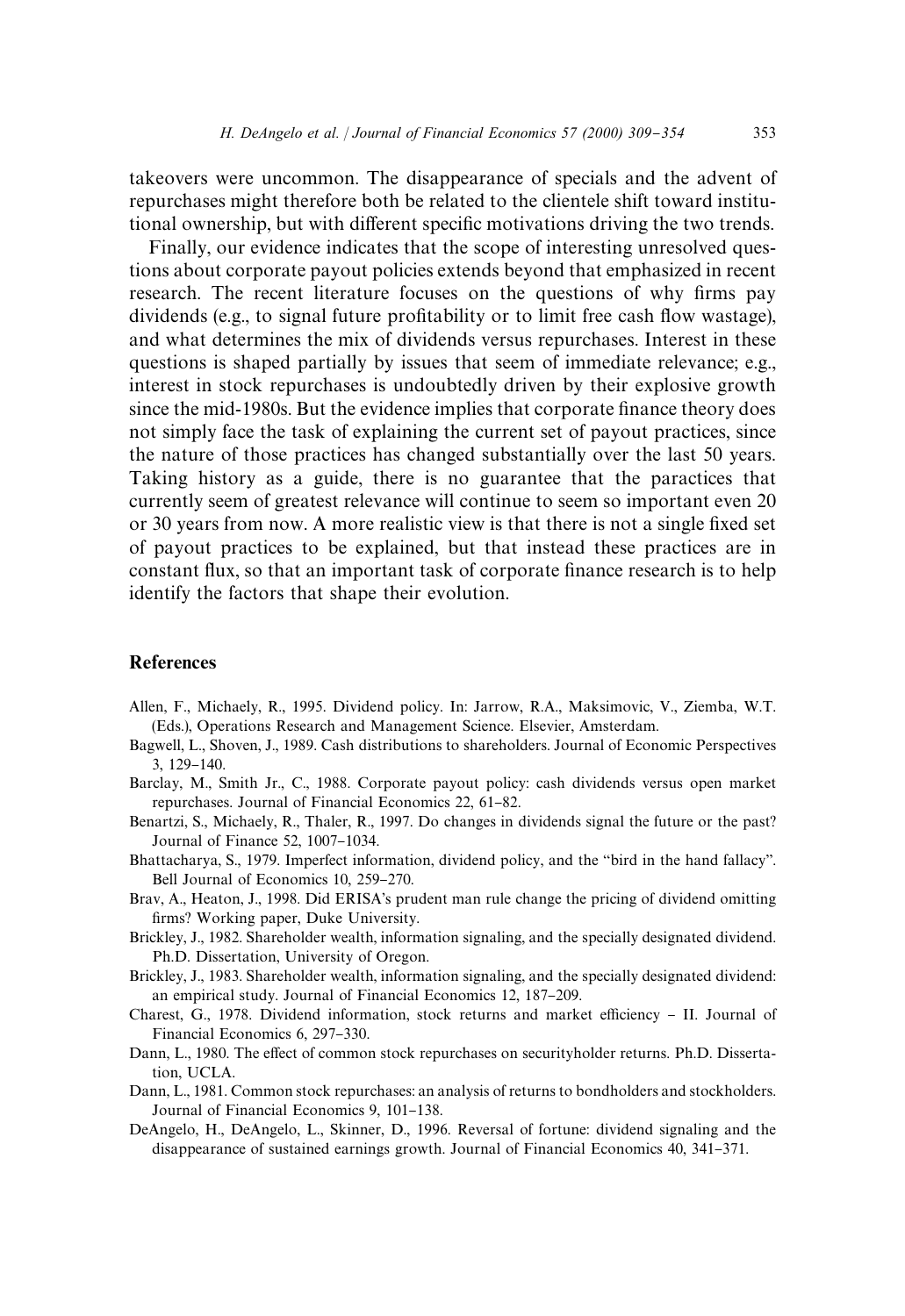takeovers were uncommon. The disappearance of specials and the advent of repurchases might therefore both be related to the clientele shift toward institutional ownership, but with different specific motivations driving the two trends.

Finally, our evidence indicates that the scope of interesting unresolved questions about corporate payout policies extends beyond that emphasized in recent research. The recent literature focuses on the questions of why firms pay dividends (e.g., to signal future profitability or to limit free cash flow wastage), and what determines the mix of dividends versus repurchases. Interest in these questions is shaped partially by issues that seem of immediate relevance; e.g., interest in stock repurchases is undoubtedly driven by their explosive growth since the mid-1980s. But the evidence implies that corporate finance theory does not simply face the task of explaining the current set of payout practices, since the nature of those practices has changed substantially over the last 50 years. Taking history as a guide, there is no guarantee that the paractices that currently seem of greatest relevance will continue to seem so important even 20 or 30 years from now. A more realistic view is that there is not a single fixed set of payout practices to be explained, but that instead these practices are in constant flux, so that an important task of corporate finance research is to help identify the factors that shape their evolution.

# References

- Allen, F., Michaely, R., 1995. Dividend policy. In: Jarrow, R.A., Maksimovic, V., Ziemba, W.T. (Eds.), Operations Research and Management Science. Elsevier, Amsterdam.
- Bagwell, L., Shoven, J., 1989. Cash distributions to shareholders. Journal of Economic Perspectives 3, 129-140.
- Barclay, M., Smith Jr., C., 1988. Corporate payout policy: cash dividends versus open market repurchases. Journal of Financial Economics 22, 61-82.
- Benartzi, S., Michaely, R., Thaler, R., 1997. Do changes in dividends signal the future or the past? Journal of Finance 52, 1007-1034.
- Bhattacharya, S., 1979. Imperfect information, dividend policy, and the "bird in the hand fallacy". Bell Journal of Economics 10, 259-270.
- Brav, A., Heaton, J., 1998. Did ERISA's prudent man rule change the pricing of dividend omitting firms? Working paper, Duke University.
- Brickley, J., 1982. Shareholder wealth, information signaling, and the specially designated dividend. Ph.D. Dissertation, University of Oregon.
- Brickley, J., 1983. Shareholder wealth, information signaling, and the specially designated dividend: an empirical study. Journal of Financial Economics 12, 187-209.
- Charest, G., 1978. Dividend information, stock returns and market efficiency  $-$  II. Journal of Financial Economics 6, 297-330.
- Dann, L., 1980. The effect of common stock repurchases on securityholder returns. Ph.D. Dissertation, UCLA.
- Dann, L., 1981. Common stock repurchases: an analysis of returns to bondholders and stockholders. Journal of Financial Economics 9, 101-138.
- DeAngelo, H., DeAngelo, L., Skinner, D., 1996. Reversal of fortune: dividend signaling and the disappearance of sustained earnings growth. Journal of Financial Economics 40, 341–371.